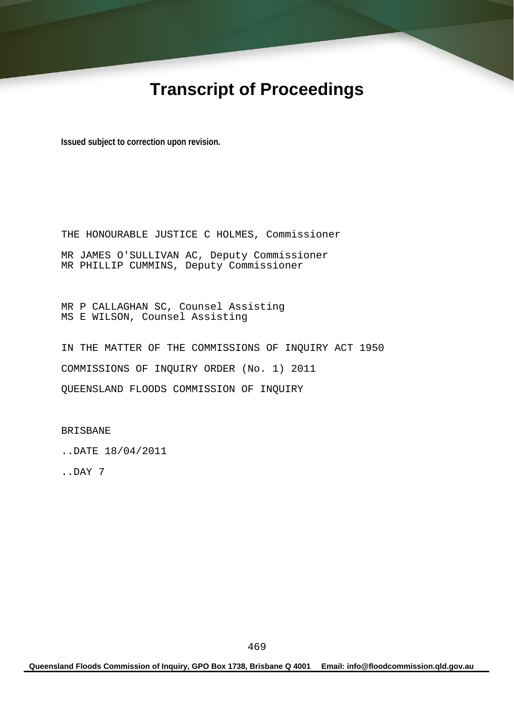# **Transcript of Proceedings**

**Issued subject to correction upon revision.** 

THE HONOURABLE JUSTICE C HOLMES, Commissioner MR JAMES O'SULLIVAN AC, Deputy Commissioner MR PHILLIP CUMMINS, Deputy Commissioner

MR P CALLAGHAN SC, Counsel Assisting MS E WILSON, Counsel Assisting

IN THE MATTER OF THE COMMISSIONS OF INQUIRY ACT 1950 COMMISSIONS OF INQUIRY ORDER (No. 1) 2011 QUEENSLAND FLOODS COMMISSION OF INQUIRY

BRISBANE

..DATE 18/04/2011

..DAY 7

**Queensland Floods Commission of Inquiry, GPO Box 1738, Brisbane Q 4001 Email: info@floodcommission.qld.gov.au**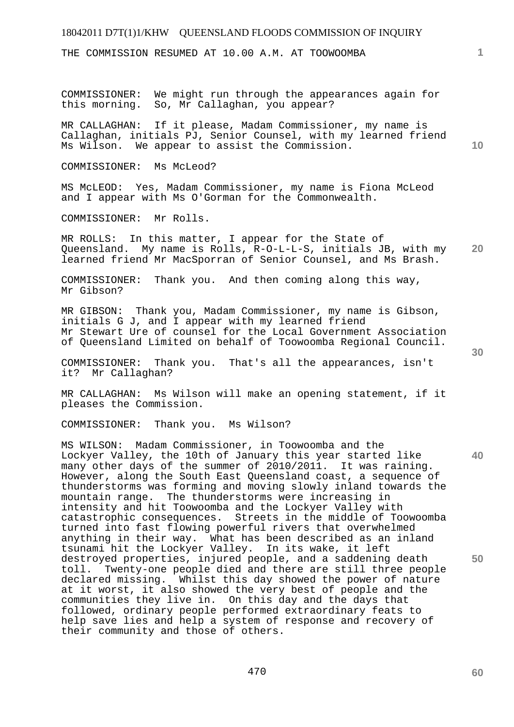THE COMMISSION RESUMED AT 10.00 A.M. AT TOOWOOMBA

COMMISSIONER: We might run through the appearances again for this morning. So, Mr Callaghan, you appear?

MR CALLAGHAN: If it please, Madam Commissioner, my name is Callaghan, initials PJ, Senior Counsel, with my learned friend Ms Wilson. We appear to assist the Commission.

COMMISSIONER: Ms McLeod?

MS McLEOD: Yes, Madam Commissioner, my name is Fiona McLeod and I appear with Ms O'Gorman for the Commonwealth.

COMMISSIONER: Mr Rolls.

**20**  MR ROLLS: In this matter, I appear for the State of Queensland. My name is Rolls, R-O-L-L-S, initials JB, with my learned friend Mr MacSporran of Senior Counsel, and Ms Brash.

COMMISSIONER: Thank you. And then coming along this way, Mr Gibson?

MR GIBSON: Thank you, Madam Commissioner, my name is Gibson, initials G J, and I appear with my learned friend Mr Stewart Ure of counsel for the Local Government Association of Queensland Limited on behalf of Toowoomba Regional Council.

COMMISSIONER: Thank you. That's all the appearances, isn't it? Mr Callaghan?

MR CALLAGHAN: Ms Wilson will make an opening statement, if it pleases the Commission.

COMMISSIONER: Thank you. Ms Wilson?

MS WILSON: Madam Commissioner, in Toowoomba and the Lockyer Valley, the 10th of January this year started like many other days of the summer of 2010/2011. It was raining. However, along the South East Queensland coast, a sequence of thunderstorms was forming and moving slowly inland towards the mountain range. The thunderstorms were increasing in intensity and hit Toowoomba and the Lockyer Valley with catastrophic consequences. Streets in the middle of Toowoomba turned into fast flowing powerful rivers that overwhelmed anything in their way. What has been described as an inland tsunami hit the Lockyer Valley. In its wake, it left destroyed properties, injured people, and a saddening death toll. Twenty-one people died and there are still three people declared missing. Whilst this day showed the power of nature at it worst, it also showed the very best of people and the communities they live in. On this day and the days that followed, ordinary people performed extraordinary feats to help save lies and help a system of response and recovery of their community and those of others.

**30** 

**40** 

**1**

**10**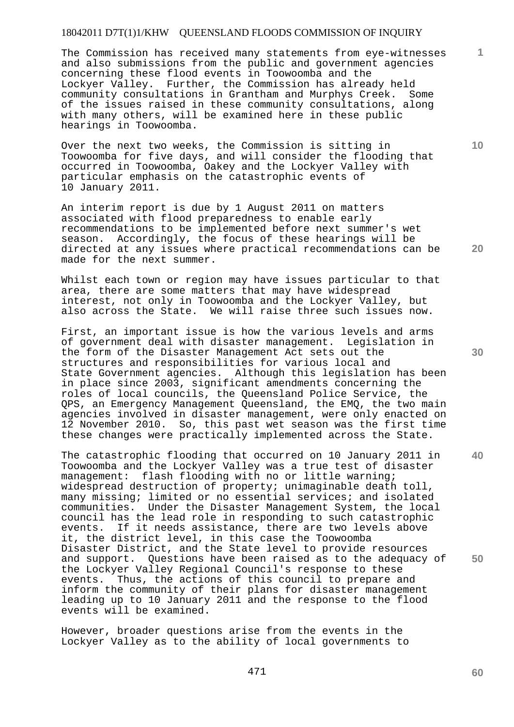The Commission has received many statements from eye-witnesses and also submissions from the public and government agencies concerning these flood events in Toowoomba and the Lockyer Valley. Further, the Commission has already held community consultations in Grantham and Murphys Creek. Some of the issues raised in these community consultations, along with many others, will be examined here in these public hearings in Toowoomba.

Over the next two weeks, the Commission is sitting in Toowoomba for five days, and will consider the flooding that occurred in Toowoomba, Oakey and the Lockyer Valley with particular emphasis on the catastrophic events of 10 January 2011.

An interim report is due by 1 August 2011 on matters associated with flood preparedness to enable early recommendations to be implemented before next summer's wet season. Accordingly, the focus of these hearings will be directed at any issues where practical recommendations can be made for the next summer.

Whilst each town or region may have issues particular to that area, there are some matters that may have widespread interest, not only in Toowoomba and the Lockyer Valley, but also across the State. We will raise three such issues now.

First, an important issue is how the various levels and arms of government deal with disaster management. Legislation in the form of the Disaster Management Act sets out the structures and responsibilities for various local and State Government agencies. Although this legislation has been in place since 2003, significant amendments concerning the roles of local councils, the Queensland Police Service, the QPS, an Emergency Management Queensland, the EMQ, the two main agencies involved in disaster management, were only enacted on 12 November 2010. So, this past wet season was the first time these changes were practically implemented across the State.

The catastrophic flooding that occurred on 10 January 2011 in Toowoomba and the Lockyer Valley was a true test of disaster<br>management: flash flooding with no or little warning; flash flooding with no or little warning; widespread destruction of property; unimaginable death toll, many missing; limited or no essential services; and isolated communities. Under the Disaster Management System, the local council has the lead role in responding to such catastrophic<br>events. If it needs assistance, there are two levels above If it needs assistance, there are two levels above it, the district level, in this case the Toowoomba Disaster District, and the State level to provide resources and support. Questions have been raised as to the adequacy of the Lockyer Valley Regional Council's response to these events. Thus, the actions of this council to prepare and inform the community of their plans for disaster management leading up to 10 January 2011 and the response to the flood events will be examined.

However, broader questions arise from the events in the Lockyer Valley as to the ability of local governments to **30** 

**40** 

**60** 

**20** 

**1**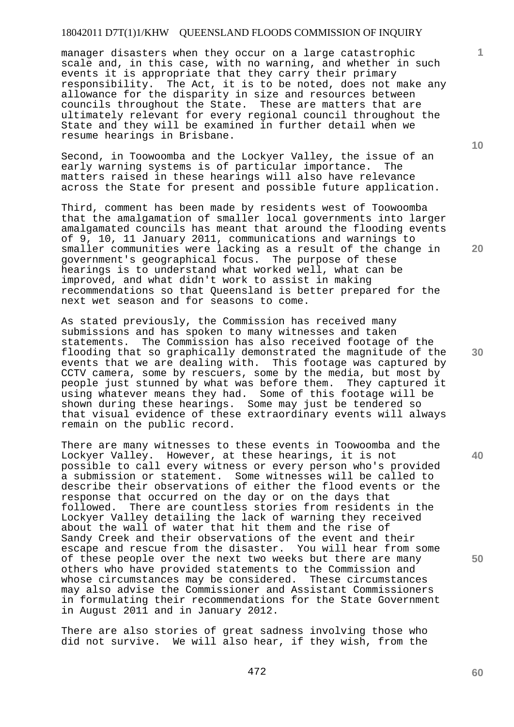manager disasters when they occur on a large catastrophic scale and, in this case, with no warning, and whether in such events it is appropriate that they carry their primary responsibility. The Act, it is to be noted, does not make any allowance for the disparity in size and resources between councils throughout the State. These are matters that are ultimately relevant for every regional council throughout the State and they will be examined in further detail when we resume hearings in Brisbane.

Second, in Toowoomba and the Lockyer Valley, the issue of an early warning systems is of particular importance. The matters raised in these hearings will also have relevance across the State for present and possible future application.

Third, comment has been made by residents west of Toowoomba that the amalgamation of smaller local governments into larger amalgamated councils has meant that around the flooding events of 9, 10, 11 January 2011, communications and warnings to smaller communities were lacking as a result of the change in government's geographical focus. The purpose of these hearings is to understand what worked well, what can be improved, and what didn't work to assist in making recommendations so that Queensland is better prepared for the next wet season and for seasons to come.

As stated previously, the Commission has received many submissions and has spoken to many witnesses and taken statements. The Commission has also received footage of the flooding that so graphically demonstrated the magnitude of the events that we are dealing with. This footage was captured by CCTV camera, some by rescuers, some by the media, but most by people just stunned by what was before them. They captured it using whatever means they had. Some of this footage will be shown during these hearings. Some may just be tendered so that visual evidence of these extraordinary events will always remain on the public record.

There are many witnesses to these events in Toowoomba and the Lockyer Valley. However, at these hearings, it is not possible to call every witness or every person who's provided a submission or statement. Some witnesses will be called to describe their observations of either the flood events or the response that occurred on the day or on the days that followed. There are countless stories from residents in the Lockyer Valley detailing the lack of warning they received about the wall of water that hit them and the rise of Sandy Creek and their observations of the event and their escape and rescue from the disaster. You will hear from some of these people over the next two weeks but there are many others who have provided statements to the Commission and whose circumstances may be considered. These circumstances may also advise the Commissioner and Assistant Commissioners in formulating their recommendations for the State Government in August 2011 and in January 2012.

There are also stories of great sadness involving those who did not survive. We will also hear, if they wish, from the

472

**10** 

**1**

**20** 

**40**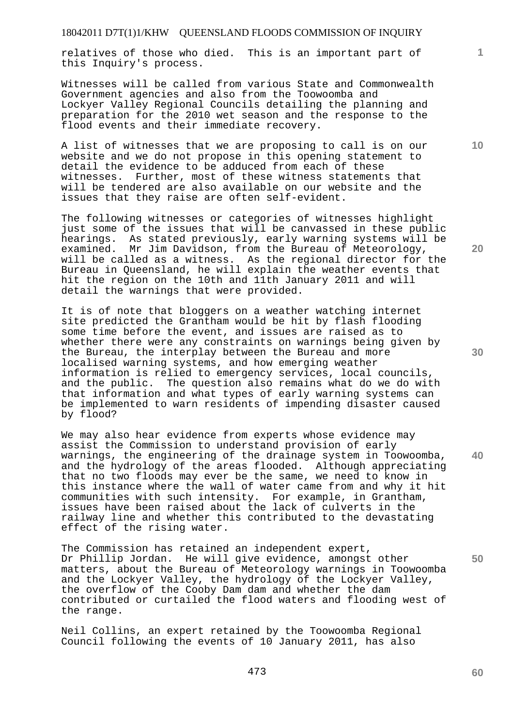relatives of those who died. This is an important part of this Inquiry's process.

Witnesses will be called from various State and Commonwealth Government agencies and also from the Toowoomba and Lockyer Valley Regional Councils detailing the planning and preparation for the 2010 wet season and the response to the flood events and their immediate recovery.

A list of witnesses that we are proposing to call is on our website and we do not propose in this opening statement to detail the evidence to be adduced from each of these witnesses. Further, most of these witness statements that will be tendered are also available on our website and the issues that they raise are often self-evident.

The following witnesses or categories of witnesses highlight just some of the issues that will be canvassed in these public hearings. As stated previously, early warning systems will be examined. Mr Jim Davidson, from the Bureau of Meteorology, will be called as a witness. As the regional director for the Bureau in Queensland, he will explain the weather events that hit the region on the 10th and 11th January 2011 and will detail the warnings that were provided.

It is of note that bloggers on a weather watching internet site predicted the Grantham would be hit by flash flooding some time before the event, and issues are raised as to whether there were any constraints on warnings being given by the Bureau, the interplay between the Bureau and more localised warning systems, and how emerging weather information is relied to emergency services, local councils, and the public. The question also remains what do we do with that information and what types of early warning systems can be implemented to warn residents of impending disaster caused by flood?

We may also hear evidence from experts whose evidence may assist the Commission to understand provision of early warnings, the engineering of the drainage system in Toowoomba, and the hydrology of the areas flooded. Although appreciating that no two floods may ever be the same, we need to know in this instance where the wall of water came from and why it hit communities with such intensity. For example, in Grantham, issues have been raised about the lack of culverts in the railway line and whether this contributed to the devastating effect of the rising water.

The Commission has retained an independent expert, Dr Phillip Jordan. He will give evidence, amongst other matters, about the Bureau of Meteorology warnings in Toowoomba and the Lockyer Valley, the hydrology of the Lockyer Valley, the overflow of the Cooby Dam dam and whether the dam contributed or curtailed the flood waters and flooding west of the range.

Neil Collins, an expert retained by the Toowoomba Regional Council following the events of 10 January 2011, has also

**10** 

**1**

**20** 

**30** 

**40** 

**50**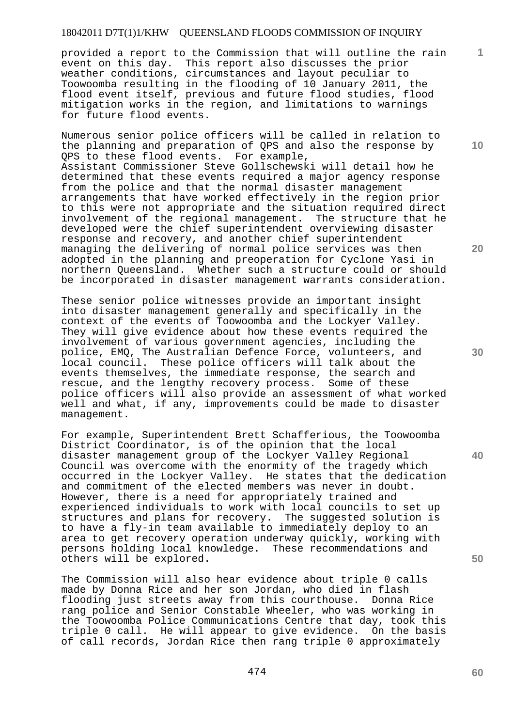provided a report to the Commission that will outline the rain event on this day. This report also discusses the prior weather conditions, circumstances and layout peculiar to Toowoomba resulting in the flooding of 10 January 2011, the flood event itself, previous and future flood studies, flood mitigation works in the region, and limitations to warnings for future flood events.

Numerous senior police officers will be called in relation to the planning and preparation of QPS and also the response by QPS to these flood events. For example, Assistant Commissioner Steve Gollschewski will detail how he determined that these events required a major agency response from the police and that the normal disaster management arrangements that have worked effectively in the region prior to this were not appropriate and the situation required direct involvement of the regional management. The structure that he developed were the chief superintendent overviewing disaster response and recovery, and another chief superintendent managing the delivering of normal police services was then adopted in the planning and preoperation for Cyclone Yasi in northern Queensland. Whether such a structure could or should be incorporated in disaster management warrants consideration.

These senior police witnesses provide an important insight into disaster management generally and specifically in the context of the events of Toowoomba and the Lockyer Valley. They will give evidence about how these events required the involvement of various government agencies, including the police, EMQ, The Australian Defence Force, volunteers, and local council. These police officers will talk about the events themselves, the immediate response, the search and rescue, and the lengthy recovery process. Some of these police officers will also provide an assessment of what worked well and what, if any, improvements could be made to disaster management.

For example, Superintendent Brett Schafferious, the Toowoomba District Coordinator, is of the opinion that the local disaster management group of the Lockyer Valley Regional Council was overcome with the enormity of the tragedy which occurred in the Lockyer Valley. He states that the dedication and commitment of the elected members was never in doubt. However, there is a need for appropriately trained and experienced individuals to work with local councils to set up structures and plans for recovery. The suggested solution is to have a fly-in team available to immediately deploy to an area to get recovery operation underway quickly, working with persons holding local knowledge. These recommendations and others will be explored.

The Commission will also hear evidence about triple 0 calls made by Donna Rice and her son Jordan, who died in flash flooding just streets away from this courthouse. Donna Rice rang police and Senior Constable Wheeler, who was working in the Toowoomba Police Communications Centre that day, took this triple 0 call. He will appear to give evidence. On the basis of call records, Jordan Rice then rang triple 0 approximately

**20** 

**40** 

**50** 

**1**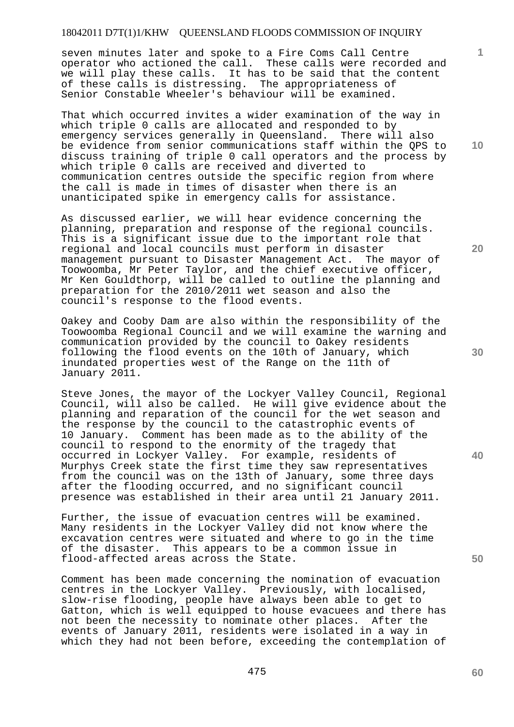seven minutes later and spoke to a Fire Coms Call Centre operator who actioned the call. These calls were recorded and we will play these calls. It has to be said that the content of these calls is distressing. The appropriateness of Senior Constable Wheeler's behaviour will be examined.

That which occurred invites a wider examination of the way in which triple 0 calls are allocated and responded to by emergency services generally in Queensland. There will also be evidence from senior communications staff within the QPS to discuss training of triple 0 call operators and the process by which triple 0 calls are received and diverted to communication centres outside the specific region from where the call is made in times of disaster when there is an unanticipated spike in emergency calls for assistance.

As discussed earlier, we will hear evidence concerning the planning, preparation and response of the regional councils. This is a significant issue due to the important role that regional and local councils must perform in disaster management pursuant to Disaster Management Act. The mayor of Toowoomba, Mr Peter Taylor, and the chief executive officer, Mr Ken Gouldthorp, will be called to outline the planning and preparation for the 2010/2011 wet season and also the council's response to the flood events.

Oakey and Cooby Dam are also within the responsibility of the Toowoomba Regional Council and we will examine the warning and communication provided by the council to Oakey residents following the flood events on the 10th of January, which inundated properties west of the Range on the 11th of January 2011.

Steve Jones, the mayor of the Lockyer Valley Council, Regional Council, will also be called. He will give evidence about the planning and reparation of the council for the wet season and the response by the council to the catastrophic events of 10 January. Comment has been made as to the ability of the council to respond to the enormity of the tragedy that occurred in Lockyer Valley. For example, residents of Murphys Creek state the first time they saw representatives from the council was on the 13th of January, some three days after the flooding occurred, and no significant council presence was established in their area until 21 January 2011.

Further, the issue of evacuation centres will be examined. Many residents in the Lockyer Valley did not know where the excavation centres were situated and where to go in the time of the disaster. This appears to be a common issue in flood-affected areas across the State.

Comment has been made concerning the nomination of evacuation centres in the Lockyer Valley. Previously, with localised, slow-rise flooding, people have always been able to get to Gatton, which is well equipped to house evacuees and there has not been the necessity to nominate other places. After the events of January 2011, residents were isolated in a way in which they had not been before, exceeding the contemplation of **10** 

**1**

**20** 

**30** 

**40**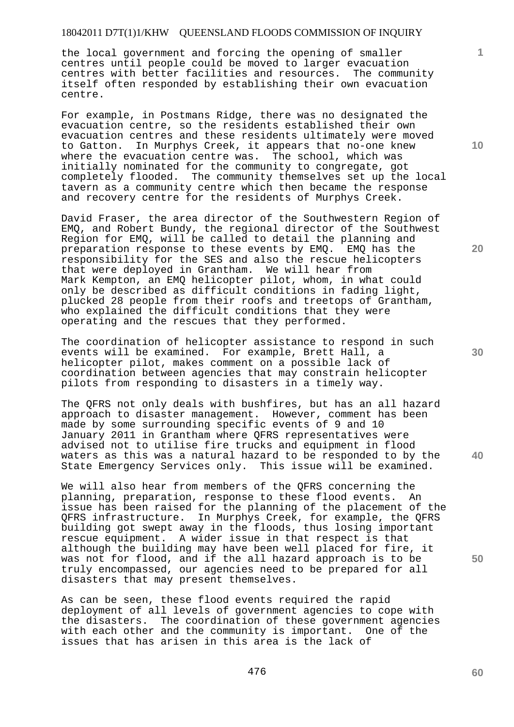the local government and forcing the opening of smaller centres until people could be moved to larger evacuation centres with better facilities and resources. The community itself often responded by establishing their own evacuation centre.

For example, in Postmans Ridge, there was no designated the evacuation centre, so the residents established their own evacuation centres and these residents ultimately were moved to Gatton. In Murphys Creek, it appears that no-one knew where the evacuation centre was. The school, which was initially nominated for the community to congregate, got completely flooded. The community themselves set up the local tavern as a community centre which then became the response and recovery centre for the residents of Murphys Creek.

David Fraser, the area director of the Southwestern Region of EMQ, and Robert Bundy, the regional director of the Southwest Region for EMQ, will be called to detail the planning and preparation response to these events by EMQ. EMQ has the responsibility for the SES and also the rescue helicopters that were deployed in Grantham. We will hear from Mark Kempton, an EMQ helicopter pilot, whom, in what could only be described as difficult conditions in fading light, plucked 28 people from their roofs and treetops of Grantham, who explained the difficult conditions that they were operating and the rescues that they performed.

The coordination of helicopter assistance to respond in such events will be examined. For example, Brett Hall, a helicopter pilot, makes comment on a possible lack of coordination between agencies that may constrain helicopter pilots from responding to disasters in a timely way.

The QFRS not only deals with bushfires, but has an all hazard approach to disaster management. However, comment has been made by some surrounding specific events of 9 and 10 January 2011 in Grantham where QFRS representatives were advised not to utilise fire trucks and equipment in flood waters as this was a natural hazard to be responded to by the State Emergency Services only. This issue will be examined.

We will also hear from members of the QFRS concerning the planning, preparation, response to these flood events. An issue has been raised for the planning of the placement of the QFRS infrastructure. In Murphys Creek, for example, the QFRS building got swept away in the floods, thus losing important rescue equipment. A wider issue in that respect is that although the building may have been well placed for fire, it was not for flood, and if the all hazard approach is to be truly encompassed, our agencies need to be prepared for all disasters that may present themselves.

As can be seen, these flood events required the rapid deployment of all levels of government agencies to cope with the disasters. The coordination of these government agencies with each other and the community is important. One of the issues that has arisen in this area is the lack of

**10** 

**1**

**20** 

**50**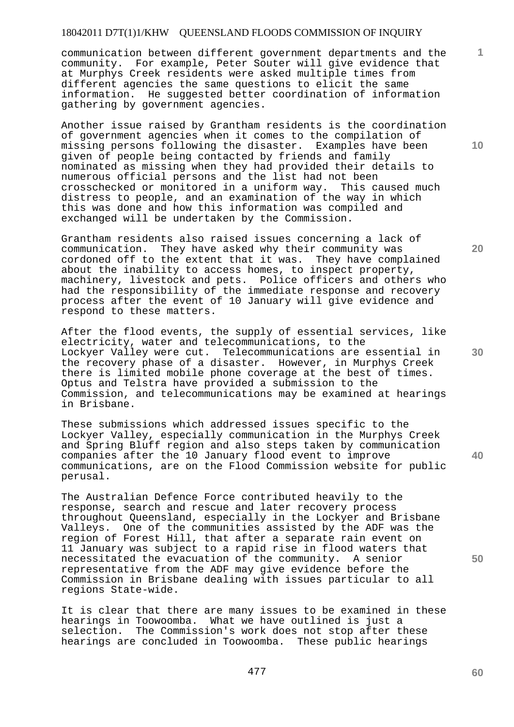communication between different government departments and the community. For example, Peter Souter will give evidence that at Murphys Creek residents were asked multiple times from different agencies the same questions to elicit the same information. He suggested better coordination of information gathering by government agencies.

Another issue raised by Grantham residents is the coordination of government agencies when it comes to the compilation of missing persons following the disaster. Examples have been given of people being contacted by friends and family nominated as missing when they had provided their details to numerous official persons and the list had not been crosschecked or monitored in a uniform way. This caused much distress to people, and an examination of the way in which this was done and how this information was compiled and exchanged will be undertaken by the Commission.

Grantham residents also raised issues concerning a lack of communication. They have asked why their community was cordoned off to the extent that it was. They have complained about the inability to access homes, to inspect property, machinery, livestock and pets. Police officers and others who had the responsibility of the immediate response and recovery process after the event of 10 January will give evidence and respond to these matters.

After the flood events, the supply of essential services, like electricity, water and telecommunications, to the Lockyer Valley were cut. Telecommunications are essential in the recovery phase of a disaster. However, in Murphys Creek there is limited mobile phone coverage at the best of times. Optus and Telstra have provided a submission to the Commission, and telecommunications may be examined at hearings in Brisbane.

These submissions which addressed issues specific to the Lockyer Valley, especially communication in the Murphys Creek and Spring Bluff region and also steps taken by communication companies after the 10 January flood event to improve communications, are on the Flood Commission website for public perusal.

The Australian Defence Force contributed heavily to the response, search and rescue and later recovery process throughout Queensland, especially in the Lockyer and Brisbane Valleys. One of the communities assisted by the ADF was the region of Forest Hill, that after a separate rain event on 11 January was subject to a rapid rise in flood waters that necessitated the evacuation of the community. A senior representative from the ADF may give evidence before the Commission in Brisbane dealing with issues particular to all regions State-wide.

It is clear that there are many issues to be examined in these hearings in Toowoomba. What we have outlined is just a selection. The Commission's work does not stop after these hearings are concluded in Toowoomba. These public hearings

**10** 

**1**

**20** 

**40**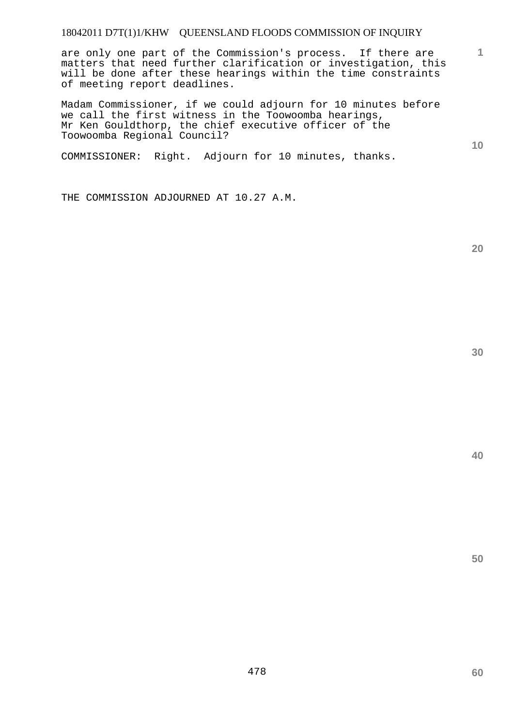are only one part of the Commission's process. If there are matters that need further clarification or investigation, this will be done after these hearings within the time constraints of meeting report deadlines.

Madam Commissioner, if we could adjourn for 10 minutes before we call the first witness in the Toowoomba hearings, Mr Ken Gouldthorp, the chief executive officer of the Toowoomba Regional Council?

COMMISSIONER: Right. Adjourn for 10 minutes, thanks.

THE COMMISSION ADJOURNED AT 10.27 A.M.

**20** 

**60** 

**50** 

**1**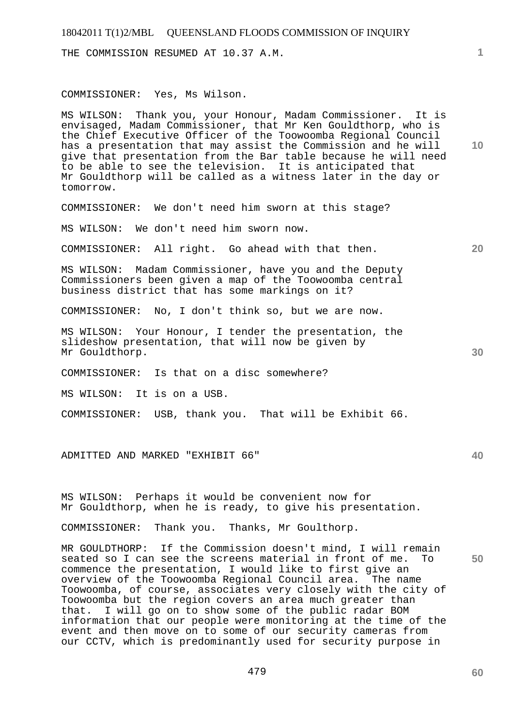THE COMMISSION RESUMED AT 10.37 A.M.

#### COMMISSIONER: Yes, Ms Wilson.

MS WILSON: Thank you, your Honour, Madam Commissioner. It is envisaged, Madam Commissioner, that Mr Ken Gouldthorp, who is the Chief Executive Officer of the Toowoomba Regional Council has a presentation that may assist the Commission and he will give that presentation from the Bar table because he will need to be able to see the television. It is anticipated that Mr Gouldthorp will be called as a witness later in the day or tomorrow.

COMMISSIONER: We don't need him sworn at this stage?

MS WILSON: We don't need him sworn now.

COMMISSIONER: All right. Go ahead with that then.

MS WILSON: Madam Commissioner, have you and the Deputy Commissioners been given a map of the Toowoomba central business district that has some markings on it?

COMMISSIONER: No, I don't think so, but we are now.

MS WILSON: Your Honour, I tender the presentation, the slideshow presentation, that will now be given by Mr Gouldthorp.

COMMISSIONER: Is that on a disc somewhere?

MS WILSON: It is on a USB.

COMMISSIONER: USB, thank you. That will be Exhibit 66.

ADMITTED AND MARKED "EXHIBIT 66"

MS WILSON: Perhaps it would be convenient now for Mr Gouldthorp, when he is ready, to give his presentation.

COMMISSIONER: Thank you. Thanks, Mr Goulthorp.

MR GOULDTHORP: If the Commission doesn't mind, I will remain seated so I can see the screens material in front of me. To commence the presentation, I would like to first give an overview of the Toowoomba Regional Council area. The name Toowoomba, of course, associates very closely with the city of Toowoomba but the region covers an area much greater than that. I will go on to show some of the public radar BOM information that our people were monitoring at the time of the event and then move on to some of our security cameras from our CCTV, which is predominantly used for security purpose in

**10** 

**20** 

**30** 

**40**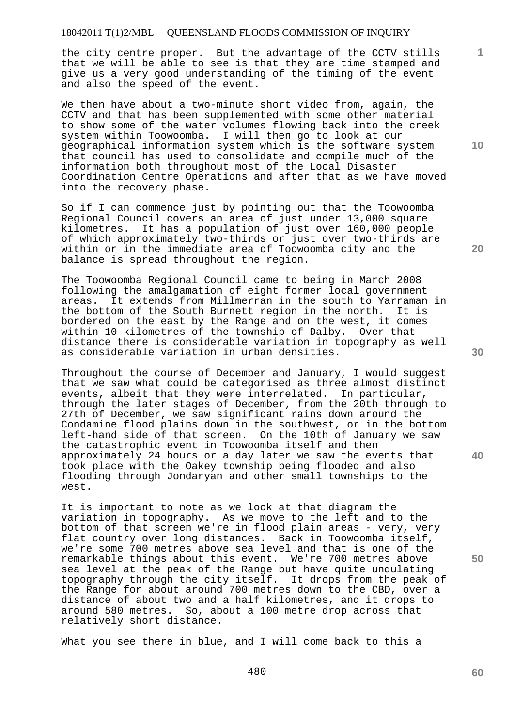the city centre proper. But the advantage of the CCTV stills that we will be able to see is that they are time stamped and give us a very good understanding of the timing of the event and also the speed of the event.

We then have about a two-minute short video from, again, the CCTV and that has been supplemented with some other material to show some of the water volumes flowing back into the creek system within Toowoomba. I will then go to look at our geographical information system which is the software system that council has used to consolidate and compile much of the information both throughout most of the Local Disaster Coordination Centre Operations and after that as we have moved into the recovery phase.

So if I can commence just by pointing out that the Toowoomba Regional Council covers an area of just under 13,000 square kilometres. It has a population of just over 160,000 people of which approximately two-thirds or just over two-thirds are within or in the immediate area of Toowoomba city and the balance is spread throughout the region.

The Toowoomba Regional Council came to being in March 2008 following the amalgamation of eight former local government areas. It extends from Millmerran in the south to Yarraman in the bottom of the South Burnett region in the north. It is bordered on the east by the Range and on the west, it comes within 10 kilometres of the township of Dalby. Over that distance there is considerable variation in topography as well as considerable variation in urban densities.

Throughout the course of December and January, I would suggest that we saw what could be categorised as three almost distinct events, albeit that they were interrelated. In particular, through the later stages of December, from the 20th through to 27th of December, we saw significant rains down around the Condamine flood plains down in the southwest, or in the bottom left-hand side of that screen. On the 10th of January we saw the catastrophic event in Toowoomba itself and then approximately 24 hours or a day later we saw the events that took place with the Oakey township being flooded and also flooding through Jondaryan and other small townships to the west.

It is important to note as we look at that diagram the variation in topography. As we move to the left and to the bottom of that screen we're in flood plain areas - very, very flat country over long distances. Back in Toowoomba itself, we're some 700 metres above sea level and that is one of the remarkable things about this event. We're 700 metres above sea level at the peak of the Range but have quite undulating topography through the city itself. It drops from the peak of the Range for about around 700 metres down to the CBD, over a distance of about two and a half kilometres, and it drops to around 580 metres. So, about a 100 metre drop across that relatively short distance.

What you see there in blue, and I will come back to this a

480

**30** 

**40** 

**50** 

**20** 

**1**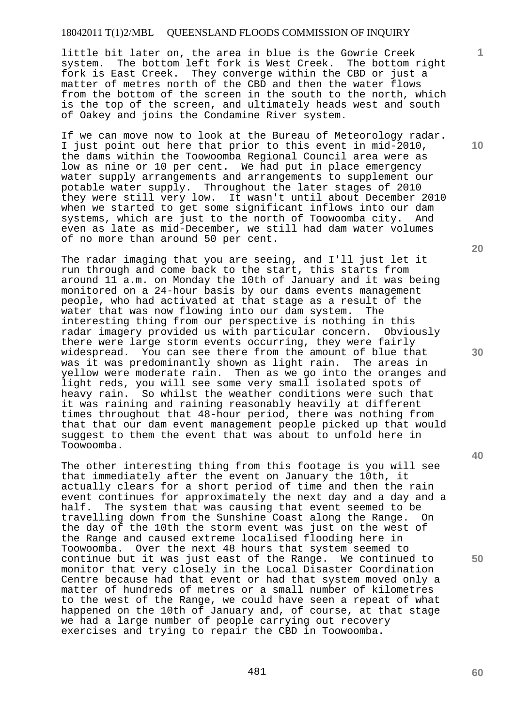little bit later on, the area in blue is the Gowrie Creek system. The bottom left fork is West Creek. The bottom right fork is East Creek. They converge within the CBD or just a matter of metres north of the CBD and then the water flows from the bottom of the screen in the south to the north, which is the top of the screen, and ultimately heads west and south of Oakey and joins the Condamine River system.

If we can move now to look at the Bureau of Meteorology radar. I just point out here that prior to this event in mid-2010, the dams within the Toowoomba Regional Council area were as low as nine or 10 per cent. We had put in place emergency water supply arrangements and arrangements to supplement our potable water supply. Throughout the later stages of 2010 they were still very low. It wasn't until about December 2010 when we started to get some significant inflows into our dam systems, which are just to the north of Toowoomba city. And even as late as mid-December, we still had dam water volumes of no more than around 50 per cent.

The radar imaging that you are seeing, and I'll just let it run through and come back to the start, this starts from around 11 a.m. on Monday the 10th of January and it was being monitored on a 24-hour basis by our dams events management people, who had activated at that stage as a result of the water that was now flowing into our dam system. The interesting thing from our perspective is nothing in this radar imagery provided us with particular concern. Obviously there were large storm events occurring, they were fairly widespread. You can see there from the amount of blue that was it was predominantly shown as light rain. The areas in yellow were moderate rain. Then as we go into the oranges and light reds, you will see some very small isolated spots of heavy rain. So whilst the weather conditions were such that it was raining and raining reasonably heavily at different times throughout that 48-hour period, there was nothing from that that our dam event management people picked up that would suggest to them the event that was about to unfold here in Toowoomba.

The other interesting thing from this footage is you will see that immediately after the event on January the 10th, it actually clears for a short period of time and then the rain event continues for approximately the next day and a day and a half. The system that was causing that event seemed to be travelling down from the Sunshine Coast along the Range. On the day of the 10th the storm event was just on the west of the Range and caused extreme localised flooding here in Toowoomba. Over the next 48 hours that system seemed to continue but it was just east of the Range. We continued to monitor that very closely in the Local Disaster Coordination Centre because had that event or had that system moved only a matter of hundreds of metres or a small number of kilometres to the west of the Range, we could have seen a repeat of what happened on the 10th of January and, of course, at that stage we had a large number of people carrying out recovery exercises and trying to repair the CBD in Toowoomba.

**20** 

**1**

**10** 

**30** 

**40**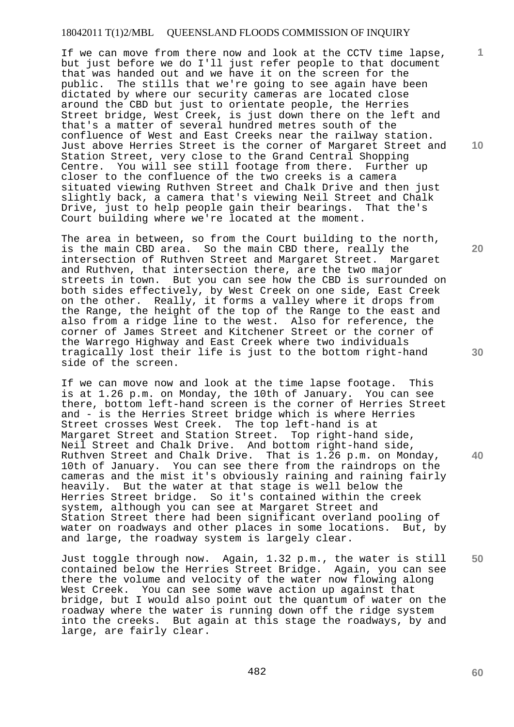If we can move from there now and look at the CCTV time lapse, but just before we do I'll just refer people to that document that was handed out and we have it on the screen for the public. The stills that we're going to see again have been dictated by where our security cameras are located close around the CBD but just to orientate people, the Herries Street bridge, West Creek, is just down there on the left and that's a matter of several hundred metres south of the confluence of West and East Creeks near the railway station. Just above Herries Street is the corner of Margaret Street and Station Street, very close to the Grand Central Shopping Centre. You will see still footage from there. Further up closer to the confluence of the two creeks is a camera situated viewing Ruthven Street and Chalk Drive and then just slightly back, a camera that's viewing Neil Street and Chalk Drive, just to help people gain their bearings. That the's Court building where we're located at the moment.

The area in between, so from the Court building to the north, is the main CBD area. So the main CBD there, really the intersection of Ruthven Street and Margaret Street. Margaret and Ruthven, that intersection there, are the two major streets in town. But you can see how the CBD is surrounded on both sides effectively, by West Creek on one side, East Creek on the other. Really, it forms a valley where it drops from the Range, the height of the top of the Range to the east and also from a ridge line to the west. Also for reference, the corner of James Street and Kitchener Street or the corner of the Warrego Highway and East Creek where two individuals tragically lost their life is just to the bottom right-hand side of the screen.

If we can move now and look at the time lapse footage. This is at 1.26 p.m. on Monday, the 10th of January. You can see there, bottom left-hand screen is the corner of Herries Street and - is the Herries Street bridge which is where Herries Street crosses West Creek. The top left-hand is at Margaret Street and Station Street. Top right-hand side, Neil Street and Chalk Drive. And bottom right-hand side, Ruthven Street and Chalk Drive. That is 1.26 p.m. on Monday, 10th of January. You can see there from the raindrops on the cameras and the mist it's obviously raining and raining fairly heavily. But the water at that stage is well below the Herries Street bridge. So it's contained within the creek system, although you can see at Margaret Street and Station Street there had been significant overland pooling of water on roadways and other places in some locations. But, by and large, the roadway system is largely clear.

Just toggle through now. Again, 1.32 p.m., the water is still contained below the Herries Street Bridge. Again, you can see there the volume and velocity of the water now flowing along West Creek. You can see some wave action up against that bridge, but I would also point out the quantum of water on the roadway where the water is running down off the ridge system into the creeks. But again at this stage the roadways, by and large, are fairly clear.

**10** 

**1**

**20** 

**30** 

**40**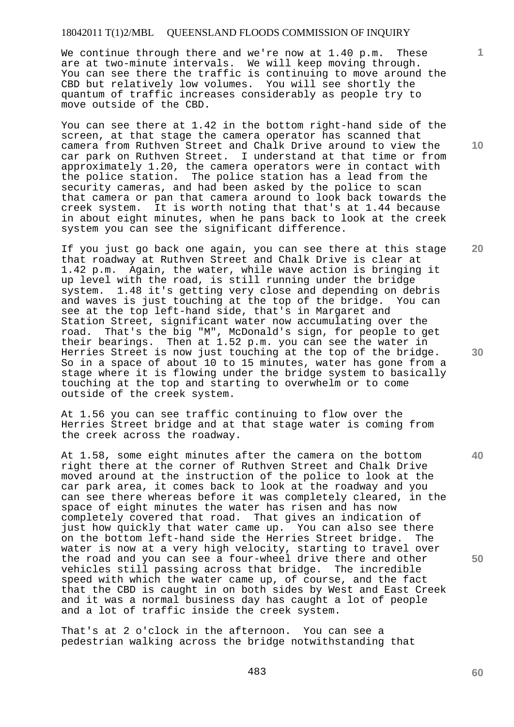We continue through there and we're now at 1.40 p.m. These are at two-minute intervals. We will keep moving through. You can see there the traffic is continuing to move around the CBD but relatively low volumes. You will see shortly the quantum of traffic increases considerably as people try to move outside of the CBD.

You can see there at 1.42 in the bottom right-hand side of the screen, at that stage the camera operator has scanned that camera from Ruthven Street and Chalk Drive around to view the car park on Ruthven Street. I understand at that time or from approximately 1.20, the camera operators were in contact with the police station. The police station has a lead from the security cameras, and had been asked by the police to scan that camera or pan that camera around to look back towards the creek system. It is worth noting that that's at 1.44 because in about eight minutes, when he pans back to look at the creek system you can see the significant difference.

If you just go back one again, you can see there at this stage that roadway at Ruthven Street and Chalk Drive is clear at 1.42 p.m. Again, the water, while wave action is bringing it up level with the road, is still running under the bridge system. 1.48 it's getting very close and depending on debris and waves is just touching at the top of the bridge. You can see at the top left-hand side, that's in Margaret and Station Street, significant water now accumulating over the road. That's the big "M", McDonald's sign, for people to get their bearings. Then at 1.52 p.m. you can see the water in Herries Street is now just touching at the top of the bridge. So in a space of about 10 to 15 minutes, water has gone from a stage where it is flowing under the bridge system to basically touching at the top and starting to overwhelm or to come outside of the creek system.

At 1.56 you can see traffic continuing to flow over the Herries Street bridge and at that stage water is coming from the creek across the roadway.

At 1.58, some eight minutes after the camera on the bottom right there at the corner of Ruthven Street and Chalk Drive moved around at the instruction of the police to look at the car park area, it comes back to look at the roadway and you can see there whereas before it was completely cleared, in the space of eight minutes the water has risen and has now completely covered that road. That gives an indication of just how quickly that water came up. You can also see there on the bottom left-hand side the Herries Street bridge. The water is now at a very high velocity, starting to travel over the road and you can see a four-wheel drive there and other vehicles still passing across that bridge. The incredible speed with which the water came up, of course, and the fact that the CBD is caught in on both sides by West and East Creek and it was a normal business day has caught a lot of people and a lot of traffic inside the creek system.

That's at 2 o'clock in the afternoon. You can see a pedestrian walking across the bridge notwithstanding that

483

**30** 

**20** 

**40** 

**50** 

**60** 

**1**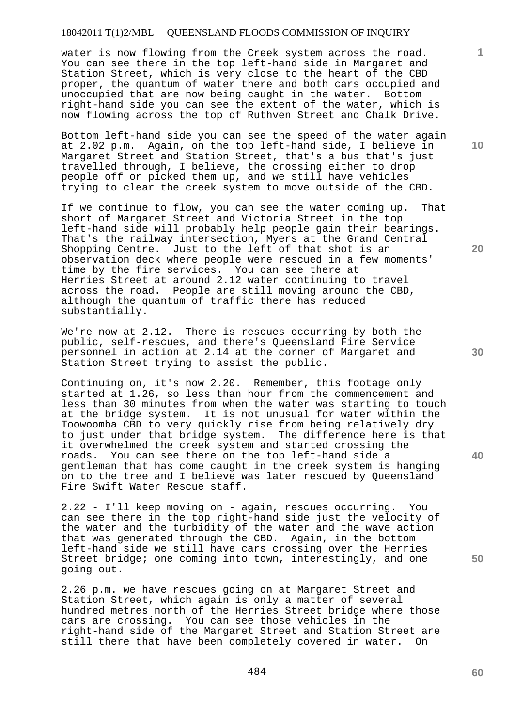water is now flowing from the Creek system across the road. You can see there in the top left-hand side in Margaret and Station Street, which is very close to the heart of the CBD proper, the quantum of water there and both cars occupied and unoccupied that are now being caught in the water. Bottom right-hand side you can see the extent of the water, which is now flowing across the top of Ruthven Street and Chalk Drive.

Bottom left-hand side you can see the speed of the water again at 2.02 p.m. Again, on the top left-hand side, I believe in Margaret Street and Station Street, that's a bus that's just travelled through, I believe, the crossing either to drop people off or picked them up, and we still have vehicles trying to clear the creek system to move outside of the CBD.

If we continue to flow, you can see the water coming up. That short of Margaret Street and Victoria Street in the top left-hand side will probably help people gain their bearings. That's the railway intersection, Myers at the Grand Central Shopping Centre. Just to the left of that shot is an observation deck where people were rescued in a few moments' time by the fire services. You can see there at Herries Street at around 2.12 water continuing to travel across the road. People are still moving around the CBD, although the quantum of traffic there has reduced substantially.

We're now at 2.12. There is rescues occurring by both the public, self-rescues, and there's Queensland Fire Service personnel in action at 2.14 at the corner of Margaret and Station Street trying to assist the public.

Continuing on, it's now 2.20. Remember, this footage only started at 1.26, so less than hour from the commencement and less than 30 minutes from when the water was starting to touch at the bridge system. It is not unusual for water within the Toowoomba CBD to very quickly rise from being relatively dry to just under that bridge system. The difference here is that it overwhelmed the creek system and started crossing the roads. You can see there on the top left-hand side a gentleman that has come caught in the creek system is hanging on to the tree and I believe was later rescued by Queensland Fire Swift Water Rescue staff.

2.22 - I'll keep moving on - again, rescues occurring. You can see there in the top right-hand side just the velocity of the water and the turbidity of the water and the wave action that was generated through the CBD. Again, in the bottom left-hand side we still have cars crossing over the Herries Street bridge; one coming into town, interestingly, and one going out.

2.26 p.m. we have rescues going on at Margaret Street and Station Street, which again is only a matter of several hundred metres north of the Herries Street bridge where those cars are crossing. You can see those vehicles in the right-hand side of the Margaret Street and Station Street are still there that have been completely covered in water. On

**10** 

**1**

**20** 

**50**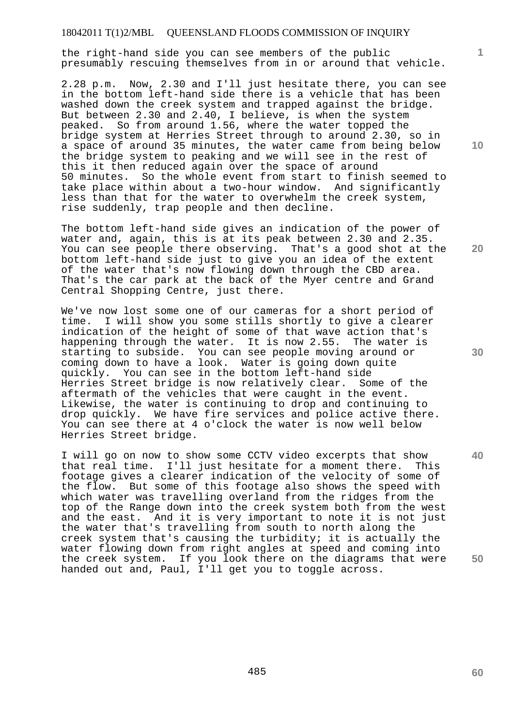the right-hand side you can see members of the public presumably rescuing themselves from in or around that vehicle.

2.28 p.m. Now, 2.30 and I'll just hesitate there, you can see in the bottom left-hand side there is a vehicle that has been washed down the creek system and trapped against the bridge. But between 2.30 and 2.40, I believe, is when the system peaked. So from around 1.56, where the water topped the bridge system at Herries Street through to around 2.30, so in a space of around 35 minutes, the water came from being below the bridge system to peaking and we will see in the rest of this it then reduced again over the space of around 50 minutes. So the whole event from start to finish seemed to take place within about a two-hour window. And significantly less than that for the water to overwhelm the creek system, rise suddenly, trap people and then decline.

The bottom left-hand side gives an indication of the power of water and, again, this is at its peak between 2.30 and 2.35. You can see people there observing. That's a good shot at the bottom left-hand side just to give you an idea of the extent of the water that's now flowing down through the CBD area. That's the car park at the back of the Myer centre and Grand Central Shopping Centre, just there.

We've now lost some one of our cameras for a short period of time. I will show you some stills shortly to give a clearer indication of the height of some of that wave action that's happening through the water. It is now 2.55. The water is starting to subside. You can see people moving around or coming down to have a look. Water is going down quite quickly. You can see in the bottom left-hand side<br>Herries Street bridge is now relatively clear. Some of the Herries Street bridge is now relatively clear. aftermath of the vehicles that were caught in the event. Likewise, the water is continuing to drop and continuing to drop quickly. We have fire services and police active there. You can see there at 4 o'clock the water is now well below Herries Street bridge.

I will go on now to show some CCTV video excerpts that show<br>that real time. I'll just hesitate for a moment there. This that real time. I'll just hesitate for a moment there. footage gives a clearer indication of the velocity of some of the flow. But some of this footage also shows the speed with which water was travelling overland from the ridges from the top of the Range down into the creek system both from the west and the east. And it is very important to note it is not just the water that's travelling from south to north along the creek system that's causing the turbidity; it is actually the water flowing down from right angles at speed and coming into the creek system. If you look there on the diagrams that were handed out and, Paul, I'll get you to toggle across.

**20** 

**10** 

**1**

**30** 

**40**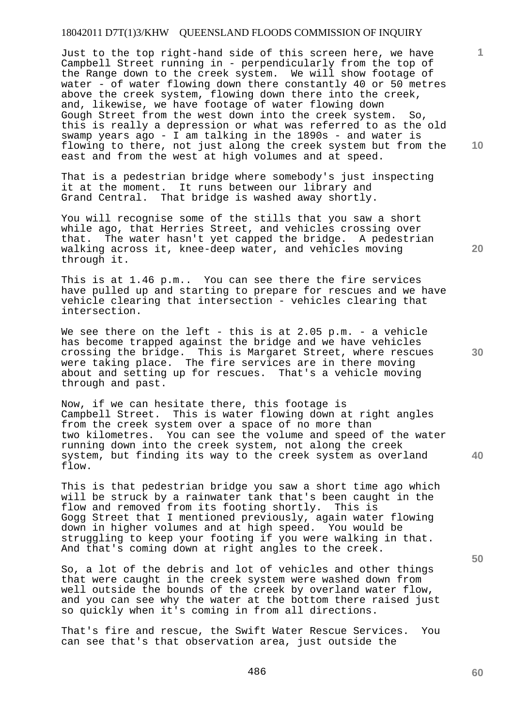Just to the top right-hand side of this screen here, we have Campbell Street running in - perpendicularly from the top of the Range down to the creek system. We will show footage of water - of water flowing down there constantly 40 or 50 metres above the creek system, flowing down there into the creek, and, likewise, we have footage of water flowing down Gough Street from the west down into the creek system. So, this is really a depression or what was referred to as the old swamp years ago - I am talking in the 1890s - and water is flowing to there, not just along the creek system but from the east and from the west at high volumes and at speed.

That is a pedestrian bridge where somebody's just inspecting it at the moment. It runs between our library and Grand Central. That bridge is washed away shortly.

You will recognise some of the stills that you saw a short while ago, that Herries Street, and vehicles crossing over that. The water hasn't yet capped the bridge. A pedestrian walking across it, knee-deep water, and vehicles moving through it.

This is at 1.46 p.m.. You can see there the fire services have pulled up and starting to prepare for rescues and we have vehicle clearing that intersection - vehicles clearing that intersection.

We see there on the left - this is at  $2.05$  p.m. - a vehicle has become trapped against the bridge and we have vehicles crossing the bridge. This is Margaret Street, where rescues were taking place. The fire services are in there moving about and setting up for rescues. That's a vehicle moving through and past.

Now, if we can hesitate there, this footage is Campbell Street. This is water flowing down at right angles from the creek system over a space of no more than two kilometres. You can see the volume and speed of the water running down into the creek system, not along the creek system, but finding its way to the creek system as overland flow.

This is that pedestrian bridge you saw a short time ago which will be struck by a rainwater tank that's been caught in the flow and removed from its footing shortly. This is Gogg Street that I mentioned previously, again water flowing down in higher volumes and at high speed. You would be struggling to keep your footing if you were walking in that. And that's coming down at right angles to the creek.

So, a lot of the debris and lot of vehicles and other things that were caught in the creek system were washed down from well outside the bounds of the creek by overland water flow, and you can see why the water at the bottom there raised just so quickly when it's coming in from all directions.

That's fire and rescue, the Swift Water Rescue Services. You can see that's that observation area, just outside the

**50** 

**40** 

**30** 

**20** 

**10** 

**1**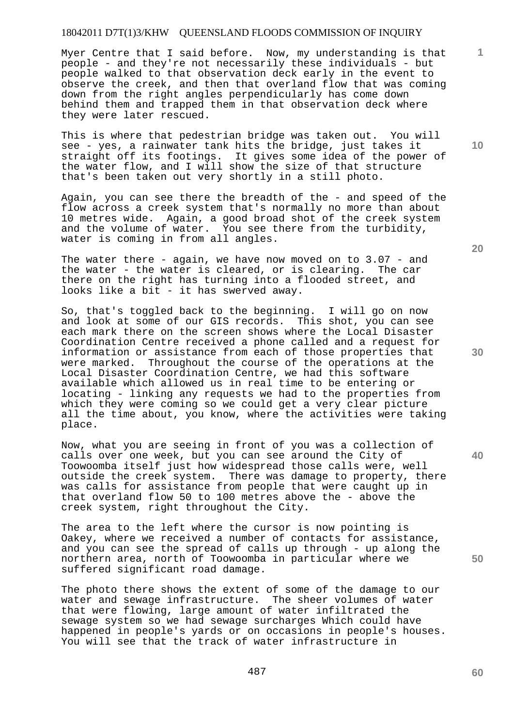Myer Centre that I said before. Now, my understanding is that people - and they're not necessarily these individuals - but people walked to that observation deck early in the event to observe the creek, and then that overland flow that was coming down from the right angles perpendicularly has come down behind them and trapped them in that observation deck where they were later rescued.

This is where that pedestrian bridge was taken out. You will see - yes, a rainwater tank hits the bridge, just takes it straight off its footings. It gives some idea of the power of the water flow, and I will show the size of that structure that's been taken out very shortly in a still photo.

Again, you can see there the breadth of the - and speed of the flow across a creek system that's normally no more than about 10 metres wide. Again, a good broad shot of the creek system and the volume of water. You see there from the turbidity, water is coming in from all angles.

The water there - again, we have now moved on to  $3.07$  - and the water - the water is cleared, or is clearing. The car there on the right has turning into a flooded street, and looks like a bit - it has swerved away.

So, that's toggled back to the beginning. I will go on now and look at some of our GIS records. This shot, you can see each mark there on the screen shows where the Local Disaster Coordination Centre received a phone called and a request for information or assistance from each of those properties that were marked. Throughout the course of the operations at the Local Disaster Coordination Centre, we had this software available which allowed us in real time to be entering or locating - linking any requests we had to the properties from which they were coming so we could get a very clear picture all the time about, you know, where the activities were taking place.

Now, what you are seeing in front of you was a collection of calls over one week, but you can see around the City of Toowoomba itself just how widespread those calls were, well outside the creek system. There was damage to property, there was calls for assistance from people that were caught up in that overland flow 50 to 100 metres above the - above the creek system, right throughout the City.

The area to the left where the cursor is now pointing is Oakey, where we received a number of contacts for assistance, and you can see the spread of calls up through - up along the northern area, north of Toowoomba in particular where we suffered significant road damage.

The photo there shows the extent of some of the damage to our water and sewage infrastructure. The sheer volumes of water that were flowing, large amount of water infiltrated the sewage system so we had sewage surcharges Which could have happened in people's yards or on occasions in people's houses. You will see that the track of water infrastructure in

**20** 

**50** 

**40** 

**1**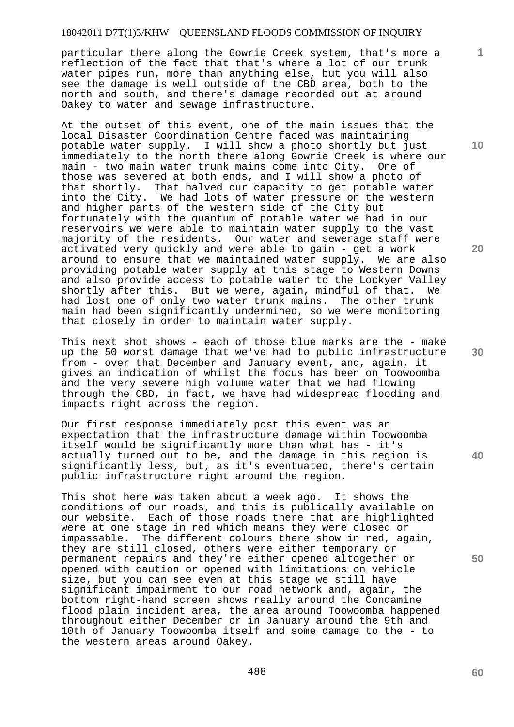particular there along the Gowrie Creek system, that's more a reflection of the fact that that's where a lot of our trunk water pipes run, more than anything else, but you will also see the damage is well outside of the CBD area, both to the north and south, and there's damage recorded out at around Oakey to water and sewage infrastructure.

At the outset of this event, one of the main issues that the local Disaster Coordination Centre faced was maintaining potable water supply. I will show a photo shortly but just immediately to the north there along Gowrie Creek is where our main - two main water trunk mains come into City. One of those was severed at both ends, and I will show a photo of that shortly. That halved our capacity to get potable water into the City. We had lots of water pressure on the western and higher parts of the western side of the City but fortunately with the quantum of potable water we had in our reservoirs we were able to maintain water supply to the vast majority of the residents. Our water and sewerage staff were activated very quickly and were able to gain - get a work around to ensure that we maintained water supply. We are also providing potable water supply at this stage to Western Downs and also provide access to potable water to the Lockyer Valley shortly after this. But we were, again, mindful of that. We had lost one of only two water trunk mains. The other trunk main had been significantly undermined, so we were monitoring that closely in order to maintain water supply.

This next shot shows - each of those blue marks are the - make up the 50 worst damage that we've had to public infrastructure from - over that December and January event, and, again, it gives an indication of whilst the focus has been on Toowoomba and the very severe high volume water that we had flowing through the CBD, in fact, we have had widespread flooding and impacts right across the region.

Our first response immediately post this event was an expectation that the infrastructure damage within Toowoomba itself would be significantly more than what has - it's actually turned out to be, and the damage in this region is significantly less, but, as it's eventuated, there's certain public infrastructure right around the region.

This shot here was taken about a week ago. It shows the conditions of our roads, and this is publically available on our website. Each of those roads there that are highlighted were at one stage in red which means they were closed or impassable. The different colours there show in red, again, they are still closed, others were either temporary or permanent repairs and they're either opened altogether or opened with caution or opened with limitations on vehicle size, but you can see even at this stage we still have significant impairment to our road network and, again, the bottom right-hand screen shows really around the Condamine flood plain incident area, the area around Toowoomba happened throughout either December or in January around the 9th and 10th of January Toowoomba itself and some damage to the - to the western areas around Oakey.

**20** 

**1**

**10** 

**30**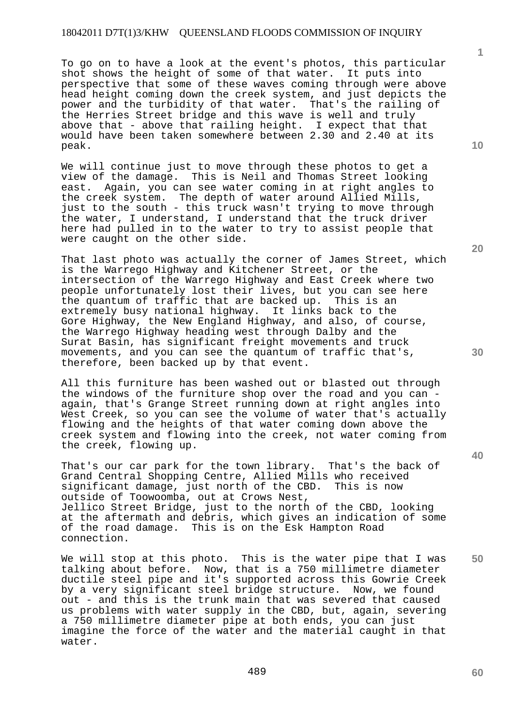To go on to have a look at the event's photos, this particular shot shows the height of some of that water. It puts into perspective that some of these waves coming through were above head height coming down the creek system, and just depicts the power and the turbidity of that water. That's the railing of the Herries Street bridge and this wave is well and truly above that - above that railing height. I expect that that would have been taken somewhere between 2.30 and 2.40 at its peak.

We will continue just to move through these photos to get a view of the damage. This is Neil and Thomas Street looking east. Again, you can see water coming in at right angles to the creek system. The depth of water around Allied Mills, just to the south - this truck wasn't trying to move through the water, I understand, I understand that the truck driver here had pulled in to the water to try to assist people that were caught on the other side.

That last photo was actually the corner of James Street, which is the Warrego Highway and Kitchener Street, or the intersection of the Warrego Highway and East Creek where two people unfortunately lost their lives, but you can see here the quantum of traffic that are backed up. This is an extremely busy national highway. It links back to the Gore Highway, the New England Highway, and also, of course, the Warrego Highway heading west through Dalby and the Surat Basin, has significant freight movements and truck movements, and you can see the quantum of traffic that's, therefore, been backed up by that event.

All this furniture has been washed out or blasted out through the windows of the furniture shop over the road and you can again, that's Grange Street running down at right angles into West Creek, so you can see the volume of water that's actually flowing and the heights of that water coming down above the creek system and flowing into the creek, not water coming from the creek, flowing up.

That's our car park for the town library. That's the back of Grand Central Shopping Centre, Allied Mills who received<br>significant damage, just north of the CBD. This is now significant damage, just north of the CBD. outside of Toowoomba, out at Crows Nest, Jellico Street Bridge, just to the north of the CBD, looking at the aftermath and debris, which gives an indication of some of the road damage. This is on the Esk Hampton Road connection.

We will stop at this photo. This is the water pipe that I was talking about before. Now, that is a 750 millimetre diameter ductile steel pipe and it's supported across this Gowrie Creek by a very significant steel bridge structure. Now, we found out - and this is the trunk main that was severed that caused us problems with water supply in the CBD, but, again, severing a 750 millimetre diameter pipe at both ends, you can just imagine the force of the water and the material caught in that water.

489

**10** 

**1**

**20** 

**30** 

**40**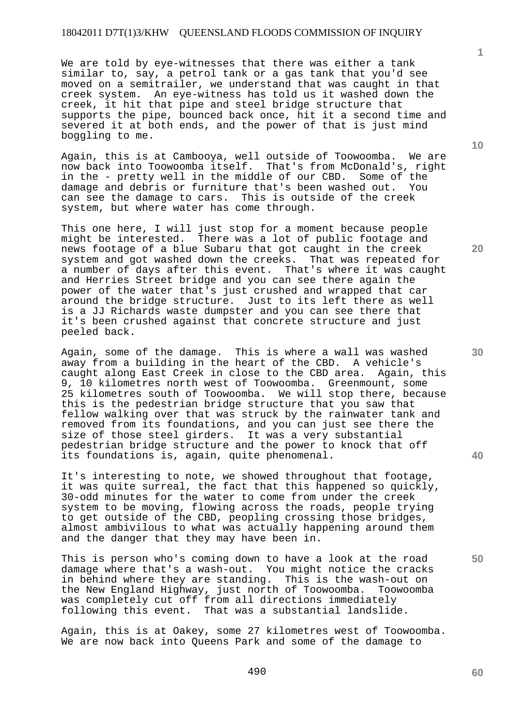We are told by eye-witnesses that there was either a tank similar to, say, a petrol tank or a gas tank that you'd see moved on a semitrailer, we understand that was caught in that creek system. An eye-witness has told us it washed down the creek, it hit that pipe and steel bridge structure that supports the pipe, bounced back once, hit it a second time and severed it at both ends, and the power of that is just mind boggling to me.

Again, this is at Cambooya, well outside of Toowoomba. We are now back into Toowoomba itself. That's from McDonald's, right now back into Toowoomba itself. in the - pretty well in the middle of our CBD. Some of the damage and debris or furniture that's been washed out. You can see the damage to cars. This is outside of the creek system, but where water has come through.

This one here, I will just stop for a moment because people might be interested. There was a lot of public footage and news footage of a blue Subaru that got caught in the creek system and got washed down the creeks. That was repeated for a number of days after this event. That's where it was caught and Herries Street bridge and you can see there again the power of the water that's just crushed and wrapped that car around the bridge structure. Just to its left there as well is a JJ Richards waste dumpster and you can see there that it's been crushed against that concrete structure and just peeled back.

Again, some of the damage. This is where a wall was washed away from a building in the heart of the CBD. A vehicle's caught along East Creek in close to the CBD area. Again, this 9, 10 kilometres north west of Toowoomba. Greenmount, some 25 kilometres south of Toowoomba. We will stop there, because this is the pedestrian bridge structure that you saw that fellow walking over that was struck by the rainwater tank and removed from its foundations, and you can just see there the size of those steel girders. It was a very substantial pedestrian bridge structure and the power to knock that off its foundations is, again, quite phenomenal.

It's interesting to note, we showed throughout that footage, it was quite surreal, the fact that this happened so quickly, 30-odd minutes for the water to come from under the creek system to be moving, flowing across the roads, people trying to get outside of the CBD, peopling crossing those bridges, almost ambivilous to what was actually happening around them and the danger that they may have been in.

This is person who's coming down to have a look at the road damage where that's a wash-out. You might notice the cracks in behind where they are standing. This is the wash-out on the New England Highway, just north of Toowoomba. Toowoomba was completely cut off from all directions immediately following this event. That was a substantial landslide.

Again, this is at Oakey, some 27 kilometres west of Toowoomba. We are now back into Queens Park and some of the damage to

**1**

490

**20** 

**10** 

**40**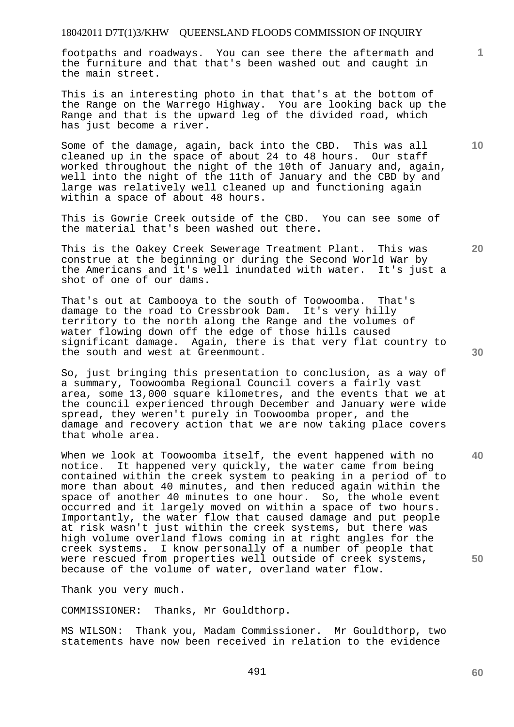footpaths and roadways. You can see there the aftermath and the furniture and that that's been washed out and caught in the main street.

This is an interesting photo in that that's at the bottom of the Range on the Warrego Highway. You are looking back up the Range and that is the upward leg of the divided road, which has just become a river.

Some of the damage, again, back into the CBD. This was all cleaned up in the space of about 24 to 48 hours. Our staff worked throughout the night of the 10th of January and, again, well into the night of the 11th of January and the CBD by and large was relatively well cleaned up and functioning again within a space of about 48 hours.

This is Gowrie Creek outside of the CBD. You can see some of the material that's been washed out there.

This is the Oakey Creek Sewerage Treatment Plant. This was construe at the beginning or during the Second World War by the Americans and it's well inundated with water. It's just a shot of one of our dams.

That's out at Cambooya to the south of Toowoomba. That's damage to the road to Cressbrook Dam. It's very hilly territory to the north along the Range and the volumes of water flowing down off the edge of those hills caused significant damage. Again, there is that very flat country to the south and west at Greenmount.

So, just bringing this presentation to conclusion, as a way of a summary, Toowoomba Regional Council covers a fairly vast area, some 13,000 square kilometres, and the events that we at the council experienced through December and January were wide spread, they weren't purely in Toowoomba proper, and the damage and recovery action that we are now taking place covers that whole area.

When we look at Toowoomba itself, the event happened with no notice. It happened very quickly, the water came from being contained within the creek system to peaking in a period of to more than about 40 minutes, and then reduced again within the space of another 40 minutes to one hour. So, the whole event occurred and it largely moved on within a space of two hours. Importantly, the water flow that caused damage and put people at risk wasn't just within the creek systems, but there was high volume overland flows coming in at right angles for the creek systems. I know personally of a number of people that were rescued from properties well outside of creek systems, because of the volume of water, overland water flow.

Thank you very much.

COMMISSIONER: Thanks, Mr Gouldthorp.

MS WILSON: Thank you, Madam Commissioner. Mr Gouldthorp, two statements have now been received in relation to the evidence

**30** 

**40** 

**20** 

**50** 

**10**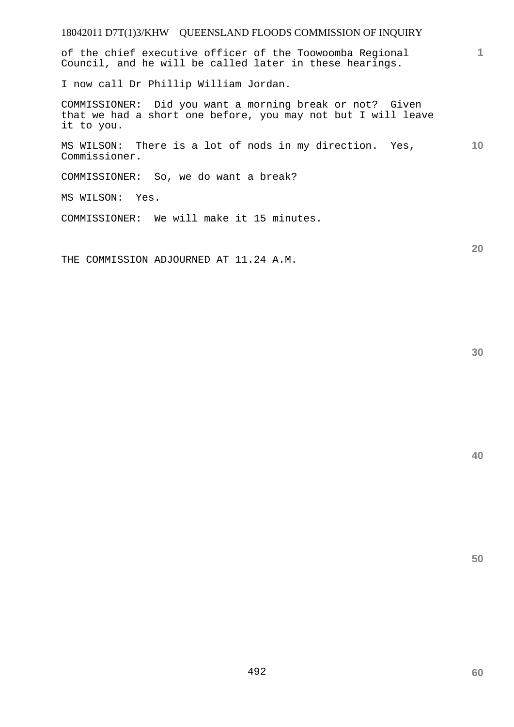of the chief executive officer of the Toowoomba Regional Council, and he will be called later in these hearings.

I now call Dr Phillip William Jordan.

COMMISSIONER: Did you want a morning break or not? Given that we had a short one before, you may not but I will leave it to you.

**10**  MS WILSON: There is a lot of nods in my direction. Yes, Commissioner.

COMMISSIONER: So, we do want a break?

MS WILSON: Yes.

COMMISSIONER: We will make it 15 minutes.

THE COMMISSION ADJOURNED AT 11.24 A.M.

**30** 

**20** 

**1**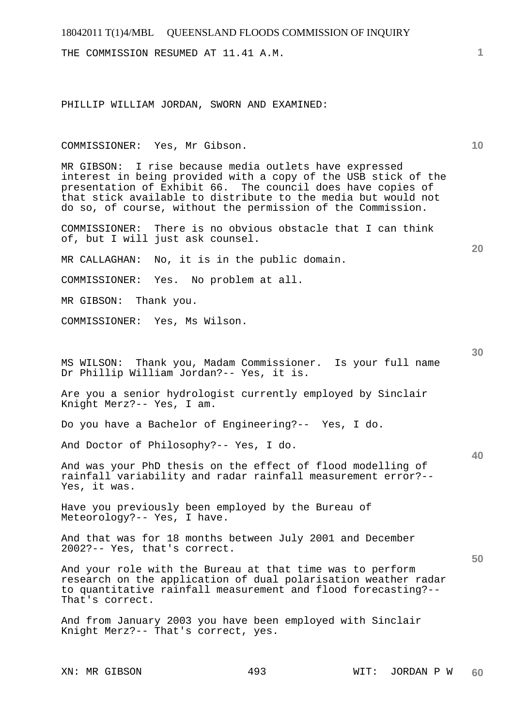THE COMMISSION RESUMED AT 11.41 A.M.

PHILLIP WILLIAM JORDAN, SWORN AND EXAMINED:

#### COMMISSIONER: Yes, Mr Gibson.

MR GIBSON: I rise because media outlets have expressed interest in being provided with a copy of the USB stick of the presentation of Exhibit 66. The council does have copies of that stick available to distribute to the media but would not do so, of course, without the permission of the Commission.

COMMISSIONER: There is no obvious obstacle that I can think of, but I will just ask counsel.

MR CALLAGHAN: No, it is in the public domain.

COMMISSIONER: Yes. No problem at all.

MR GIBSON: Thank you.

COMMISSIONER: Yes, Ms Wilson.

MS WILSON: Thank you, Madam Commissioner. Is your full name Dr Phillip William Jordan?-- Yes, it is.

Are you a senior hydrologist currently employed by Sinclair Knight Merz?-- Yes, I am.

Do you have a Bachelor of Engineering?-- Yes, I do.

And Doctor of Philosophy?-- Yes, I do.

And was your PhD thesis on the effect of flood modelling of rainfall variability and radar rainfall measurement error?-- Yes, it was.

Have you previously been employed by the Bureau of Meteorology?-- Yes, I have.

And that was for 18 months between July 2001 and December 2002?-- Yes, that's correct.

And your role with the Bureau at that time was to perform research on the application of dual polarisation weather radar to quantitative rainfall measurement and flood forecasting?-- That's correct.

And from January 2003 you have been employed with Sinclair Knight Merz?-- That's correct, yes.

**20** 

**30** 

**40** 

**50**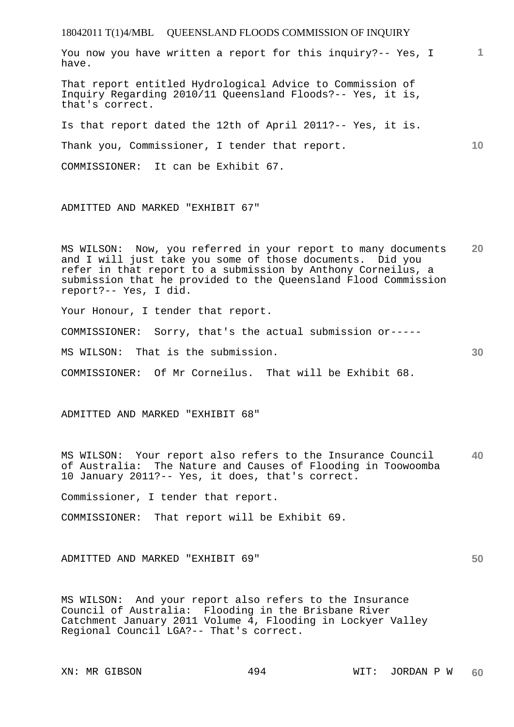18042011 T(1)4/MBL QUEENSLAND FLOODS COMMISSION OF INQUIRY **1 10 20 30 40 50**  You now you have written a report for this inquiry?-- Yes, I have. That report entitled Hydrological Advice to Commission of Inquiry Regarding 2010/11 Queensland Floods?-- Yes, it is, that's correct. Is that report dated the 12th of April 2011?-- Yes, it is. Thank you, Commissioner, I tender that report. COMMISSIONER: It can be Exhibit 67. ADMITTED AND MARKED "EXHIBIT 67" MS WILSON: Now, you referred in your report to many documents and I will just take you some of those documents. Did you refer in that report to a submission by Anthony Corneilus, a submission that he provided to the Queensland Flood Commission report?-- Yes, I did. Your Honour, I tender that report. COMMISSIONER: Sorry, that's the actual submission or----- MS WILSON: That is the submission. COMMISSIONER: Of Mr Corneilus. That will be Exhibit 68. ADMITTED AND MARKED "EXHIBIT 68" MS WILSON: Your report also refers to the Insurance Council of Australia: The Nature and Causes of Flooding in Toowoomba 10 January 2011?-- Yes, it does, that's correct. Commissioner, I tender that report. COMMISSIONER: That report will be Exhibit 69. ADMITTED AND MARKED "EXHIBIT 69" MS WILSON: And your report also refers to the Insurance Council of Australia: Flooding in the Brisbane River Catchment January 2011 Volume 4, Flooding in Lockyer Valley Regional Council LGA?-- That's correct.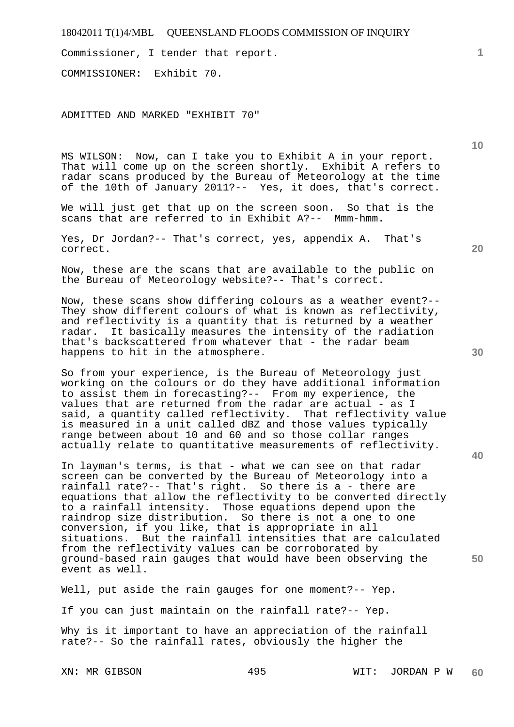Commissioner, I tender that report.

COMMISSIONER: Exhibit 70.

ADMITTED AND MARKED "EXHIBIT 70"

MS WILSON: Now, can I take you to Exhibit A in your report. That will come up on the screen shortly. Exhibit A refers to radar scans produced by the Bureau of Meteorology at the time of the 10th of January 2011?-- Yes, it does, that's correct.

We will just get that up on the screen soon. So that is the scans that are referred to in Exhibit A?-- Mmm-hmm.

Yes, Dr Jordan?-- That's correct, yes, appendix A. That's correct.

Now, these are the scans that are available to the public on the Bureau of Meteorology website?-- That's correct.

Now, these scans show differing colours as a weather event?-- They show different colours of what is known as reflectivity, and reflectivity is a quantity that is returned by a weather radar. It basically measures the intensity of the radiation that's backscattered from whatever that - the radar beam happens to hit in the atmosphere.

So from your experience, is the Bureau of Meteorology just working on the colours or do they have additional information to assist them in forecasting?-- From my experience, the values that are returned from the radar are actual - as I said, a quantity called reflectivity. That reflectivity value is measured in a unit called dBZ and those values typically range between about 10 and 60 and so those collar ranges actually relate to quantitative measurements of reflectivity.

In layman's terms, is that - what we can see on that radar screen can be converted by the Bureau of Meteorology into a rainfall rate?-- That's right. So there is a - there are equations that allow the reflectivity to be converted directly to a rainfall intensity. Those equations depend upon the raindrop size distribution. So there is not a one to one conversion, if you like, that is appropriate in all situations. But the rainfall intensities that are calculated from the reflectivity values can be corroborated by ground-based rain gauges that would have been observing the event as well.

Well, put aside the rain gauges for one moment?-- Yep.

If you can just maintain on the rainfall rate?-- Yep.

Why is it important to have an appreciation of the rainfall rate?-- So the rainfall rates, obviously the higher the

**40** 

**50** 

**10**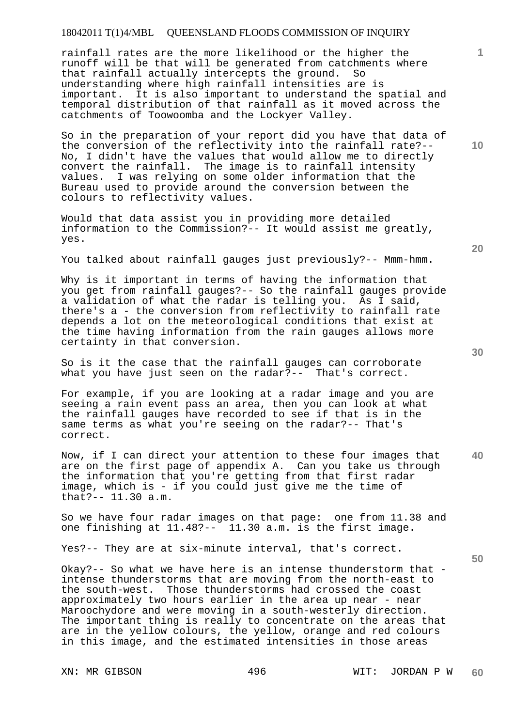rainfall rates are the more likelihood or the higher the runoff will be that will be generated from catchments where that rainfall actually intercepts the ground. So understanding where high rainfall intensities are is important. It is also important to understand the spatial and temporal distribution of that rainfall as it moved across the catchments of Toowoomba and the Lockyer Valley.

So in the preparation of your report did you have that data of the conversion of the reflectivity into the rainfall rate?-- No, I didn't have the values that would allow me to directly convert the rainfall. The image is to rainfall intensity values. I was relying on some older information that the Bureau used to provide around the conversion between the colours to reflectivity values.

Would that data assist you in providing more detailed information to the Commission?-- It would assist me greatly, yes.

You talked about rainfall gauges just previously?-- Mmm-hmm.

Why is it important in terms of having the information that you get from rainfall gauges?-- So the rainfall gauges provide a validation of what the radar is telling you. As I said, there's a - the conversion from reflectivity to rainfall rate depends a lot on the meteorological conditions that exist at the time having information from the rain gauges allows more certainty in that conversion.

So is it the case that the rainfall gauges can corroborate what you have just seen on the radar?-- That's correct.

For example, if you are looking at a radar image and you are seeing a rain event pass an area, then you can look at what the rainfall gauges have recorded to see if that is in the same terms as what you're seeing on the radar?-- That's correct.

**40**  Now, if I can direct your attention to these four images that are on the first page of appendix A. Can you take us through the information that you're getting from that first radar image, which is - if you could just give me the time of that?-- 11.30 a.m.

So we have four radar images on that page: one from 11.38 and one finishing at 11.48?-- 11.30 a.m. is the first image.

Yes?-- They are at six-minute interval, that's correct.

Okay?-- So what we have here is an intense thunderstorm that intense thunderstorms that are moving from the north-east to the south-west. Those thunderstorms had crossed the coast approximately two hours earlier in the area up near - near Maroochydore and were moving in a south-westerly direction. The important thing is really to concentrate on the areas that are in the yellow colours, the yellow, orange and red colours in this image, and the estimated intensities in those areas

**20** 

**50** 

**10**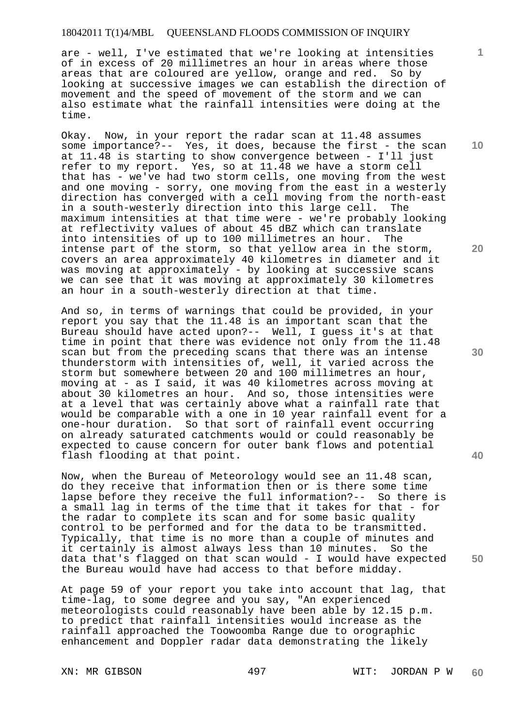are - well, I've estimated that we're looking at intensities of in excess of 20 millimetres an hour in areas where those areas that are coloured are yellow, orange and red. So by looking at successive images we can establish the direction of movement and the speed of movement of the storm and we can also estimate what the rainfall intensities were doing at the time.

Okay. Now, in your report the radar scan at 11.48 assumes some importance?-- Yes, it does, because the first - the scan at 11.48 is starting to show convergence between - I'll just refer to my report. Yes, so at 11.48 we have a storm cell that has - we've had two storm cells, one moving from the west and one moving - sorry, one moving from the east in a westerly direction has converged with a cell moving from the north-east in a south-westerly direction into this large cell. The maximum intensities at that time were - we're probably looking at reflectivity values of about 45 dBZ which can translate into intensities of up to 100 millimetres an hour. The intense part of the storm, so that yellow area in the storm, covers an area approximately 40 kilometres in diameter and it was moving at approximately - by looking at successive scans we can see that it was moving at approximately 30 kilometres an hour in a south-westerly direction at that time.

And so, in terms of warnings that could be provided, in your report you say that the 11.48 is an important scan that the Bureau should have acted upon?-- Well, I guess it's at that time in point that there was evidence not only from the 11.48 scan but from the preceding scans that there was an intense thunderstorm with intensities of, well, it varied across the storm but somewhere between 20 and 100 millimetres an hour, moving at - as I said, it was 40 kilometres across moving at about 30 kilometres an hour. And so, those intensities were at a level that was certainly above what a rainfall rate that would be comparable with a one in 10 year rainfall event for a one-hour duration. So that sort of rainfall event occurring on already saturated catchments would or could reasonably be expected to cause concern for outer bank flows and potential flash flooding at that point.

Now, when the Bureau of Meteorology would see an 11.48 scan, do they receive that information then or is there some time lapse before they receive the full information?-- So there is a small lag in terms of the time that it takes for that - for the radar to complete its scan and for some basic quality control to be performed and for the data to be transmitted. Typically, that time is no more than a couple of minutes and it certainly is almost always less than 10 minutes. So the data that's flagged on that scan would - I would have expected the Bureau would have had access to that before midday.

At page 59 of your report you take into account that lag, that time-lag, to some degree and you say, "An experienced meteorologists could reasonably have been able by 12.15 p.m. to predict that rainfall intensities would increase as the rainfall approached the Toowoomba Range due to orographic enhancement and Doppler radar data demonstrating the likely

XN: MR GIBSON 497 497 WIT: JORDAN P W **60** 

**10** 

**1**

**20** 

**30** 

**40**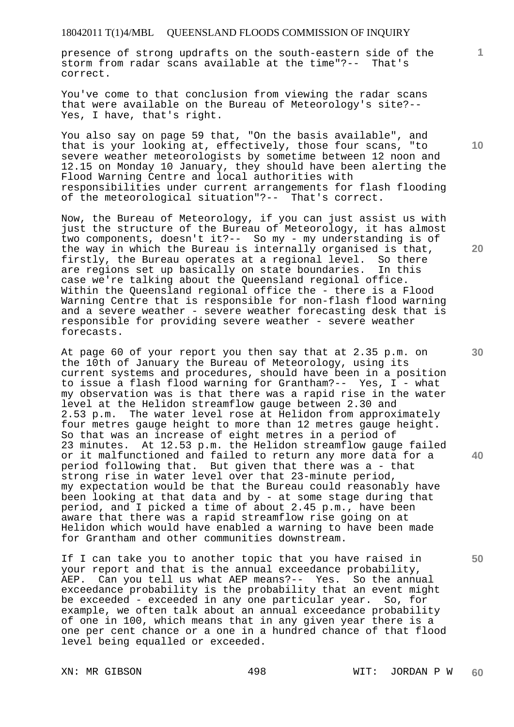presence of strong updrafts on the south-eastern side of the storm from radar scans available at the time"?-- That's correct.

You've come to that conclusion from viewing the radar scans that were available on the Bureau of Meteorology's site?-- Yes, I have, that's right.

You also say on page 59 that, "On the basis available", and that is your looking at, effectively, those four scans, "to severe weather meteorologists by sometime between 12 noon and 12.15 on Monday 10 January, they should have been alerting the Flood Warning Centre and local authorities with responsibilities under current arrangements for flash flooding of the meteorological situation"?-- That's correct.

Now, the Bureau of Meteorology, if you can just assist us with just the structure of the Bureau of Meteorology, it has almost two components, doesn't it?-- So my - my understanding is of the way in which the Bureau is internally organised is that, firstly, the Bureau operates at a regional level. So there<br>are regions set up basically on state boundaries. In this are regions set up basically on state boundaries. case we're talking about the Queensland regional office. Within the Queensland regional office the - there is a Flood Warning Centre that is responsible for non-flash flood warning and a severe weather - severe weather forecasting desk that is responsible for providing severe weather - severe weather forecasts.

At page 60 of your report you then say that at 2.35 p.m. on the 10th of January the Bureau of Meteorology, using its current systems and procedures, should have been in a position to issue a flash flood warning for Grantham?-- Yes, I - what my observation was is that there was a rapid rise in the water level at the Helidon streamflow gauge between 2.30 and 2.53 p.m. The water level rose at Helidon from approximately four metres gauge height to more than 12 metres gauge height. So that was an increase of eight metres in a period of 23 minutes. At 12.53 p.m. the Helidon streamflow gauge failed or it malfunctioned and failed to return any more data for a period following that. But given that there was a - that strong rise in water level over that 23-minute period, my expectation would be that the Bureau could reasonably have been looking at that data and by - at some stage during that period, and I picked a time of about 2.45 p.m., have been aware that there was a rapid streamflow rise going on at Helidon which would have enabled a warning to have been made for Grantham and other communities downstream.

If I can take you to another topic that you have raised in your report and that is the annual exceedance probability, AEP. Can you tell us what AEP means?-- Yes. So the annual exceedance probability is the probability that an event might be exceeded - exceeded in any one particular year. So, for example, we often talk about an annual exceedance probability of one in 100, which means that in any given year there is a one per cent chance or a one in a hundred chance of that flood level being equalled or exceeded.

**10** 

**20** 

**1**

**30** 

**50**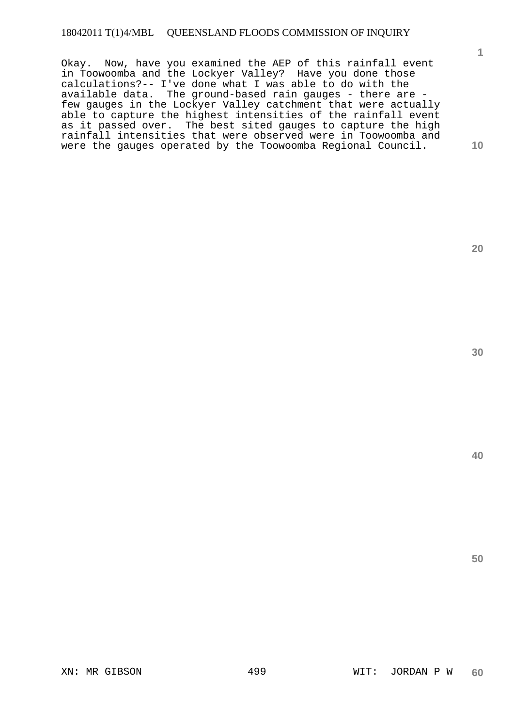Okay. Now, have you examined the AEP of this rainfall event in Toowoomba and the Lockyer Valley? Have you done those calculations?-- I've done what I was able to do with the available data. The ground-based rain gauges - there are few gauges in the Lockyer Valley catchment that were actually able to capture the highest intensities of the rainfall event as it passed over. The best sited gauges to capture the high rainfall intensities that were observed were in Toowoomba and were the gauges operated by the Toowoomba Regional Council.

**20** 

**1**

**10**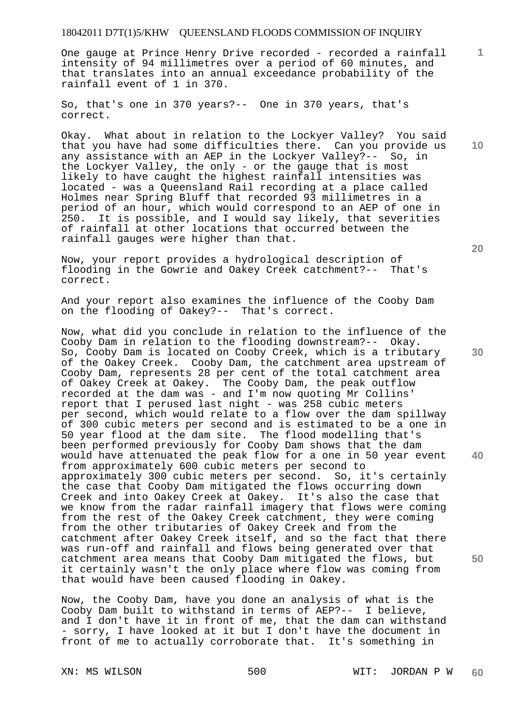One gauge at Prince Henry Drive recorded - recorded a rainfall intensity of 94 millimetres over a period of 60 minutes, and that translates into an annual exceedance probability of the rainfall event of 1 in 370.

So, that's one in 370 years?-- One in 370 years, that's correct.

Okay. What about in relation to the Lockyer Valley? You said that you have had some difficulties there. Can you provide us any assistance with an AEP in the Lockyer Valley?-- So, in the Lockyer Valley, the only - or the gauge that is most likely to have caught the highest rainfall intensities was located - was a Queensland Rail recording at a place called Holmes near Spring Bluff that recorded 93 millimetres in a period of an hour, which would correspond to an AEP of one in 250. It is possible, and I would say likely, that severities of rainfall at other locations that occurred between the rainfall gauges were higher than that.

Now, your report provides a hydrological description of flooding in the Gowrie and Oakey Creek catchment?-- That's correct.

And your report also examines the influence of the Cooby Dam on the flooding of Oakey?-- That's correct.

Now, what did you conclude in relation to the influence of the Cooby Dam in relation to the flooding downstream?-- Okay. So, Cooby Dam is located on Cooby Creek, which is a tributary of the Oakey Creek. Cooby Dam, the catchment area upstream of Cooby Dam, represents 28 per cent of the total catchment area of Oakey Creek at Oakey. The Cooby Dam, the peak outflow recorded at the dam was - and I'm now quoting Mr Collins' report that I perused last night - was 258 cubic meters per second, which would relate to a flow over the dam spillway of 300 cubic meters per second and is estimated to be a one in 50 year flood at the dam site. The flood modelling that's been performed previously for Cooby Dam shows that the dam would have attenuated the peak flow for a one in 50 year event from approximately 600 cubic meters per second to approximately 300 cubic meters per second. So, it's certainly the case that Cooby Dam mitigated the flows occurring down Creek and into Oakey Creek at Oakey. It's also the case that we know from the radar rainfall imagery that flows were coming from the rest of the Oakey Creek catchment, they were coming from the other tributaries of Oakey Creek and from the catchment after Oakey Creek itself, and so the fact that there was run-off and rainfall and flows being generated over that catchment area means that Cooby Dam mitigated the flows, but it certainly wasn't the only place where flow was coming from that would have been caused flooding in Oakey.

Now, the Cooby Dam, have you done an analysis of what is the Cooby Dam built to withstand in terms of AEP?-- I believe, and I don't have it in front of me, that the dam can withstand - sorry, I have looked at it but I don't have the document in front of me to actually corroborate that. It's something in

XN: MS WILSON 500 WIT: JORDAN P W **60** 

**1**

**10** 

**20** 

**50**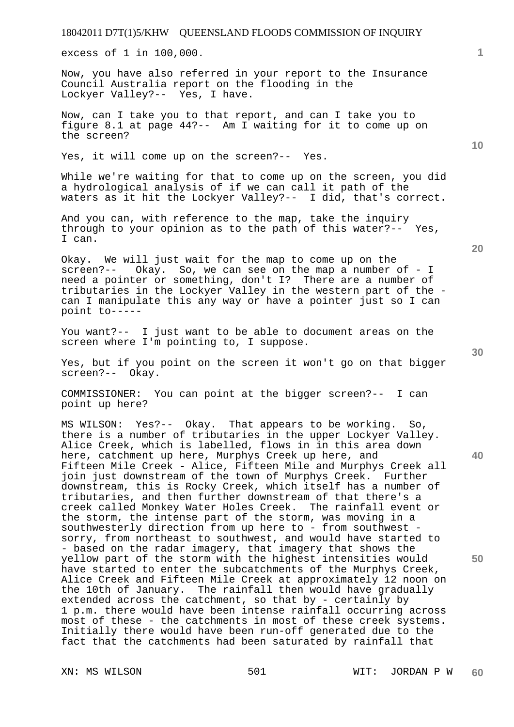excess of 1 in 100,000.

Now, you have also referred in your report to the Insurance Council Australia report on the flooding in the Lockyer Valley?-- Yes, I have.

Now, can I take you to that report, and can I take you to figure 8.1 at page 44?-- Am I waiting for it to come up on the screen?

Yes, it will come up on the screen?-- Yes.

While we're waiting for that to come up on the screen, you did a hydrological analysis of if we can call it path of the waters as it hit the Lockyer Valley?-- I did, that's correct.

And you can, with reference to the map, take the inquiry through to your opinion as to the path of this water?-- Yes, I can.

Okay. We will just wait for the map to come up on the screen?-- Okay. So, we can see on the map a number of - I need a pointer or something, don't I? There are a number of tributaries in the Lockyer Valley in the western part of the can I manipulate this any way or have a pointer just so I can point to-----

You want?-- I just want to be able to document areas on the screen where I'm pointing to, I suppose.

Yes, but if you point on the screen it won't go on that bigger screen?-- Okay.

COMMISSIONER: You can point at the bigger screen?-- I can point up here?

MS WILSON: Yes?-- Okay. That appears to be working. So, there is a number of tributaries in the upper Lockyer Valley. Alice Creek, which is labelled, flows in in this area down here, catchment up here, Murphys Creek up here, and Fifteen Mile Creek - Alice, Fifteen Mile and Murphys Creek all join just downstream of the town of Murphys Creek. Further downstream, this is Rocky Creek, which itself has a number of tributaries, and then further downstream of that there's a creek called Monkey Water Holes Creek. The rainfall event or the storm, the intense part of the storm, was moving in a southwesterly direction from up here to - from southwest sorry, from northeast to southwest, and would have started to - based on the radar imagery, that imagery that shows the yellow part of the storm with the highest intensities would have started to enter the subcatchments of the Murphys Creek, Alice Creek and Fifteen Mile Creek at approximately 12 noon on the 10th of January. The rainfall then would have gradually extended across the catchment, so that by - certainly by 1 p.m. there would have been intense rainfall occurring across most of these - the catchments in most of these creek systems. Initially there would have been run-off generated due to the fact that the catchments had been saturated by rainfall that

**20** 

**1**

**10** 

**50**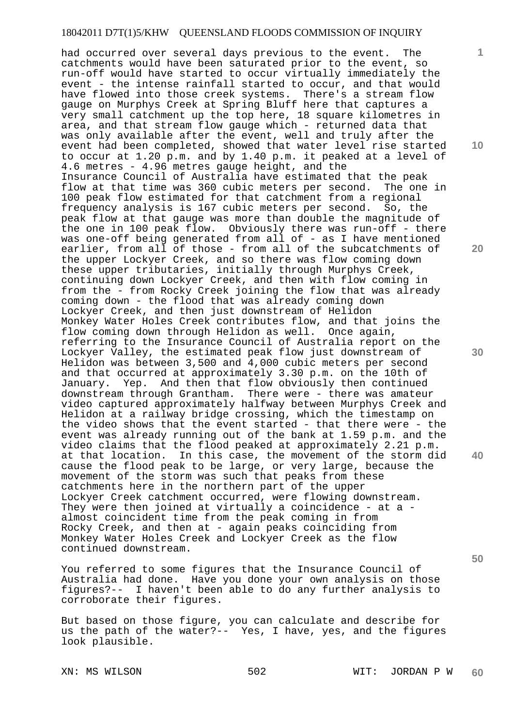had occurred over several days previous to the event. The catchments would have been saturated prior to the event, so run-off would have started to occur virtually immediately the event - the intense rainfall started to occur, and that would have flowed into those creek systems. There's a stream flow gauge on Murphys Creek at Spring Bluff here that captures a very small catchment up the top here, 18 square kilometres in area, and that stream flow gauge which - returned data that was only available after the event, well and truly after the event had been completed, showed that water level rise started to occur at 1.20 p.m. and by 1.40 p.m. it peaked at a level of 4.6 metres - 4.96 metres gauge height, and the Insurance Council of Australia have estimated that the peak<br>flow at that time was 360 cubic meters per second. The one in flow at that time was 360 cubic meters per second. 100 peak flow estimated for that catchment from a regional frequency analysis is 167 cubic meters per second. So, the peak flow at that gauge was more than double the magnitude of the one in 100 peak flow. Obviously there was run-off - there was one-off being generated from all of - as I have mentioned earlier, from all of those - from all of the subcatchments of the upper Lockyer Creek, and so there was flow coming down these upper tributaries, initially through Murphys Creek, continuing down Lockyer Creek, and then with flow coming in from the - from Rocky Creek joining the flow that was already coming down - the flood that was already coming down Lockyer Creek, and then just downstream of Helidon Monkey Water Holes Creek contributes flow, and that joins the flow coming down through Helidon as well. Once again, referring to the Insurance Council of Australia report on the Lockyer Valley, the estimated peak flow just downstream of Helidon was between 3,500 and 4,000 cubic meters per second and that occurred at approximately 3.30 p.m. on the 10th of January. Yep. And then that flow obviously then continued downstream through Grantham. There were - there was amateur video captured approximately halfway between Murphys Creek and Helidon at a railway bridge crossing, which the timestamp on the video shows that the event started - that there were - the event was already running out of the bank at 1.59 p.m. and the video claims that the flood peaked at approximately 2.21 p.m. at that location. In this case, the movement of the storm did cause the flood peak to be large, or very large, because the movement of the storm was such that peaks from these catchments here in the northern part of the upper Lockyer Creek catchment occurred, were flowing downstream. They were then joined at virtually a coincidence - at a almost coincident time from the peak coming in from Rocky Creek, and then at - again peaks coinciding from Monkey Water Holes Creek and Lockyer Creek as the flow continued downstream.

You referred to some figures that the Insurance Council of Australia had done. Have you done your own analysis on those figures?-- I haven't been able to do any further analysis to corroborate their figures.

But based on those figure, you can calculate and describe for us the path of the water?-- Yes, I have, yes, and the figures look plausible.

XN: MS WILSON 502 WIT: JORDAN P W **60** 

**10** 

**1**

**20** 

**30** 

**40**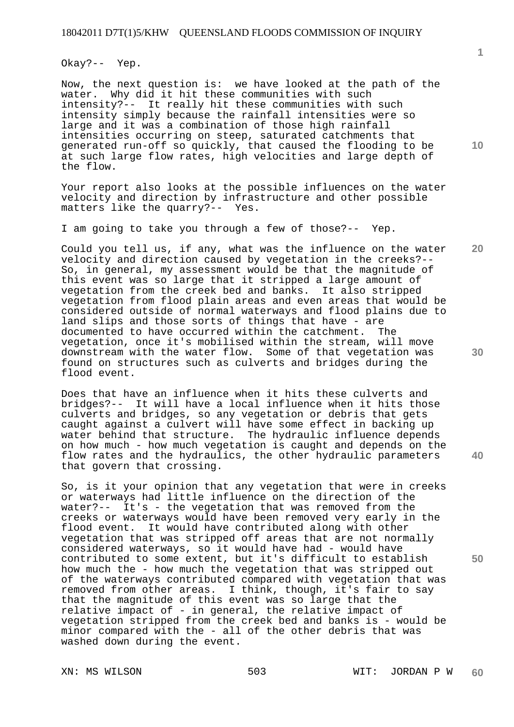Okay?-- Yep.

Now, the next question is: we have looked at the path of the water. Why did it hit these communities with such intensity?-- It really hit these communities with such intensity simply because the rainfall intensities were so large and it was a combination of those high rainfall intensities occurring on steep, saturated catchments that generated run-off so quickly, that caused the flooding to be at such large flow rates, high velocities and large depth of the flow.

Your report also looks at the possible influences on the water velocity and direction by infrastructure and other possible matters like the quarry?-- Yes.

I am going to take you through a few of those?-- Yep.

Could you tell us, if any, what was the influence on the water velocity and direction caused by vegetation in the creeks?-- So, in general, my assessment would be that the magnitude of this event was so large that it stripped a large amount of vegetation from the creek bed and banks. It also stripped vegetation from flood plain areas and even areas that would be considered outside of normal waterways and flood plains due to land slips and those sorts of things that have - are documented to have occurred within the catchment. The vegetation, once it's mobilised within the stream, will move downstream with the water flow. Some of that vegetation was found on structures such as culverts and bridges during the flood event.

Does that have an influence when it hits these culverts and bridges?-- It will have a local influence when it hits those culverts and bridges, so any vegetation or debris that gets caught against a culvert will have some effect in backing up water behind that structure. The hydraulic influence depends on how much - how much vegetation is caught and depends on the flow rates and the hydraulics, the other hydraulic parameters that govern that crossing.

So, is it your opinion that any vegetation that were in creeks or waterways had little influence on the direction of the water?-- It's - the vegetation that was removed from the creeks or waterways would have been removed very early in the flood event. It would have contributed along with other vegetation that was stripped off areas that are not normally considered waterways, so it would have had - would have contributed to some extent, but it's difficult to establish how much the - how much the vegetation that was stripped out of the waterways contributed compared with vegetation that was removed from other areas. I think, though, it's fair to say that the magnitude of this event was so large that the relative impact of - in general, the relative impact of vegetation stripped from the creek bed and banks is - would be minor compared with the - all of the other debris that was washed down during the event.

XN: MS WILSON 503 WIT: JORDAN P W **60** 

**10** 

**1**

**30** 

**20** 

**40**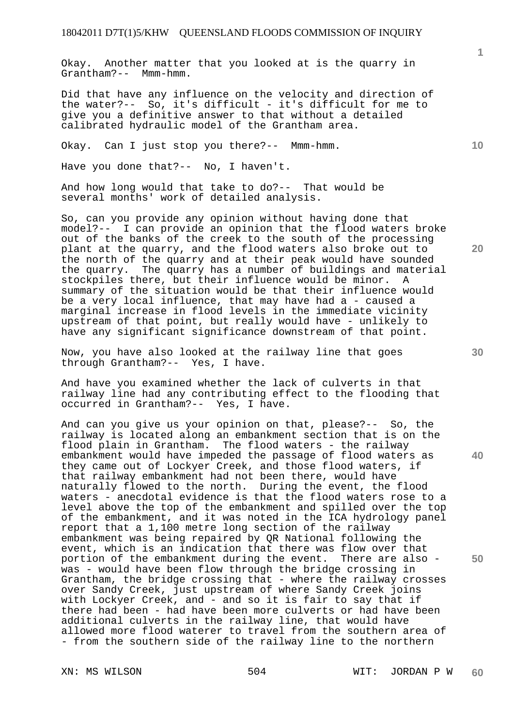Okay. Another matter that you looked at is the quarry in Grantham?-- Mmm-hmm.

Did that have any influence on the velocity and direction of the water?-- So, it's difficult - it's difficult for me to give you a definitive answer to that without a detailed calibrated hydraulic model of the Grantham area.

Okay. Can I just stop you there?-- Mmm-hmm.

Have you done that?-- No, I haven't.

And how long would that take to do?-- That would be several months' work of detailed analysis.

So, can you provide any opinion without having done that model?-- I can provide an opinion that the flood waters broke out of the banks of the creek to the south of the processing plant at the quarry, and the flood waters also broke out to the north of the quarry and at their peak would have sounded the quarry. The quarry has a number of buildings and material stockpiles there, but their influence would be minor. A summary of the situation would be that their influence would be a very local influence, that may have had a - caused a marginal increase in flood levels in the immediate vicinity upstream of that point, but really would have - unlikely to have any significant significance downstream of that point.

Now, you have also looked at the railway line that goes through Grantham?-- Yes, I have.

And have you examined whether the lack of culverts in that railway line had any contributing effect to the flooding that occurred in Grantham?-- Yes, I have.

And can you give us your opinion on that, please?-- So, the railway is located along an embankment section that is on the flood plain in Grantham. The flood waters - the railway embankment would have impeded the passage of flood waters as they came out of Lockyer Creek, and those flood waters, if that railway embankment had not been there, would have naturally flowed to the north. During the event, the flood waters - anecdotal evidence is that the flood waters rose to a level above the top of the embankment and spilled over the top of the embankment, and it was noted in the ICA hydrology panel report that a 1,100 metre long section of the railway embankment was being repaired by QR National following the event, which is an indication that there was flow over that portion of the embankment during the event. There are also was - would have been flow through the bridge crossing in Grantham, the bridge crossing that - where the railway crosses over Sandy Creek, just upstream of where Sandy Creek joins with Lockyer Creek, and - and so it is fair to say that if there had been - had have been more culverts or had have been additional culverts in the railway line, that would have allowed more flood waterer to travel from the southern area of - from the southern side of the railway line to the northern

XN: MS WILSON 504 WIT: JORDAN P W **60** 

**40** 

**50** 

**20** 

**10**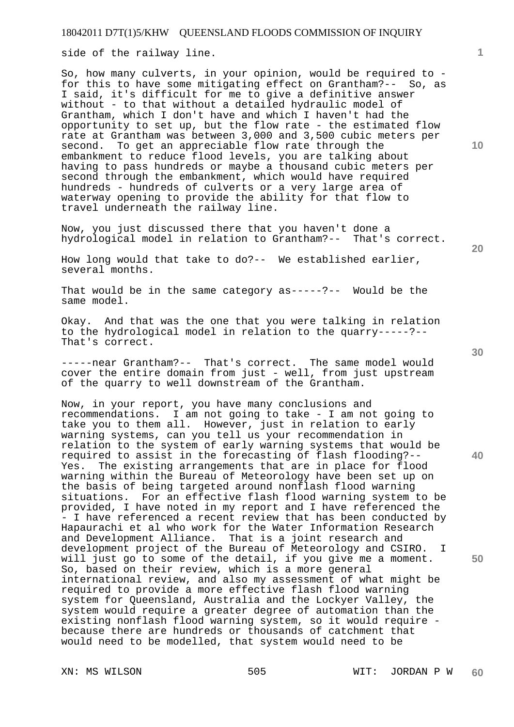side of the railway line.

So, how many culverts, in your opinion, would be required to for this to have some mitigating effect on Grantham?-- So, as I said, it's difficult for me to give a definitive answer without - to that without a detailed hydraulic model of Grantham, which I don't have and which I haven't had the opportunity to set up, but the flow rate - the estimated flow rate at Grantham was between 3,000 and 3,500 cubic meters per second. To get an appreciable flow rate through the embankment to reduce flood levels, you are talking about having to pass hundreds or maybe a thousand cubic meters per second through the embankment, which would have required hundreds - hundreds of culverts or a very large area of waterway opening to provide the ability for that flow to travel underneath the railway line.

Now, you just discussed there that you haven't done a hydrological model in relation to Grantham?-- That's correct.

How long would that take to do?-- We established earlier, several months.

That would be in the same category as-----?-- Would be the same model.

Okay. And that was the one that you were talking in relation to the hydrological model in relation to the quarry-----?-- That's correct.

-----near Grantham?-- That's correct. The same model would cover the entire domain from just - well, from just upstream of the quarry to well downstream of the Grantham.

Now, in your report, you have many conclusions and recommendations. I am not going to take - I am not going to take you to them all. However, just in relation to early warning systems, can you tell us your recommendation in relation to the system of early warning systems that would be required to assist in the forecasting of flash flooding?-- Yes. The existing arrangements that are in place for flood warning within the Bureau of Meteorology have been set up on the basis of being targeted around nonflash flood warning situations. For an effective flash flood warning system to be provided, I have noted in my report and I have referenced the - I have referenced a recent review that has been conducted by Hapaurachi et al who work for the Water Information Research and Development Alliance. That is a joint research and development project of the Bureau of Meteorology and CSIRO. I will just go to some of the detail, if you give me a moment. So, based on their review, which is a more general international review, and also my assessment of what might be required to provide a more effective flash flood warning system for Queensland, Australia and the Lockyer Valley, the system would require a greater degree of automation than the existing nonflash flood warning system, so it would require because there are hundreds or thousands of catchment that would need to be modelled, that system would need to be

**10** 

**1**

**30** 

**40** 

**50**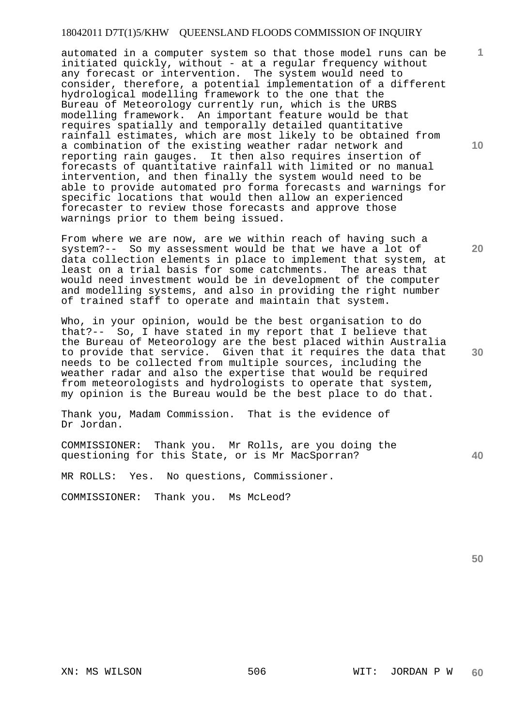# 18042011 D7T(1)5/KHW QUEENSLAND FLOODS COMMISSION OF INQUIRY

automated in a computer system so that those model runs can be initiated quickly, without - at a regular frequency without any forecast or intervention. The system would need to consider, therefore, a potential implementation of a different hydrological modelling framework to the one that the Bureau of Meteorology currently run, which is the URBS modelling framework. An important feature would be that requires spatially and temporally detailed quantitative rainfall estimates, which are most likely to be obtained from a combination of the existing weather radar network and reporting rain gauges. It then also requires insertion of forecasts of quantitative rainfall with limited or no manual intervention, and then finally the system would need to be able to provide automated pro forma forecasts and warnings for specific locations that would then allow an experienced forecaster to review those forecasts and approve those warnings prior to them being issued.

From where we are now, are we within reach of having such a system?-- So my assessment would be that we have a lot of data collection elements in place to implement that system, at least on a trial basis for some catchments. The areas that would need investment would be in development of the computer and modelling systems, and also in providing the right number of trained staff to operate and maintain that system.

Who, in your opinion, would be the best organisation to do that?-- So, I have stated in my report that I believe that the Bureau of Meteorology are the best placed within Australia to provide that service. Given that it requires the data that needs to be collected from multiple sources, including the weather radar and also the expertise that would be required from meteorologists and hydrologists to operate that system, my opinion is the Bureau would be the best place to do that.

Thank you, Madam Commission. That is the evidence of Dr Jordan.

COMMISSIONER: Thank you. Mr Rolls, are you doing the questioning for this State, or is Mr MacSporran?

MR ROLLS: Yes. No questions, Commissioner.

COMMISSIONER: Thank you. Ms McLeod?

**50** 

**10** 

**20** 

**1**

**40**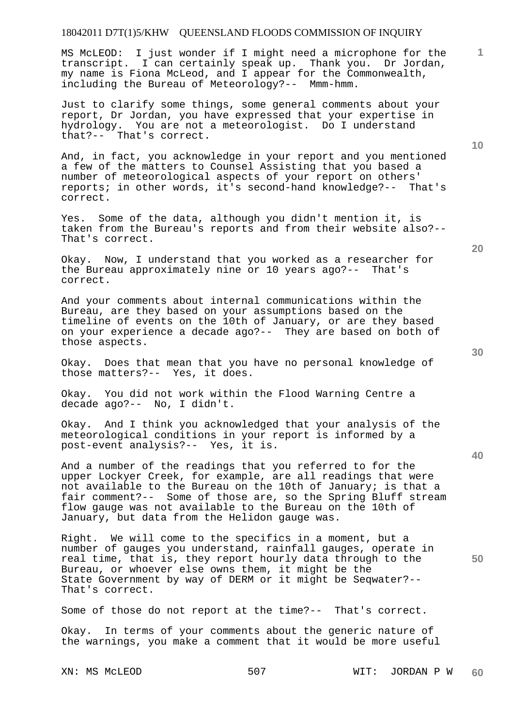## 18042011 D7T(1)5/KHW QUEENSLAND FLOODS COMMISSION OF INQUIRY

MS McLEOD: I just wonder if I might need a microphone for the transcript. I can certainly speak up. Thank you. Dr Jordan, my name is Fiona McLeod, and I appear for the Commonwealth, including the Bureau of Meteorology?-- Mmm-hmm.

Just to clarify some things, some general comments about your report, Dr Jordan, you have expressed that your expertise in hydrology. You are not a meteorologist. Do I understand that?-- That's correct.

And, in fact, you acknowledge in your report and you mentioned a few of the matters to Counsel Assisting that you based a number of meteorological aspects of your report on others' reports; in other words, it's second-hand knowledge?-- That's correct.

Yes. Some of the data, although you didn't mention it, is taken from the Bureau's reports and from their website also?-- That's correct.

Okay. Now, I understand that you worked as a researcher for<br>the Bureau approximately nine or 10 years ago?-- That's the Bureau approximately nine or  $10$  years ago? $-$ correct.

And your comments about internal communications within the Bureau, are they based on your assumptions based on the timeline of events on the 10th of January, or are they based on your experience a decade ago?-- They are based on both of those aspects.

Okay. Does that mean that you have no personal knowledge of those matters?-- Yes, it does.

Okay. You did not work within the Flood Warning Centre a decade ago?-- No, I didn't.

Okay. And I think you acknowledged that your analysis of the meteorological conditions in your report is informed by a post-event analysis?-- Yes, it is.

And a number of the readings that you referred to for the upper Lockyer Creek, for example, are all readings that were not available to the Bureau on the 10th of January; is that a fair comment?-- Some of those are, so the Spring Bluff stream flow gauge was not available to the Bureau on the 10th of January, but data from the Helidon gauge was.

Right. We will come to the specifics in a moment, but a number of gauges you understand, rainfall gauges, operate in real time, that is, they report hourly data through to the Bureau, or whoever else owns them, it might be the State Government by way of DERM or it might be Seqwater?-- That's correct.

Some of those do not report at the time?-- That's correct.

Okay. In terms of your comments about the generic nature of the warnings, you make a comment that it would be more useful

XN: MS McLEOD 607 507 WIT: JORDAN P W **60** 

**30** 

**20** 

**50** 

**40** 

**10**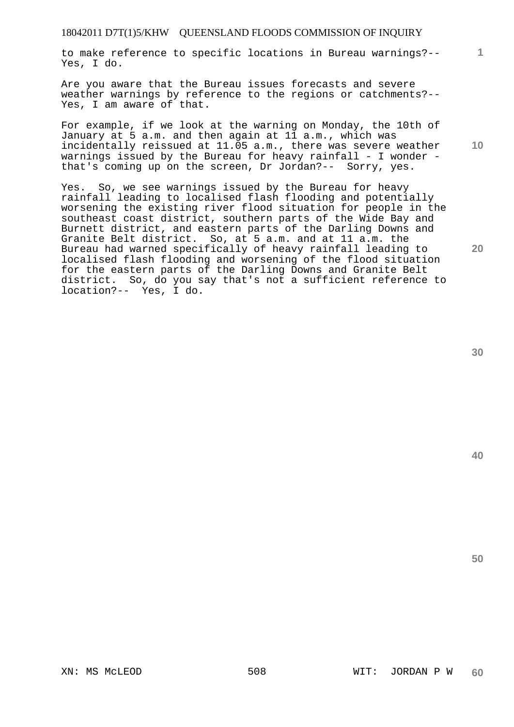## 18042011 D7T(1)5/KHW QUEENSLAND FLOODS COMMISSION OF INQUIRY

to make reference to specific locations in Bureau warnings?-- Yes, I do.

Are you aware that the Bureau issues forecasts and severe weather warnings by reference to the regions or catchments?-- Yes, I am aware of that.

For example, if we look at the warning on Monday, the 10th of January at 5 a.m. and then again at 11 a.m., which was incidentally reissued at 11.05 a.m., there was severe weather warnings issued by the Bureau for heavy rainfall - I wonder that's coming up on the screen, Dr Jordan?-- Sorry, yes.

Yes. So, we see warnings issued by the Bureau for heavy rainfall leading to localised flash flooding and potentially worsening the existing river flood situation for people in the southeast coast district, southern parts of the Wide Bay and Burnett district, and eastern parts of the Darling Downs and Granite Belt district. So, at 5 a.m. and at 11 a.m. the Bureau had warned specifically of heavy rainfall leading to localised flash flooding and worsening of the flood situation for the eastern parts of the Darling Downs and Granite Belt district. So, do you say that's not a sufficient reference to location?-- Yes, I do.

**30** 

**1**

**10** 

**20**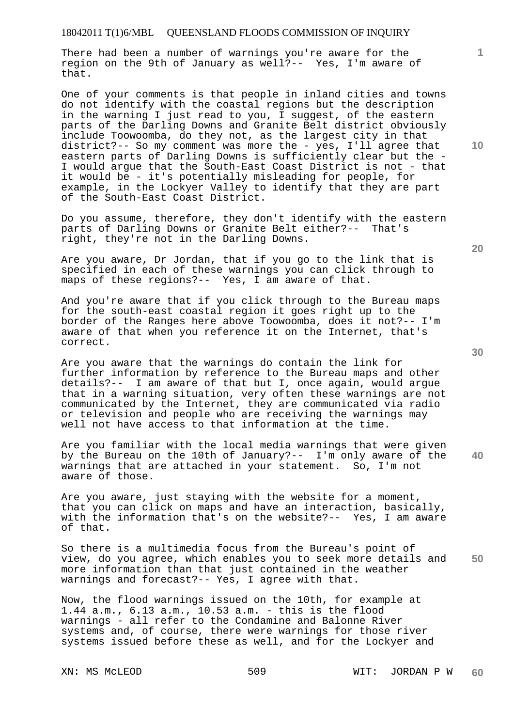There had been a number of warnings you're aware for the region on the 9th of January as well?-- Yes, I'm aware of that.

One of your comments is that people in inland cities and towns do not identify with the coastal regions but the description in the warning I just read to you, I suggest, of the eastern parts of the Darling Downs and Granite Belt district obviously include Toowoomba, do they not, as the largest city in that district?-- So my comment was more the - yes, I'll agree that eastern parts of Darling Downs is sufficiently clear but the - I would argue that the South-East Coast District is not - that it would be - it's potentially misleading for people, for example, in the Lockyer Valley to identify that they are part of the South-East Coast District.

Do you assume, therefore, they don't identify with the eastern parts of Darling Downs or Granite Belt either?-- That's right, they're not in the Darling Downs.

Are you aware, Dr Jordan, that if you go to the link that is specified in each of these warnings you can click through to maps of these regions?-- Yes, I am aware of that.

And you're aware that if you click through to the Bureau maps for the south-east coastal region it goes right up to the border of the Ranges here above Toowoomba, does it not?-- I'm aware of that when you reference it on the Internet, that's correct.

Are you aware that the warnings do contain the link for further information by reference to the Bureau maps and other details?-- I am aware of that but I, once again, would argue that in a warning situation, very often these warnings are not communicated by the Internet, they are communicated via radio or television and people who are receiving the warnings may well not have access to that information at the time.

**40**  Are you familiar with the local media warnings that were given by the Bureau on the 10th of January?-- I'm only aware of the warnings that are attached in your statement. So, I'm not aware of those.

Are you aware, just staying with the website for a moment, that you can click on maps and have an interaction, basically, with the information that's on the website?-- Yes, I am aware of that.

**50**  So there is a multimedia focus from the Bureau's point of view, do you agree, which enables you to seek more details and more information than that just contained in the weather warnings and forecast?-- Yes, I agree with that.

Now, the flood warnings issued on the 10th, for example at 1.44 a.m., 6.13 a.m., 10.53 a.m. - this is the flood warnings - all refer to the Condamine and Balonne River systems and, of course, there were warnings for those river systems issued before these as well, and for the Lockyer and

**10** 

**1**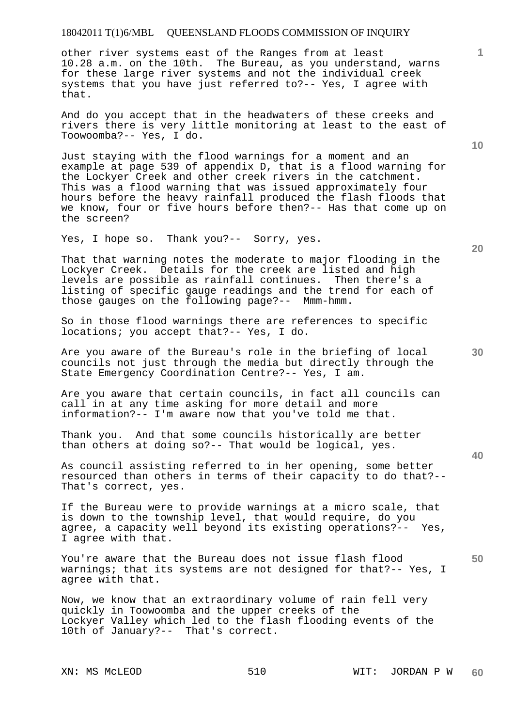other river systems east of the Ranges from at least 10.28 a.m. on the 10th. The Bureau, as you understand, warns for these large river systems and not the individual creek systems that you have just referred to?-- Yes, I agree with that.

And do you accept that in the headwaters of these creeks and rivers there is very little monitoring at least to the east of Toowoomba?-- Yes, I do.

Just staying with the flood warnings for a moment and an example at page 539 of appendix D, that is a flood warning for the Lockyer Creek and other creek rivers in the catchment. This was a flood warning that was issued approximately four hours before the heavy rainfall produced the flash floods that we know, four or five hours before then?-- Has that come up on the screen?

Yes, I hope so. Thank you?-- Sorry, yes.

That that warning notes the moderate to major flooding in the Lockyer Creek. Details for the creek are listed and high levels are possible as rainfall continues. Then there's a listing of specific gauge readings and the trend for each of those gauges on the following page?-- Mmm-hmm.

So in those flood warnings there are references to specific locations; you accept that?-- Yes, I do.

Are you aware of the Bureau's role in the briefing of local councils not just through the media but directly through the State Emergency Coordination Centre?-- Yes, I am.

Are you aware that certain councils, in fact all councils can call in at any time asking for more detail and more information?-- I'm aware now that you've told me that.

Thank you. And that some councils historically are better than others at doing so?-- That would be logical, yes.

As council assisting referred to in her opening, some better resourced than others in terms of their capacity to do that?-- That's correct, yes.

If the Bureau were to provide warnings at a micro scale, that is down to the township level, that would require, do you agree, a capacity well beyond its existing operations?-- Yes, I agree with that.

You're aware that the Bureau does not issue flash flood warnings; that its systems are not designed for that?-- Yes, I agree with that.

Now, we know that an extraordinary volume of rain fell very quickly in Toowoomba and the upper creeks of the Lockyer Valley which led to the flash flooding events of the 10th of January?-- That's correct.

**10** 

**20** 

**1**

**40**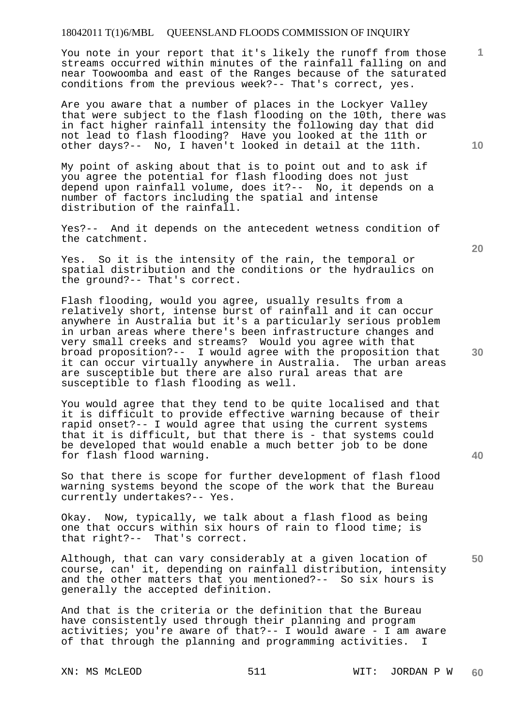You note in your report that it's likely the runoff from those streams occurred within minutes of the rainfall falling on and near Toowoomba and east of the Ranges because of the saturated conditions from the previous week?-- That's correct, yes.

Are you aware that a number of places in the Lockyer Valley that were subject to the flash flooding on the 10th, there was in fact higher rainfall intensity the following day that did not lead to flash flooding? Have you looked at the 11th or other days?-- No, I haven't looked in detail at the 11th.

My point of asking about that is to point out and to ask if you agree the potential for flash flooding does not just depend upon rainfall volume, does it?-- No, it depends on a number of factors including the spatial and intense distribution of the rainfall.

Yes?-- And it depends on the antecedent wetness condition of the catchment.

Yes. So it is the intensity of the rain, the temporal or spatial distribution and the conditions or the hydraulics on the ground?-- That's correct.

Flash flooding, would you agree, usually results from a relatively short, intense burst of rainfall and it can occur anywhere in Australia but it's a particularly serious problem in urban areas where there's been infrastructure changes and very small creeks and streams? Would you agree with that broad proposition?-- I would agree with the proposition that it can occur virtually anywhere in Australia. The urban areas are susceptible but there are also rural areas that are susceptible to flash flooding as well.

You would agree that they tend to be quite localised and that it is difficult to provide effective warning because of their rapid onset?-- I would agree that using the current systems that it is difficult, but that there is - that systems could be developed that would enable a much better job to be done for flash flood warning.

So that there is scope for further development of flash flood warning systems beyond the scope of the work that the Bureau currently undertakes?-- Yes.

Okay. Now, typically, we talk about a flash flood as being one that occurs within six hours of rain to flood time; is that right?-- That's correct.

**50**  Although, that can vary considerably at a given location of course, can' it, depending on rainfall distribution, intensity and the other matters that you mentioned?-- So six hours is generally the accepted definition.

And that is the criteria or the definition that the Bureau have consistently used through their planning and program activities; you're aware of that?-- I would aware - I am aware of that through the planning and programming activities. I

**10** 

**1**

**30** 

**20**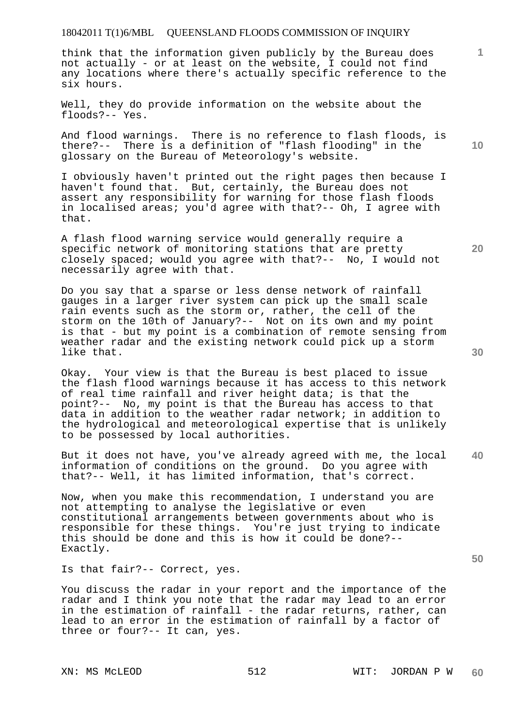think that the information given publicly by the Bureau does not actually - or at least on the website, I could not find any locations where there's actually specific reference to the six hours.

Well, they do provide information on the website about the floods?-- Yes.

And flood warnings. There is no reference to flash floods, is there?-- There is a definition of "flash flooding" in the glossary on the Bureau of Meteorology's website.

I obviously haven't printed out the right pages then because I haven't found that. But, certainly, the Bureau does not assert any responsibility for warning for those flash floods in localised areas; you'd agree with that?-- Oh, I agree with that.

A flash flood warning service would generally require a specific network of monitoring stations that are pretty closely spaced; would you agree with that?-- No, I would not necessarily agree with that.

Do you say that a sparse or less dense network of rainfall gauges in a larger river system can pick up the small scale rain events such as the storm or, rather, the cell of the storm on the 10th of January?-- Not on its own and my point is that - but my point is a combination of remote sensing from weather radar and the existing network could pick up a storm like that.

Okay. Your view is that the Bureau is best placed to issue the flash flood warnings because it has access to this network of real time rainfall and river height data; is that the point?-- No, my point is that the Bureau has access to that data in addition to the weather radar network; in addition to the hydrological and meteorological expertise that is unlikely to be possessed by local authorities.

**40**  But it does not have, you've already agreed with me, the local information of conditions on the ground. Do you agree with that?-- Well, it has limited information, that's correct.

Now, when you make this recommendation, I understand you are not attempting to analyse the legislative or even constitutional arrangements between governments about who is responsible for these things. You're just trying to indicate this should be done and this is how it could be done?-- Exactly.

Is that fair?-- Correct, yes.

You discuss the radar in your report and the importance of the radar and I think you note that the radar may lead to an error in the estimation of rainfall - the radar returns, rather, can lead to an error in the estimation of rainfall by a factor of three or four?-- It can, yes.

**30** 

**50** 

**1**

**10**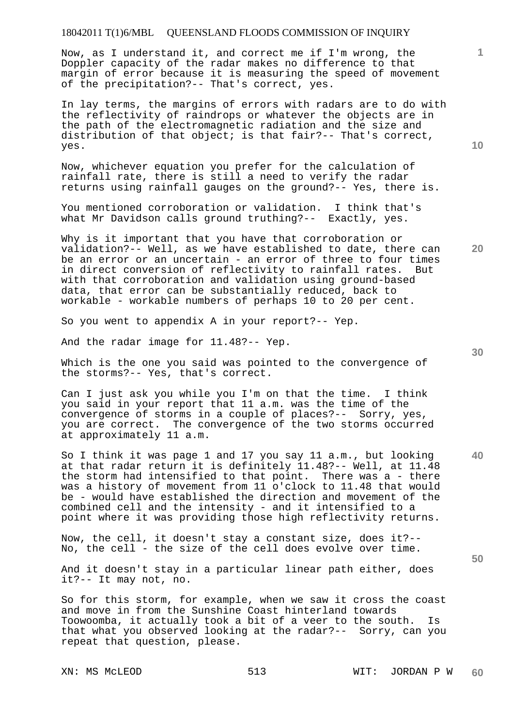Now, as I understand it, and correct me if I'm wrong, the Doppler capacity of the radar makes no difference to that margin of error because it is measuring the speed of movement of the precipitation?-- That's correct, yes.

In lay terms, the margins of errors with radars are to do with the reflectivity of raindrops or whatever the objects are in the path of the electromagnetic radiation and the size and distribution of that object; is that fair?-- That's correct, yes.

Now, whichever equation you prefer for the calculation of rainfall rate, there is still a need to verify the radar returns using rainfall gauges on the ground?-- Yes, there is.

You mentioned corroboration or validation. I think that's what Mr Davidson calls ground truthing?-- Exactly, yes.

Why is it important that you have that corroboration or validation?-- Well, as we have established to date, there can be an error or an uncertain - an error of three to four times in direct conversion of reflectivity to rainfall rates. But with that corroboration and validation using ground-based data, that error can be substantially reduced, back to workable - workable numbers of perhaps 10 to 20 per cent.

So you went to appendix A in your report?-- Yep.

And the radar image for 11.48?-- Yep.

Which is the one you said was pointed to the convergence of the storms?-- Yes, that's correct.

Can I just ask you while you I'm on that the time. I think you said in your report that 11 a.m. was the time of the convergence of storms in a couple of places?-- Sorry, yes, you are correct. The convergence of the two storms occurred at approximately 11 a.m.

So I think it was page 1 and 17 you say 11 a.m., but looking at that radar return it is definitely 11.48?-- Well, at 11.48 the storm had intensified to that point. There was a - there was a history of movement from 11 o'clock to 11.48 that would be - would have established the direction and movement of the combined cell and the intensity - and it intensified to a point where it was providing those high reflectivity returns.

Now, the cell, it doesn't stay a constant size, does it?-- No, the cell - the size of the cell does evolve over time.

And it doesn't stay in a particular linear path either, does it?-- It may not, no.

So for this storm, for example, when we saw it cross the coast and move in from the Sunshine Coast hinterland towards Toowoomba, it actually took a bit of a veer to the south. Is that what you observed looking at the radar?-- Sorry, can you repeat that question, please.

**10** 

**1**

**30** 

**20** 

**50**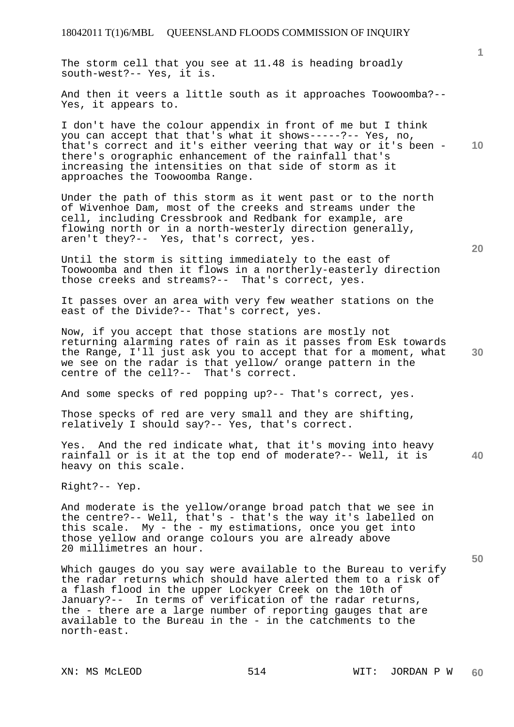The storm cell that you see at 11.48 is heading broadly south-west?-- Yes, it is.

And then it veers a little south as it approaches Toowoomba?-- Yes, it appears to.

**10**  I don't have the colour appendix in front of me but I think you can accept that that's what it shows-----?-- Yes, no, that's correct and it's either veering that way or it's been there's orographic enhancement of the rainfall that's increasing the intensities on that side of storm as it approaches the Toowoomba Range.

Under the path of this storm as it went past or to the north of Wivenhoe Dam, most of the creeks and streams under the cell, including Cressbrook and Redbank for example, are flowing north or in a north-westerly direction generally, aren't they?-- Yes, that's correct, yes.

Until the storm is sitting immediately to the east of Toowoomba and then it flows in a northerly-easterly direction those creeks and streams?-- That's correct, yes.

It passes over an area with very few weather stations on the east of the Divide?-- That's correct, yes.

Now, if you accept that those stations are mostly not returning alarming rates of rain as it passes from Esk towards the Range, I'll just ask you to accept that for a moment, what we see on the radar is that yellow/ orange pattern in the centre of the cell?-- That's correct.

And some specks of red popping up?-- That's correct, yes.

Those specks of red are very small and they are shifting, relatively I should say?-- Yes, that's correct.

**40**  Yes. And the red indicate what, that it's moving into heavy rainfall or is it at the top end of moderate?-- Well, it is heavy on this scale.

Right?-- Yep.

And moderate is the yellow/orange broad patch that we see in the centre?-- Well, that's - that's the way it's labelled on this scale. My - the - my estimations, once you get into those yellow and orange colours you are already above 20 millimetres an hour.

Which gauges do you say were available to the Bureau to verify the radar returns which should have alerted them to a risk of a flash flood in the upper Lockyer Creek on the 10th of January?-- In terms of verification of the radar returns, the - there are a large number of reporting gauges that are available to the Bureau in the - in the catchments to the north-east.

**1**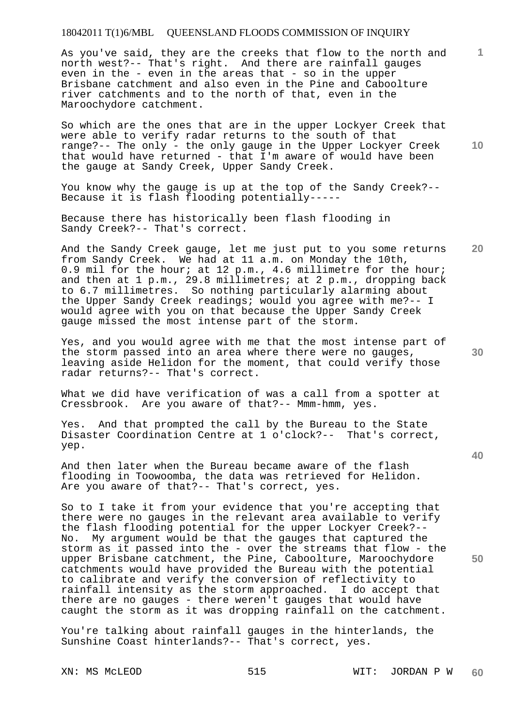As you've said, they are the creeks that flow to the north and north west?-- That's right. And there are rainfall gauges even in the - even in the areas that - so in the upper Brisbane catchment and also even in the Pine and Caboolture river catchments and to the north of that, even in the Maroochydore catchment.

**10**  So which are the ones that are in the upper Lockyer Creek that were able to verify radar returns to the south of that range?-- The only - the only gauge in the Upper Lockyer Creek that would have returned - that I'm aware of would have been the gauge at Sandy Creek, Upper Sandy Creek.

You know why the gauge is up at the top of the Sandy Creek?-- Because it is flash flooding potentially-----

Because there has historically been flash flooding in Sandy Creek?-- That's correct.

And the Sandy Creek gauge, let me just put to you some returns from Sandy Creek. We had at 11 a.m. on Monday the 10th, 0.9 mil for the hour; at 12 p.m., 4.6 millimetre for the hour; and then at 1 p.m., 29.8 millimetres; at 2 p.m., dropping back to 6.7 millimetres. So nothing particularly alarming about the Upper Sandy Creek readings; would you agree with me?-- I would agree with you on that because the Upper Sandy Creek gauge missed the most intense part of the storm.

Yes, and you would agree with me that the most intense part of the storm passed into an area where there were no gauges, leaving aside Helidon for the moment, that could verify those radar returns?-- That's correct.

What we did have verification of was a call from a spotter at Cressbrook. Are you aware of that?-- Mmm-hmm, yes.

Yes. And that prompted the call by the Bureau to the State Disaster Coordination Centre at 1 o'clock?-- That's correct, yep.

And then later when the Bureau became aware of the flash flooding in Toowoomba, the data was retrieved for Helidon. Are you aware of that?-- That's correct, yes.

So to I take it from your evidence that you're accepting that there were no gauges in the relevant area available to verify the flash flooding potential for the upper Lockyer Creek?-- No. My argument would be that the gauges that captured the storm as it passed into the - over the streams that flow - the upper Brisbane catchment, the Pine, Caboolture, Maroochydore catchments would have provided the Bureau with the potential to calibrate and verify the conversion of reflectivity to rainfall intensity as the storm approached. I do accept that there are no gauges - there weren't gauges that would have caught the storm as it was dropping rainfall on the catchment.

You're talking about rainfall gauges in the hinterlands, the Sunshine Coast hinterlands?-- That's correct, yes.

**20** 

**1**

**30**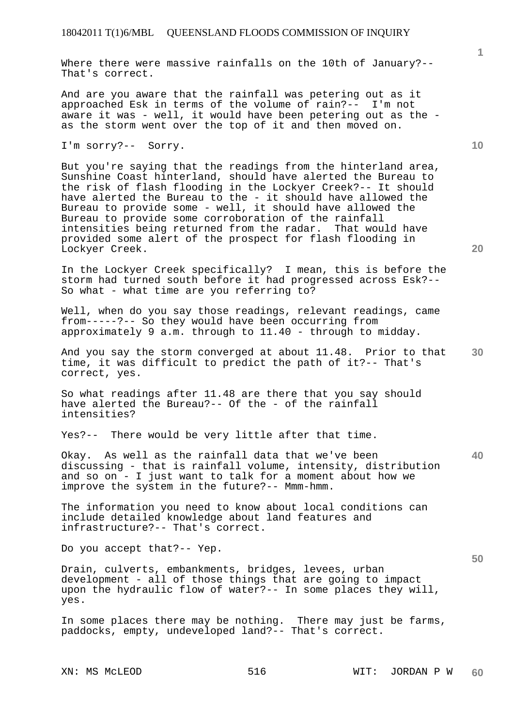Where there were massive rainfalls on the 10th of January?-- That's correct.

And are you aware that the rainfall was petering out as it approached Esk in terms of the volume of rain?-- I'm not aware it was - well, it would have been petering out as the as the storm went over the top of it and then moved on.

I'm sorry?-- Sorry.

But you're saying that the readings from the hinterland area, Sunshine Coast hinterland, should have alerted the Bureau to the risk of flash flooding in the Lockyer Creek?-- It should have alerted the Bureau to the - it should have allowed the Bureau to provide some - well, it should have allowed the Bureau to provide some corroboration of the rainfall intensities being returned from the radar. That would have provided some alert of the prospect for flash flooding in Lockyer Creek.

In the Lockyer Creek specifically? I mean, this is before the storm had turned south before it had progressed across Esk?-- So what - what time are you referring to?

Well, when do you say those readings, relevant readings, came from-----?-- So they would have been occurring from approximately 9 a.m. through to 11.40 - through to midday.

**30**  And you say the storm converged at about 11.48. Prior to that time, it was difficult to predict the path of it?-- That's correct, yes.

So what readings after 11.48 are there that you say should have alerted the Bureau?-- Of the - of the rainfall intensities?

Yes?-- There would be very little after that time.

**40**  Okay. As well as the rainfall data that we've been discussing - that is rainfall volume, intensity, distribution and so on - I just want to talk for a moment about how we improve the system in the future?-- Mmm-hmm.

The information you need to know about local conditions can include detailed knowledge about land features and infrastructure?-- That's correct.

Do you accept that?-- Yep.

Drain, culverts, embankments, bridges, levees, urban development - all of those things that are going to impact upon the hydraulic flow of water?-- In some places they will, yes.

In some places there may be nothing. There may just be farms, paddocks, empty, undeveloped land?-- That's correct.

**20**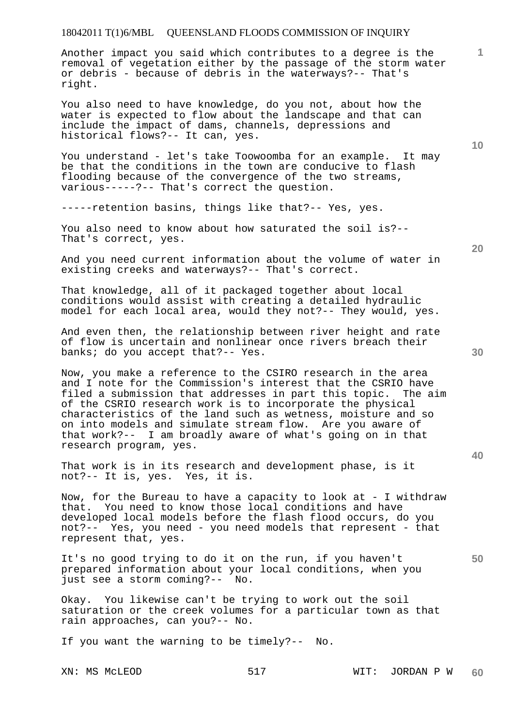Another impact you said which contributes to a degree is the removal of vegetation either by the passage of the storm water or debris - because of debris in the waterways?-- That's right.

You also need to have knowledge, do you not, about how the water is expected to flow about the landscape and that can include the impact of dams, channels, depressions and historical flows?-- It can, yes.

You understand - let's take Toowoomba for an example. It may be that the conditions in the town are conducive to flash flooding because of the convergence of the two streams, various-----?-- That's correct the question.

-----retention basins, things like that?-- Yes, yes.

You also need to know about how saturated the soil is?-- That's correct, yes.

And you need current information about the volume of water in existing creeks and waterways?-- That's correct.

That knowledge, all of it packaged together about local conditions would assist with creating a detailed hydraulic model for each local area, would they not?-- They would, yes.

And even then, the relationship between river height and rate of flow is uncertain and nonlinear once rivers breach their banks; do you accept that?-- Yes.

Now, you make a reference to the CSIRO research in the area and I note for the Commission's interest that the CSRIO have filed a submission that addresses in part this topic. The aim of the CSRIO research work is to incorporate the physical characteristics of the land such as wetness, moisture and so on into models and simulate stream flow. Are you aware of that work?-- I am broadly aware of what's going on in that research program, yes.

That work is in its research and development phase, is it not?-- It is, yes. Yes, it is.

Now, for the Bureau to have a capacity to look at - I withdraw that. You need to know those local conditions and have developed local models before the flash flood occurs, do you not?-- Yes, you need - you need models that represent - that represent that, yes.

It's no good trying to do it on the run, if you haven't prepared information about your local conditions, when you just see a storm coming?-- No.

Okay. You likewise can't be trying to work out the soil saturation or the creek volumes for a particular town as that rain approaches, can you?-- No.

If you want the warning to be timely?-- No.

**30** 

**20** 

**40** 

**50** 

**10**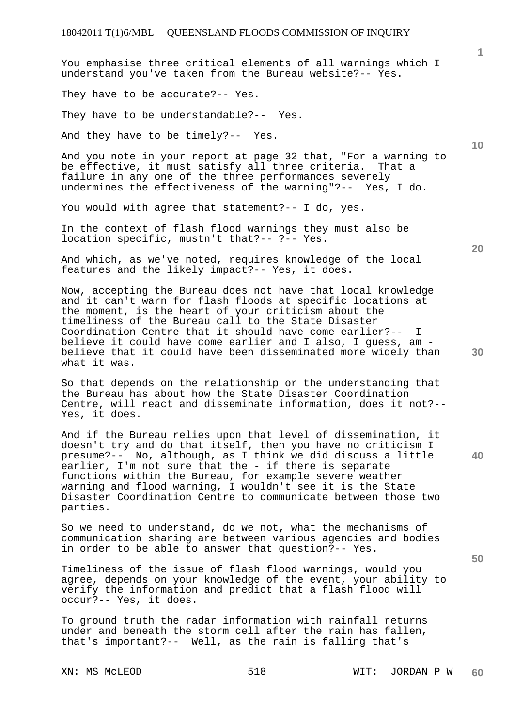You emphasise three critical elements of all warnings which I understand you've taken from the Bureau website?-- Yes. They have to be accurate?-- Yes. They have to be understandable?-- Yes. And they have to be timely?-- Yes.

And you note in your report at page 32 that, "For a warning to be effective, it must satisfy all three criteria. That a failure in any one of the three performances severely undermines the effectiveness of the warning"?-- Yes, I do.

You would with agree that statement?-- I do, yes.

In the context of flash flood warnings they must also be location specific, mustn't that?-- ?-- Yes.

And which, as we've noted, requires knowledge of the local features and the likely impact?-- Yes, it does.

Now, accepting the Bureau does not have that local knowledge and it can't warn for flash floods at specific locations at the moment, is the heart of your criticism about the timeliness of the Bureau call to the State Disaster Coordination Centre that it should have come earlier?-- I believe it could have come earlier and I also, I guess, am believe that it could have been disseminated more widely than what it was.

So that depends on the relationship or the understanding that the Bureau has about how the State Disaster Coordination Centre, will react and disseminate information, does it not?-- Yes, it does.

And if the Bureau relies upon that level of dissemination, it doesn't try and do that itself, then you have no criticism I presume?-- No, although, as I think we did discuss a little earlier, I'm not sure that the - if there is separate functions within the Bureau, for example severe weather warning and flood warning, I wouldn't see it is the State Disaster Coordination Centre to communicate between those two parties.

So we need to understand, do we not, what the mechanisms of communication sharing are between various agencies and bodies in order to be able to answer that question?-- Yes.

Timeliness of the issue of flash flood warnings, would you agree, depends on your knowledge of the event, your ability to verify the information and predict that a flash flood will occur?-- Yes, it does.

To ground truth the radar information with rainfall returns under and beneath the storm cell after the rain has fallen, that's important?-- Well, as the rain is falling that's

**1**

**10** 

**50**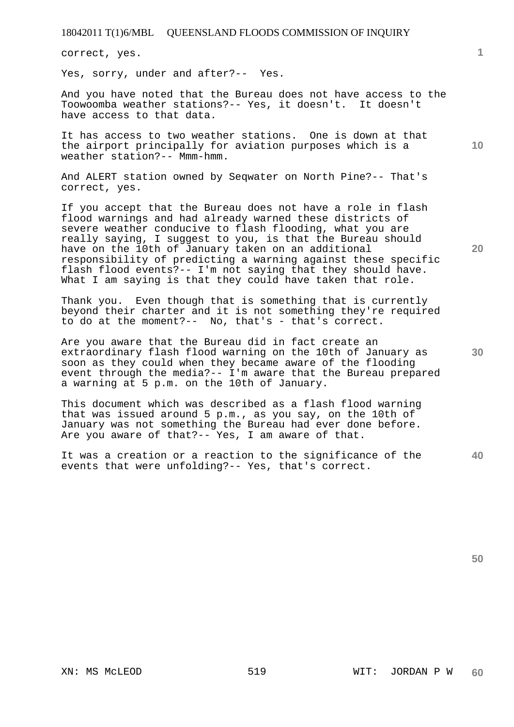correct, yes.

Yes, sorry, under and after?-- Yes.

And you have noted that the Bureau does not have access to the Toowoomba weather stations?-- Yes, it doesn't. It doesn't have access to that data.

It has access to two weather stations. One is down at that the airport principally for aviation purposes which is a weather station?-- Mmm-hmm.

And ALERT station owned by Seqwater on North Pine?-- That's correct, yes.

If you accept that the Bureau does not have a role in flash flood warnings and had already warned these districts of severe weather conducive to flash flooding, what you are really saying, I suggest to you, is that the Bureau should have on the 10th of January taken on an additional responsibility of predicting a warning against these specific flash flood events?-- I'm not saying that they should have. What I am saying is that they could have taken that role.

Thank you. Even though that is something that is currently beyond their charter and it is not something they're required to do at the moment?-- No, that's - that's correct.

Are you aware that the Bureau did in fact create an extraordinary flash flood warning on the 10th of January as soon as they could when they became aware of the flooding event through the media?-- I'm aware that the Bureau prepared a warning at 5 p.m. on the 10th of January.

This document which was described as a flash flood warning that was issued around 5 p.m., as you say, on the 10th of January was not something the Bureau had ever done before. Are you aware of that?-- Yes, I am aware of that.

**40**  It was a creation or a reaction to the significance of the events that were unfolding?-- Yes, that's correct.

**20** 

**10**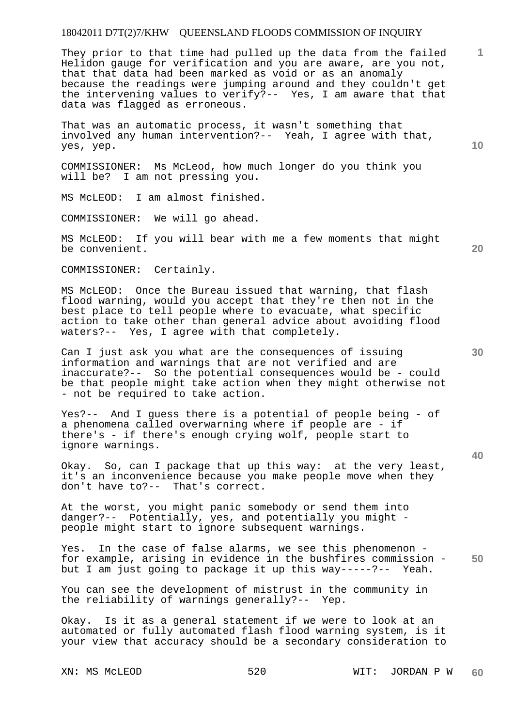### 18042011 D7T(2)7/KHW QUEENSLAND FLOODS COMMISSION OF INQUIRY

They prior to that time had pulled up the data from the failed Helidon gauge for verification and you are aware, are you not, that that data had been marked as void or as an anomaly because the readings were jumping around and they couldn't get the intervening values to verify?-- Yes, I am aware that that data was flagged as erroneous.

That was an automatic process, it wasn't something that involved any human intervention?-- Yeah, I agree with that, yes, yep.

COMMISSIONER: Ms McLeod, how much longer do you think you will be? I am not pressing you.

MS McLEOD: I am almost finished.

COMMISSIONER: We will go ahead.

MS McLEOD: If you will bear with me a few moments that might be convenient.

COMMISSIONER: Certainly.

MS McLEOD: Once the Bureau issued that warning, that flash flood warning, would you accept that they're then not in the best place to tell people where to evacuate, what specific action to take other than general advice about avoiding flood waters?-- Yes, I agree with that completely.

Can I just ask you what are the consequences of issuing information and warnings that are not verified and are inaccurate?-- So the potential consequences would be - could be that people might take action when they might otherwise not - not be required to take action.

Yes?-- And I guess there is a potential of people being - of a phenomena called overwarning where if people are - if there's - if there's enough crying wolf, people start to ignore warnings.

Okay. So, can I package that up this way: at the very least, it's an inconvenience because you make people move when they don't have to?-- That's correct.

At the worst, you might panic somebody or send them into danger?-- Potentially, yes, and potentially you might people might start to ignore subsequent warnings.

**50**  Yes. In the case of false alarms, we see this phenomenon for example, arising in evidence in the bushfires commission but I am just going to package it up this way-----?-- Yeah.

You can see the development of mistrust in the community in the reliability of warnings generally?-- Yep.

Okay. Is it as a general statement if we were to look at an automated or fully automated flash flood warning system, is it your view that accuracy should be a secondary consideration to

XN: MS McLEOD 620 520 WIT: JORDAN P W **60** 

**40** 

**20** 

**10**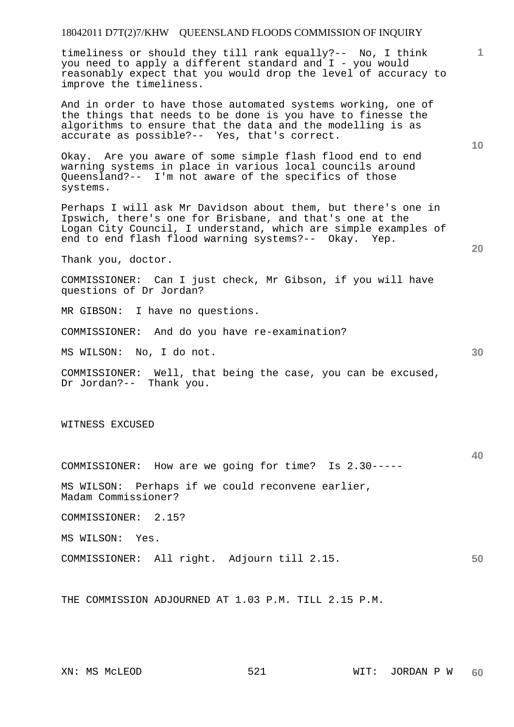## 18042011 D7T(2)7/KHW QUEENSLAND FLOODS COMMISSION OF INQUIRY

timeliness or should they till rank equally?-- No, I think you need to apply a different standard and I - you would reasonably expect that you would drop the level of accuracy to improve the timeliness.

And in order to have those automated systems working, one of the things that needs to be done is you have to finesse the algorithms to ensure that the data and the modelling is as accurate as possible?-- Yes, that's correct.

Okay. Are you aware of some simple flash flood end to end warning systems in place in various local councils around Queensland?-- I'm not aware of the specifics of those systems.

Perhaps I will ask Mr Davidson about them, but there's one in Ipswich, there's one for Brisbane, and that's one at the Logan City Council, I understand, which are simple examples of end to end flash flood warning systems?-- Okay. Yep.

Thank you, doctor.

COMMISSIONER: Can I just check, Mr Gibson, if you will have questions of Dr Jordan?

MR GIBSON: I have no questions.

COMMISSIONER: And do you have re-examination?

MS WILSON: No, I do not.

COMMISSIONER: Well, that being the case, you can be excused, Dr Jordan?-- Thank you.

WITNESS EXCUSED

COMMISSIONER: How are we going for time? Is 2.30-----

MS WILSON: Perhaps if we could reconvene earlier, Madam Commissioner?

COMMISSIONER: 2.15?

MS WILSON: Yes.

COMMISSIONER: All right. Adjourn till 2.15.

THE COMMISSION ADJOURNED AT 1.03 P.M. TILL 2.15 P.M.

**10** 

**20** 

**1**

**40**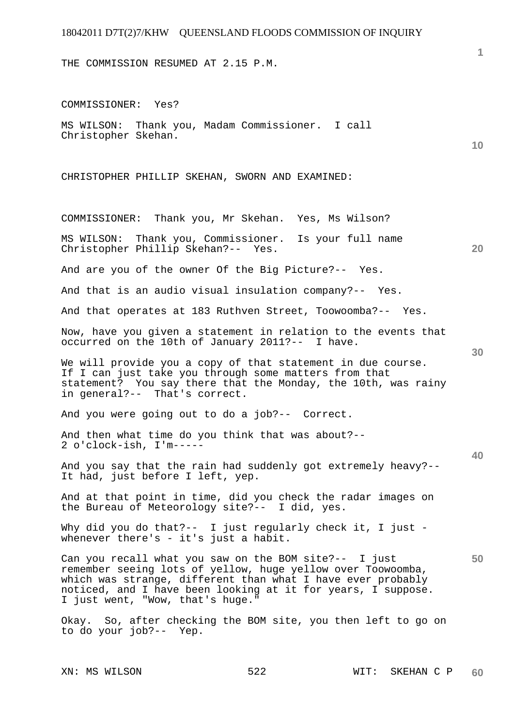THE COMMISSION RESUMED AT 2.15 P.M.

**10 20 30 40 50**  COMMISSIONER: Yes? MS WILSON: Thank you, Madam Commissioner. I call Christopher Skehan. CHRISTOPHER PHILLIP SKEHAN, SWORN AND EXAMINED: COMMISSIONER: Thank you, Mr Skehan. Yes, Ms Wilson? MS WILSON: Thank you, Commissioner. Is your full name Christopher Phillip Skehan?-- Yes. And are you of the owner Of the Big Picture?-- Yes. And that is an audio visual insulation company?-- Yes. And that operates at 183 Ruthven Street, Toowoomba?-- Yes. Now, have you given a statement in relation to the events that occurred on the 10th of January 2011?-- I have. We will provide you a copy of that statement in due course. If I can just take you through some matters from that statement? You say there that the Monday, the 10th, was rainy in general?-- That's correct. And you were going out to do a job?-- Correct. And then what time do you think that was about?-- 2 o'clock-ish, I'm----- And you say that the rain had suddenly got extremely heavy?-- It had, just before I left, yep. And at that point in time, did you check the radar images on the Bureau of Meteorology site?-- I did, yes. Why did you do that?-- I just regularly check it, I just whenever there's - it's just a habit. Can you recall what you saw on the BOM site?-- I just remember seeing lots of yellow, huge yellow over Toowoomba, which was strange, different than what I have ever probably noticed, and I have been looking at it for years, I suppose. I just went, "Wow, that's huge." Okay. So, after checking the BOM site, you then left to go on to do your job?-- Yep.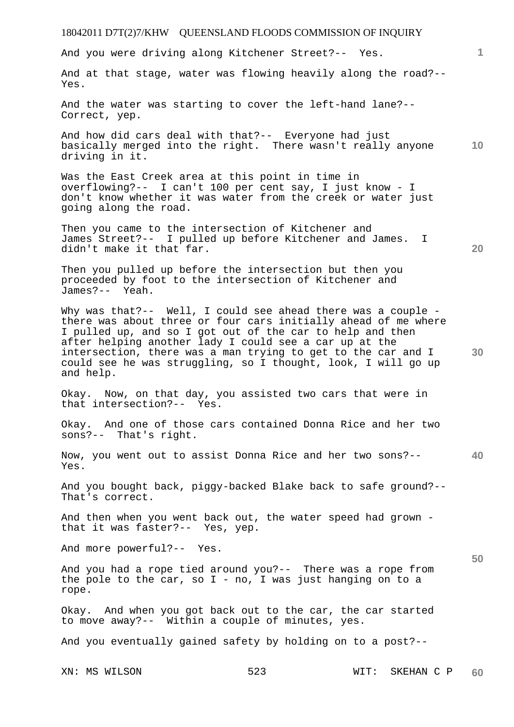# 18042011 D7T(2)7/KHW QUEENSLAND FLOODS COMMISSION OF INQUIRY XN: MS WILSON 523 WIT: SKEHAN C P **1 10 20 30 40 50**  And you were driving along Kitchener Street?-- Yes. And at that stage, water was flowing heavily along the road?-- Yes. And the water was starting to cover the left-hand lane?-- Correct, yep. And how did cars deal with that?-- Everyone had just basically merged into the right. There wasn't really anyone driving in it. Was the East Creek area at this point in time in overflowing?-- I can't 100 per cent say, I just know - I don't know whether it was water from the creek or water just going along the road. Then you came to the intersection of Kitchener and James Street?-- I pulled up before Kitchener and James. I didn't make it that far. Then you pulled up before the intersection but then you proceeded by foot to the intersection of Kitchener and James?-- Yeah. Why was that?-- Well, I could see ahead there was a couple there was about three or four cars initially ahead of me where I pulled up, and so I got out of the car to help and then after helping another lady I could see a car up at the intersection, there was a man trying to get to the car and I could see he was struggling, so I thought, look, I will go up and help. Okay. Now, on that day, you assisted two cars that were in that intersection?-- Yes. Okay. And one of those cars contained Donna Rice and her two sons?-- That's right. Now, you went out to assist Donna Rice and her two sons?-- Yes. And you bought back, piggy-backed Blake back to safe ground?-- That's correct. And then when you went back out, the water speed had grown that it was faster?-- Yes, yep. And more powerful?-- Yes. And you had a rope tied around you?-- There was a rope from the pole to the car, so  $I - no$ , I was just hanging on to a rope. Okay. And when you got back out to the car, the car started to move away?-- Within a couple of minutes, yes. And you eventually gained safety by holding on to a post?--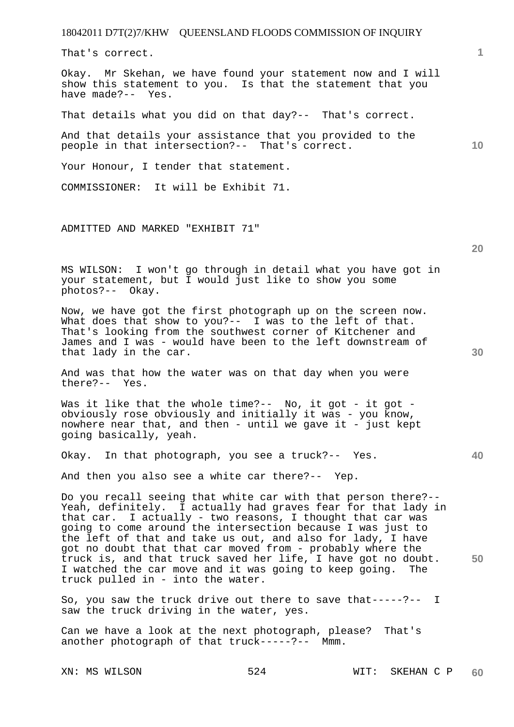That's correct.

Okay. Mr Skehan, we have found your statement now and I will show this statement to you. Is that the statement that you have made?-- Yes.

That details what you did on that day?-- That's correct.

And that details your assistance that you provided to the people in that intersection?-- That's correct.

Your Honour, I tender that statement.

COMMISSIONER: It will be Exhibit 71.

ADMITTED AND MARKED "EXHIBIT 71"

MS WILSON: I won't go through in detail what you have got in your statement, but I would just like to show you some photos?-- Okay.

Now, we have got the first photograph up on the screen now. What does that show to you?-- I was to the left of that. That's looking from the southwest corner of Kitchener and James and I was - would have been to the left downstream of that lady in the car.

And was that how the water was on that day when you were there?-- Yes.

Was it like that the whole time?-- No, it got - it got obviously rose obviously and initially it was - you know, nowhere near that, and then - until we gave it - just kept going basically, yeah.

Okay. In that photograph, you see a truck?-- Yes.

And then you also see a white car there?-- Yep.

Do you recall seeing that white car with that person there?-- Yeah, definitely. I actually had graves fear for that lady in that car. I actually - two reasons, I thought that car was going to come around the intersection because I was just to the left of that and take us out, and also for lady, I have got no doubt that that car moved from - probably where the truck is, and that truck saved her life, I have got no doubt. I watched the car move and it was going to keep going. The truck pulled in - into the water.

So, you saw the truck drive out there to save that-----?-- I saw the truck driving in the water, yes.

Can we have a look at the next photograph, please? That's another photograph of that truck-----?-- Mmm.

**10** 

**1**

**40**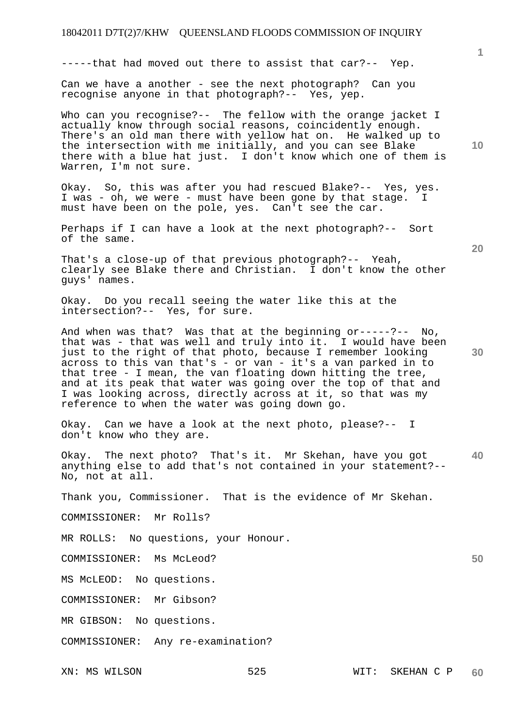-----that had moved out there to assist that car?-- Yep.

Can we have a another - see the next photograph? Can you recognise anyone in that photograph?-- Yes, yep.

Who can you recognise? -- The fellow with the orange jacket I actually know through social reasons, coincidently enough. There's an old man there with yellow hat on. He walked up to the intersection with me initially, and you can see Blake there with a blue hat just. I don't know which one of them is Warren, I'm not sure.

Okay. So, this was after you had rescued Blake?-- Yes, yes. I was - oh, we were - must have been gone by that stage. I must have been on the pole, yes. Can't see the car.

Perhaps if I can have a look at the next photograph?-- Sort of the same.

That's a close-up of that previous photograph?-- Yeah, clearly see Blake there and Christian. I don't know the other guys' names.

Okay. Do you recall seeing the water like this at the intersection?-- Yes, for sure.

And when was that? Was that at the beginning or-----?-- No, that was - that was well and truly into it. I would have been just to the right of that photo, because I remember looking across to this van that's - or van - it's a van parked in to that tree - I mean, the van floating down hitting the tree, and at its peak that water was going over the top of that and I was looking across, directly across at it, so that was my reference to when the water was going down go.

Okay. Can we have a look at the next photo, please?-- I don't know who they are.

**40**  Okay. The next photo? That's it. Mr Skehan, have you got anything else to add that's not contained in your statement?-- No, not at all.

Thank you, Commissioner. That is the evidence of Mr Skehan.

COMMISSIONER: Mr Rolls?

MR ROLLS: No questions, your Honour.

COMMISSIONER: Ms McLeod?

MS McLEOD: No questions.

COMMISSIONER: Mr Gibson?

MR GIBSON: No questions.

COMMISSIONER: Any re-examination?

**10** 

**1**

**20** 

**30**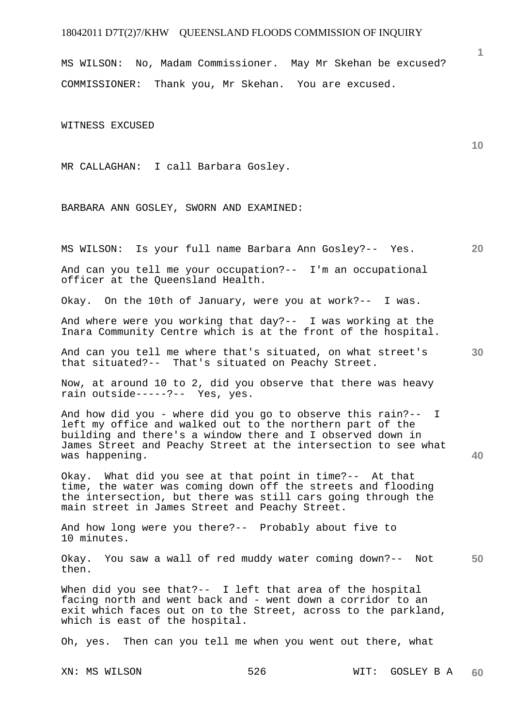## 18042011 D7T(2)7/KHW QUEENSLAND FLOODS COMMISSION OF INQUIRY

MS WILSON: No, Madam Commissioner. May Mr Skehan be excused? COMMISSIONER: Thank you, Mr Skehan. You are excused.

WITNESS EXCUSED

MR CALLAGHAN: I call Barbara Gosley.

BARBARA ANN GOSLEY, SWORN AND EXAMINED:

XN: MS WILSON 526 WIT: GOSLEY B A **20 30 40 50 60**  MS WILSON: Is your full name Barbara Ann Gosley?-- Yes. And can you tell me your occupation?-- I'm an occupational officer at the Queensland Health. Okay. On the 10th of January, were you at work?-- I was. And where were you working that day?-- I was working at the Inara Community Centre which is at the front of the hospital. And can you tell me where that's situated, on what street's that situated?-- That's situated on Peachy Street. Now, at around 10 to 2, did you observe that there was heavy rain outside-----?-- Yes, yes. And how did you - where did you go to observe this rain?-- I left my office and walked out to the northern part of the building and there's a window there and I observed down in James Street and Peachy Street at the intersection to see what was happening. Okay. What did you see at that point in time?-- At that time, the water was coming down off the streets and flooding the intersection, but there was still cars going through the main street in James Street and Peachy Street. And how long were you there?-- Probably about five to 10 minutes. Okay. You saw a wall of red muddy water coming down?-- Not then. When did you see that?-- I left that area of the hospital facing north and went back and - went down a corridor to an exit which faces out on to the Street, across to the parkland, which is east of the hospital. Oh, yes. Then can you tell me when you went out there, what

**1**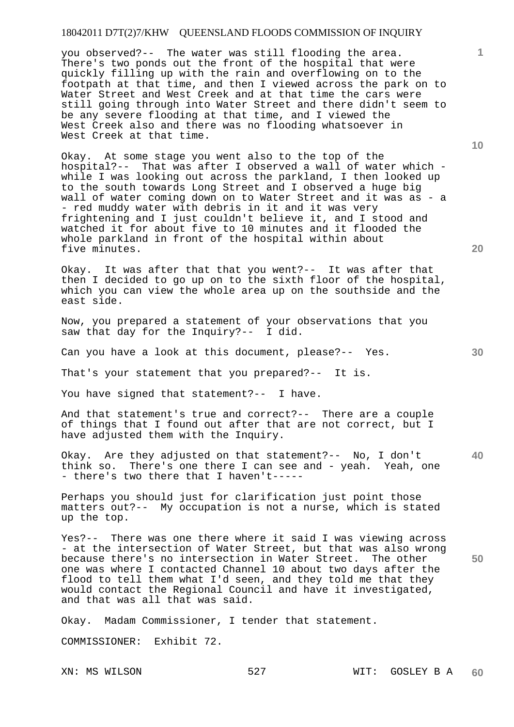### 18042011 D7T(2)7/KHW QUEENSLAND FLOODS COMMISSION OF INQUIRY

you observed?-- The water was still flooding the area. There's two ponds out the front of the hospital that were quickly filling up with the rain and overflowing on to the footpath at that time, and then I viewed across the park on to Water Street and West Creek and at that time the cars were still going through into Water Street and there didn't seem to be any severe flooding at that time, and I viewed the West Creek also and there was no flooding whatsoever in West Creek at that time.

Okay. At some stage you went also to the top of the hospital?-- That was after I observed a wall of water which while I was looking out across the parkland, I then looked up to the south towards Long Street and I observed a huge big wall of water coming down on to Water Street and it was as - a - red muddy water with debris in it and it was very frightening and I just couldn't believe it, and I stood and watched it for about five to 10 minutes and it flooded the whole parkland in front of the hospital within about five minutes.

Okay. It was after that that you went?-- It was after that then I decided to go up on to the sixth floor of the hospital, which you can view the whole area up on the southside and the east side.

Now, you prepared a statement of your observations that you saw that day for the Inquiry?-- I did.

Can you have a look at this document, please?-- Yes.

That's your statement that you prepared?-- It is.

You have signed that statement?-- I have.

And that statement's true and correct?-- There are a couple of things that I found out after that are not correct, but I have adjusted them with the Inquiry.

**40**  Okay. Are they adjusted on that statement?-- No, I don't think so. There's one there I can see and - yeah. Yeah, one - there's two there that I haven't-----

Perhaps you should just for clarification just point those matters out?-- My occupation is not a nurse, which is stated up the top.

Yes?-- There was one there where it said I was viewing across - at the intersection of Water Street, but that was also wrong because there's no intersection in Water Street. The other one was where I contacted Channel 10 about two days after the flood to tell them what I'd seen, and they told me that they would contact the Regional Council and have it investigated, and that was all that was said.

Okay. Madam Commissioner, I tender that statement.

COMMISSIONER: Exhibit 72.

XN: MS WILSON 527 WIT: GOSLEY B A **60** 

**50** 

**10**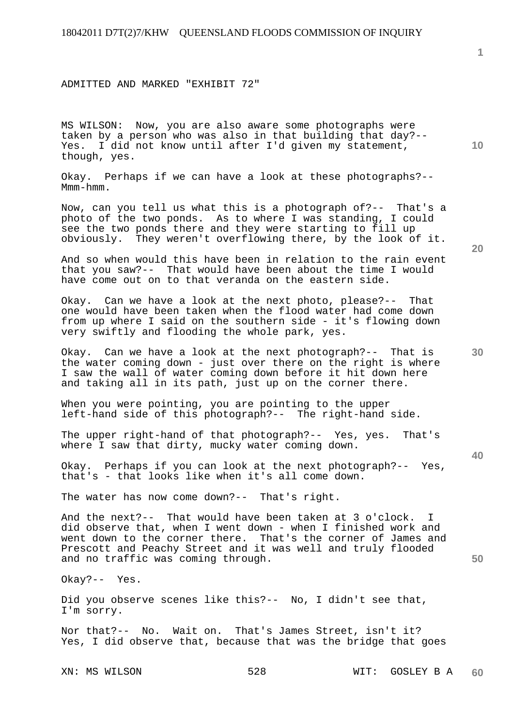ADMITTED AND MARKED "EXHIBIT 72"

MS WILSON: Now, you are also aware some photographs were taken by a person who was also in that building that day?-- Yes. I did not know until after I'd given my statement, though, yes.

Okay. Perhaps if we can have a look at these photographs?-- Mmm-hmm.

Now, can you tell us what this is a photograph of?-- That's a photo of the two ponds. As to where I was standing, I could see the two ponds there and they were starting to fill up obviously. They weren't overflowing there, by the look of it.

And so when would this have been in relation to the rain event that you saw?-- That would have been about the time I would have come out on to that veranda on the eastern side.

Okay. Can we have a look at the next photo, please?-- That one would have been taken when the flood water had come down from up where I said on the southern side - it's flowing down very swiftly and flooding the whole park, yes.

Okay. Can we have a look at the next photograph?-- That is the water coming down - just over there on the right is where I saw the wall of water coming down before it hit down here and taking all in its path, just up on the corner there.

When you were pointing, you are pointing to the upper left-hand side of this photograph?-- The right-hand side.

The upper right-hand of that photograph?-- Yes, yes. That's where I saw that dirty, mucky water coming down.

Okay. Perhaps if you can look at the next photograph?-- Yes, that's - that looks like when it's all come down.

The water has now come down?-- That's right.

And the next?-- That would have been taken at 3 o'clock. I did observe that, when I went down - when I finished work and went down to the corner there. That's the corner of James and Prescott and Peachy Street and it was well and truly flooded and no traffic was coming through.

Okay?-- Yes.

Did you observe scenes like this?-- No, I didn't see that, I'm sorry.

Nor that?-- No. Wait on. That's James Street, isn't it? Yes, I did observe that, because that was the bridge that goes

XN: MS WILSON 528 WIT: GOSLEY B A **60** 

**10** 

**1**

**20** 

**30**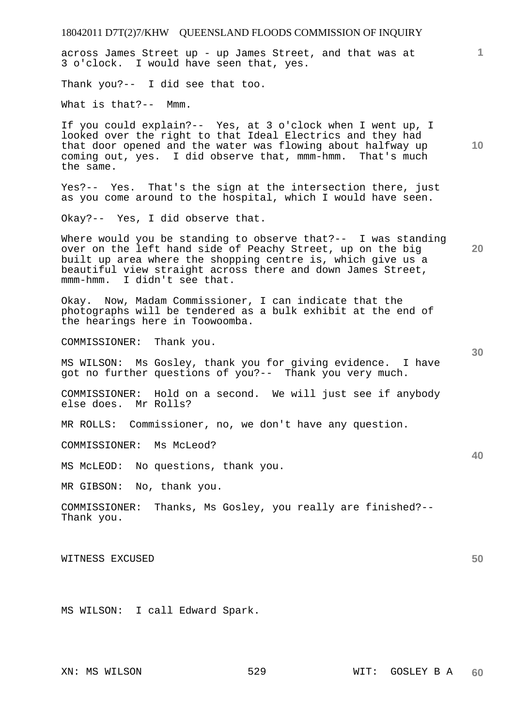18042011 D7T(2)7/KHW QUEENSLAND FLOODS COMMISSION OF INQUIRY **1 10 20 30 40 50**  across James Street up - up James Street, and that was at 3 o'clock. I would have seen that, yes. Thank you?-- I did see that too. What is that?-- Mmm. If you could explain?-- Yes, at 3 o'clock when I went up, I looked over the right to that Ideal Electrics and they had that door opened and the water was flowing about halfway up coming out, yes. I did observe that, mmm-hmm. That's much the same. Yes?-- Yes. That's the sign at the intersection there, just as you come around to the hospital, which I would have seen. Okay?-- Yes, I did observe that. Where would you be standing to observe that?-- I was standing over on the left hand side of Peachy Street, up on the big built up area where the shopping centre is, which give us a beautiful view straight across there and down James Street, mmm-hmm. I didn't see that. Okay. Now, Madam Commissioner, I can indicate that the photographs will be tendered as a bulk exhibit at the end of the hearings here in Toowoomba. COMMISSIONER: Thank you. MS WILSON: Ms Gosley, thank you for giving evidence. I have got no further questions of you?-- Thank you very much. COMMISSIONER: Hold on a second. We will just see if anybody else does. Mr Rolls? MR ROLLS: Commissioner, no, we don't have any question. COMMISSIONER: Ms McLeod? MS McLEOD: No questions, thank you. MR GIBSON: No, thank you. COMMISSIONER: Thanks, Ms Gosley, you really are finished?-- Thank you. WITNESS EXCUSED MS WILSON: I call Edward Spark.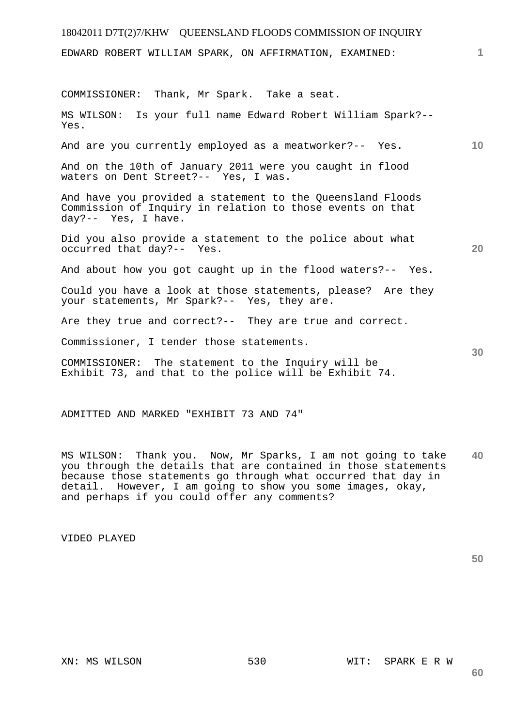| 18042011 D7T(2)7/KHW QUEENSLAND FLOODS COMMISSION OF INQUIRY                                                                                   |              |
|------------------------------------------------------------------------------------------------------------------------------------------------|--------------|
| EDWARD ROBERT WILLIAM SPARK, ON AFFIRMATION, EXAMINED:                                                                                         | $\mathbf{1}$ |
| COMMISSIONER: Thank, Mr Spark. Take a seat.                                                                                                    |              |
| MS WILSON: Is your full name Edward Robert William Spark?--<br>Yes.                                                                            |              |
| 10<br>And are you currently employed as a meatworker?-- Yes.                                                                                   |              |
| And on the 10th of January 2011 were you caught in flood<br>waters on Dent Street?-- Yes, I was.                                               |              |
| And have you provided a statement to the Queensland Floods<br>Commission of Inquiry in relation to those events on that<br>day?-- Yes, I have. |              |
| Did you also provide a statement to the police about what<br>20<br>occurred that day?-- Yes.                                                   |              |
| And about how you got caught up in the flood waters?-- Yes.                                                                                    |              |
| Could you have a look at those statements, please? Are they<br>your statements, Mr Spark?-- Yes, they are.                                     |              |
| Are they true and correct?-- They are true and correct.                                                                                        |              |
| Commissioner, I tender those statements.<br>30                                                                                                 |              |
| COMMISSIONER: The statement to the Inquiry will be<br>Exhibit 73, and that to the police will be Exhibit 74.                                   |              |
| ADMITTED AND MARKED "EXHIBIT 73 AND 74"                                                                                                        |              |

**40**  MS WILSON: Thank you. Now, Mr Sparks, I am not going to take you through the details that are contained in those statements because those statements go through what occurred that day in detail. However, I am going to show you some images, okay, and perhaps if you could offer any comments?

VIDEO PLAYED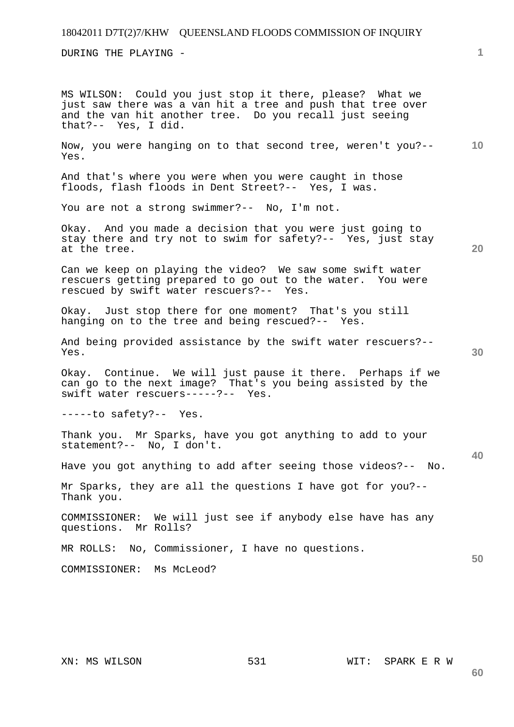## 18042011 D7T(2)7/KHW QUEENSLAND FLOODS COMMISSION OF INQUIRY

DURING THE PLAYING -

MS WILSON: Could you just stop it there, please? What we just saw there was a van hit a tree and push that tree over and the van hit another tree. Do you recall just seeing that?-- Yes, I did.

**10**  Now, you were hanging on to that second tree, weren't you?-- Yes.

And that's where you were when you were caught in those floods, flash floods in Dent Street?-- Yes, I was.

You are not a strong swimmer?-- No, I'm not.

Okay. And you made a decision that you were just going to stay there and try not to swim for safety?-- Yes, just stay at the tree.

**20** 

**30** 

**40** 

**50** 

**1**

Can we keep on playing the video? We saw some swift water rescuers getting prepared to go out to the water. You were rescued by swift water rescuers?-- Yes.

Okay. Just stop there for one moment? That's you still hanging on to the tree and being rescued?-- Yes.

And being provided assistance by the swift water rescuers?-- Yes.

Okay. Continue. We will just pause it there. Perhaps if we can go to the next image? That's you being assisted by the swift water rescuers-----?-- Yes.

-----to safety?-- Yes.

Thank you. Mr Sparks, have you got anything to add to your statement?-- No, I don't.

Have you got anything to add after seeing those videos?-- No.

Mr Sparks, they are all the questions I have got for you?-- Thank you.

COMMISSIONER: We will just see if anybody else have has any questions. Mr Rolls?

MR ROLLS: No, Commissioner, I have no questions.

COMMISSIONER: Ms McLeod?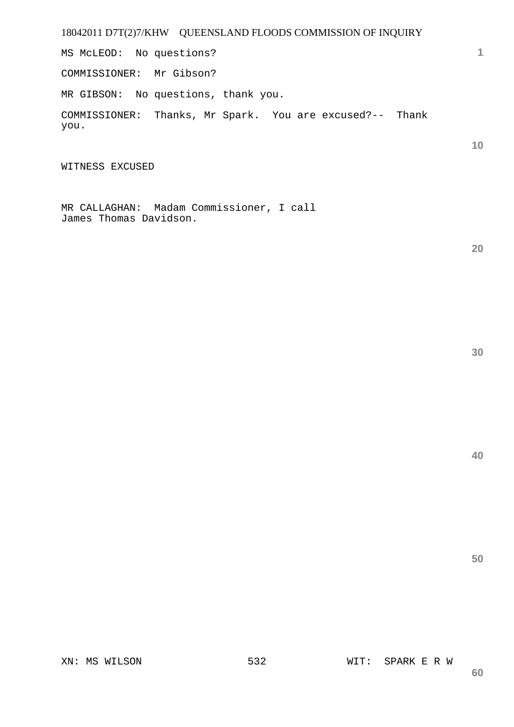18042011 D7T(2)7/KHW QUEENSLAND FLOODS COMMISSION OF INQUIRY

MS McLEOD: No questions?

COMMISSIONER: Mr Gibson?

MR GIBSON: No questions, thank you.

COMMISSIONER: Thanks, Mr Spark. You are excused?-- Thank you.

WITNESS EXCUSED

MR CALLAGHAN: Madam Commissioner, I call James Thomas Davidson.

**20** 

**1**

**10**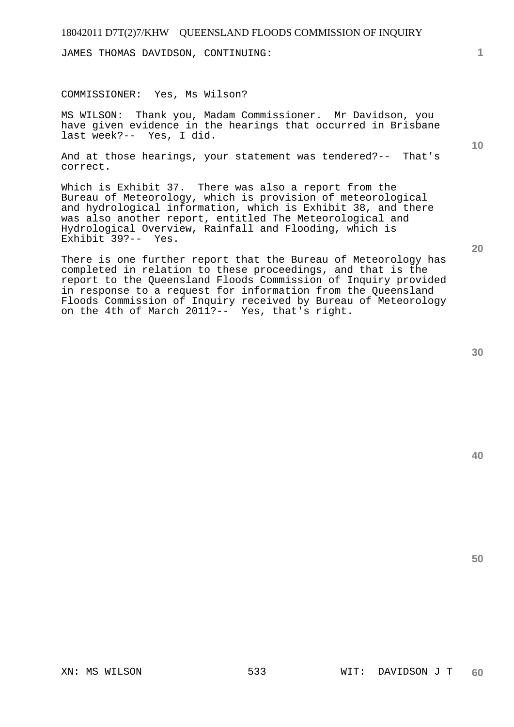JAMES THOMAS DAVIDSON, CONTINUING:

#### COMMISSIONER: Yes, Ms Wilson?

MS WILSON: Thank you, Madam Commissioner. Mr Davidson, you have given evidence in the hearings that occurred in Brisbane last week?-- Yes, I did.

And at those hearings, your statement was tendered?-- That's correct.

Which is Exhibit 37. There was also a report from the Bureau of Meteorology, which is provision of meteorological and hydrological information, which is Exhibit 38, and there was also another report, entitled The Meteorological and Hydrological Overview, Rainfall and Flooding, which is Exhibit 39?-- Yes.

There is one further report that the Bureau of Meteorology has completed in relation to these proceedings, and that is the report to the Queensland Floods Commission of Inquiry provided in response to a request for information from the Queensland Floods Commission of Inquiry received by Bureau of Meteorology on the 4th of March 2011?-- Yes, that's right.

**40** 

**50** 

**20** 

**1**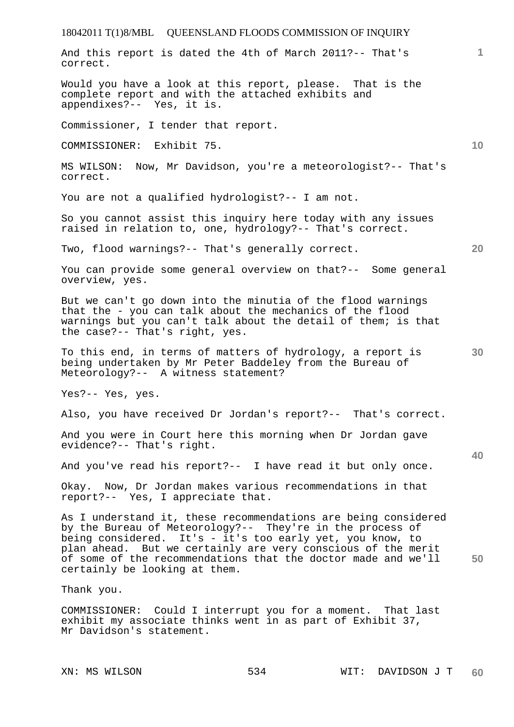**1 10 20 30 40 50**  And this report is dated the 4th of March 2011?-- That's correct. Would you have a look at this report, please. That is the complete report and with the attached exhibits and appendixes?-- Yes, it is. Commissioner, I tender that report. COMMISSIONER: Exhibit 75. MS WILSON: Now, Mr Davidson, you're a meteorologist?-- That's correct. You are not a qualified hydrologist?-- I am not. So you cannot assist this inquiry here today with any issues raised in relation to, one, hydrology?-- That's correct. Two, flood warnings?-- That's generally correct. You can provide some general overview on that?-- Some general overview, yes. But we can't go down into the minutia of the flood warnings that the - you can talk about the mechanics of the flood warnings but you can't talk about the detail of them; is that the case?-- That's right, yes. To this end, in terms of matters of hydrology, a report is being undertaken by Mr Peter Baddeley from the Bureau of Meteorology?-- A witness statement? Yes?-- Yes, yes. Also, you have received Dr Jordan's report?-- That's correct. And you were in Court here this morning when Dr Jordan gave evidence?-- That's right. And you've read his report?-- I have read it but only once. Okay. Now, Dr Jordan makes various recommendations in that report?-- Yes, I appreciate that. As I understand it, these recommendations are being considered by the Bureau of Meteorology?-- They're in the process of being considered. It's - it's too early yet, you know, to plan ahead. But we certainly are very conscious of the merit of some of the recommendations that the doctor made and we'll certainly be looking at them. Thank you. COMMISSIONER: Could I interrupt you for a moment. That last exhibit my associate thinks went in as part of Exhibit 37, Mr Davidson's statement.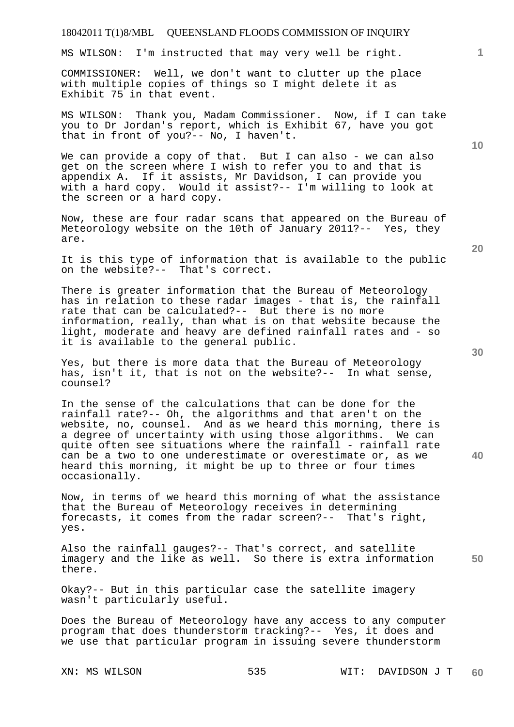MS WILSON: I'm instructed that may very well be right.

COMMISSIONER: Well, we don't want to clutter up the place with multiple copies of things so I might delete it as Exhibit 75 in that event.

MS WILSON: Thank you, Madam Commissioner. Now, if I can take you to Dr Jordan's report, which is Exhibit 67, have you got that in front of you?-- No, I haven't.

We can provide a copy of that. But I can also - we can also get on the screen where I wish to refer you to and that is appendix A. If it assists, Mr Davidson, I can provide you with a hard copy. Would it assist?-- I'm willing to look at the screen or a hard copy.

Now, these are four radar scans that appeared on the Bureau of Meteorology website on the 10th of January 2011?-- Yes, they are.

It is this type of information that is available to the public on the website?-- That's correct.

There is greater information that the Bureau of Meteorology has in relation to these radar images - that is, the rainfall rate that can be calculated?-- But there is no more information, really, than what is on that website because the light, moderate and heavy are defined rainfall rates and - so it is available to the general public.

Yes, but there is more data that the Bureau of Meteorology has, isn't it, that is not on the website?-- In what sense, counsel?

In the sense of the calculations that can be done for the rainfall rate?-- Oh, the algorithms and that aren't on the website, no, counsel. And as we heard this morning, there is a degree of uncertainty with using those algorithms. We can quite often see situations where the rainfall - rainfall rate can be a two to one underestimate or overestimate or, as we heard this morning, it might be up to three or four times occasionally.

Now, in terms of we heard this morning of what the assistance that the Bureau of Meteorology receives in determining forecasts, it comes from the radar screen?-- That's right, yes.

**50**  Also the rainfall gauges?-- That's correct, and satellite imagery and the like as well. So there is extra information there.

Okay?-- But in this particular case the satellite imagery wasn't particularly useful.

Does the Bureau of Meteorology have any access to any computer program that does thunderstorm tracking?-- Yes, it does and we use that particular program in issuing severe thunderstorm

**20** 

**40** 

**10**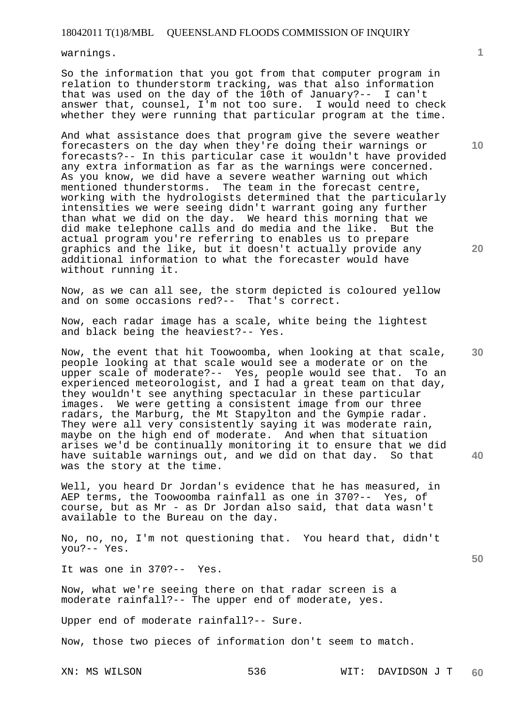warnings.

So the information that you got from that computer program in relation to thunderstorm tracking, was that also information that was used on the day of the 10th of January?-- I can't answer that, counsel, I'm not too sure. I would need to check whether they were running that particular program at the time.

And what assistance does that program give the severe weather forecasters on the day when they're doing their warnings or forecasts?-- In this particular case it wouldn't have provided any extra information as far as the warnings were concerned. As you know, we did have a severe weather warning out which mentioned thunderstorms. The team in the forecast centre, working with the hydrologists determined that the particularly intensities we were seeing didn't warrant going any further than what we did on the day. We heard this morning that we did make telephone calls and do media and the like. But the actual program you're referring to enables us to prepare graphics and the like, but it doesn't actually provide any additional information to what the forecaster would have without running it.

Now, as we can all see, the storm depicted is coloured yellow and on some occasions red?-- That's correct.

Now, each radar image has a scale, white being the lightest and black being the heaviest?-- Yes.

Now, the event that hit Toowoomba, when looking at that scale, people looking at that scale would see a moderate or on the upper scale of moderate?-- Yes, people would see that. To an experienced meteorologist, and I had a great team on that day, they wouldn't see anything spectacular in these particular images. We were getting a consistent image from our three radars, the Marburg, the Mt Stapylton and the Gympie radar. They were all very consistently saying it was moderate rain, maybe on the high end of moderate. And when that situation arises we'd be continually monitoring it to ensure that we did have suitable warnings out, and we did on that day. So that was the story at the time.

Well, you heard Dr Jordan's evidence that he has measured, in AEP terms, the Toowoomba rainfall as one in 370?-- Yes, of course, but as Mr - as Dr Jordan also said, that data wasn't available to the Bureau on the day.

No, no, no, I'm not questioning that. You heard that, didn't you?-- Yes.

It was one in 370?-- Yes.

Now, what we're seeing there on that radar screen is a moderate rainfall?-- The upper end of moderate, yes.

Upper end of moderate rainfall?-- Sure.

Now, those two pieces of information don't seem to match.

**10** 

**1**

**20** 

**30** 

**40**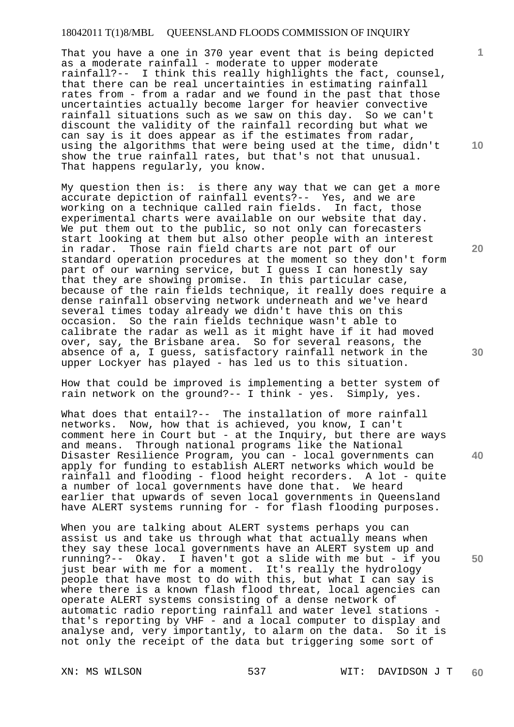That you have a one in 370 year event that is being depicted as a moderate rainfall - moderate to upper moderate rainfall?-- I think this really highlights the fact, counsel, that there can be real uncertainties in estimating rainfall rates from - from a radar and we found in the past that those uncertainties actually become larger for heavier convective rainfall situations such as we saw on this day. So we can't discount the validity of the rainfall recording but what we can say is it does appear as if the estimates from radar, using the algorithms that were being used at the time, didn't show the true rainfall rates, but that's not that unusual. That happens regularly, you know.

My question then is: is there any way that we can get a more accurate depiction of rainfall events?-- Yes, and we are working on a technique called rain fields. In fact, those experimental charts were available on our website that day. We put them out to the public, so not only can forecasters start looking at them but also other people with an interest in radar. Those rain field charts are not part of our standard operation procedures at the moment so they don't form part of our warning service, but I guess I can honestly say that they are showing promise. In this particular case, because of the rain fields technique, it really does require a dense rainfall observing network underneath and we've heard several times today already we didn't have this on this occasion. So the rain fields technique wasn't able to calibrate the radar as well as it might have if it had moved over, say, the Brisbane area. So for several reasons, the absence of a, I guess, satisfactory rainfall network in the upper Lockyer has played - has led us to this situation.

How that could be improved is implementing a better system of rain network on the ground?-- I think - yes. Simply, yes.

What does that entail?-- The installation of more rainfall networks. Now, how that is achieved, you know, I can't comment here in Court but - at the Inquiry, but there are ways and means. Through national programs like the National Disaster Resilience Program, you can - local governments can apply for funding to establish ALERT networks which would be rainfall and flooding - flood height recorders. A lot - quite a number of local governments have done that. We heard earlier that upwards of seven local governments in Queensland have ALERT systems running for - for flash flooding purposes.

When you are talking about ALERT systems perhaps you can assist us and take us through what that actually means when they say these local governments have an ALERT system up and running?-- Okay. I haven't got a slide with me but - if you just bear with me for a moment. It's really the hydrology people that have most to do with this, but what I can say is where there is a known flash flood threat, local agencies can operate ALERT systems consisting of a dense network of automatic radio reporting rainfall and water level stations that's reporting by VHF - and a local computer to display and analyse and, very importantly, to alarm on the data. So it is not only the receipt of the data but triggering some sort of

**20** 

**10** 

**1**

**30** 

**50**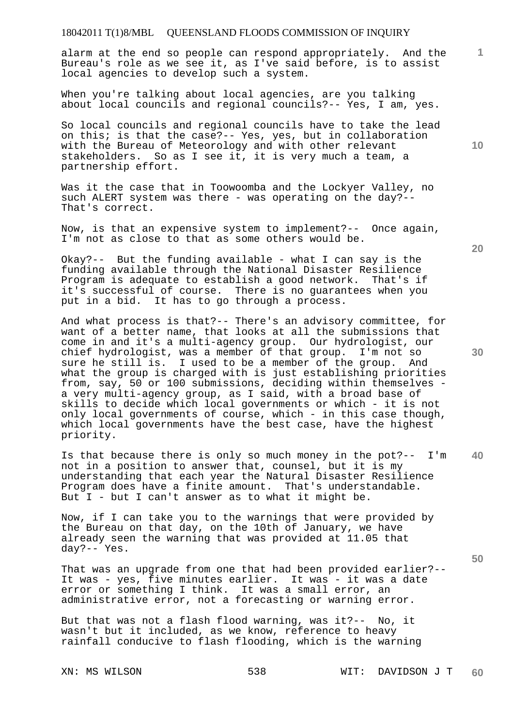alarm at the end so people can respond appropriately. And the Bureau's role as we see it, as I've said before, is to assist local agencies to develop such a system.

When you're talking about local agencies, are you talking about local councils and regional councils?-- Yes, I am, yes.

So local councils and regional councils have to take the lead on this; is that the case?-- Yes, yes, but in collaboration with the Bureau of Meteorology and with other relevant stakeholders. So as I see it, it is very much a team, a partnership effort.

Was it the case that in Toowoomba and the Lockyer Valley, no such ALERT system was there - was operating on the day?-- That's correct.

Now, is that an expensive system to implement?-- Once again, I'm not as close to that as some others would be.

Okay?-- But the funding available - what I can say is the funding available through the National Disaster Resilience Program is adequate to establish a good network. That's if it's successful of course. There is no guarantees when you put in a bid. It has to go through a process.

And what process is that?-- There's an advisory committee, for want of a better name, that looks at all the submissions that come in and it's a multi-agency group. Our hydrologist, our chief hydrologist, was a member of that group. I'm not so sure he still is. I used to be a member of the group. And what the group is charged with is just establishing priorities from, say, 50 or 100 submissions, deciding within themselves a very multi-agency group, as I said, with a broad base of skills to decide which local governments or which - it is not only local governments of course, which - in this case though, which local governments have the best case, have the highest priority.

**40**  Is that because there is only so much money in the pot?-- I'm not in a position to answer that, counsel, but it is my understanding that each year the Natural Disaster Resilience Program does have a finite amount. That's understandable. But I - but I can't answer as to what it might be.

Now, if I can take you to the warnings that were provided by the Bureau on that day, on the 10th of January, we have already seen the warning that was provided at 11.05 that day?-- Yes.

That was an upgrade from one that had been provided earlier?-- It was - yes, five minutes earlier. It was - it was a date error or something I think. It was a small error, an administrative error, not a forecasting or warning error.

But that was not a flash flood warning, was it?-- No, it wasn't but it included, as we know, reference to heavy rainfall conducive to flash flooding, which is the warning

**10** 

**1**

**30** 

**20**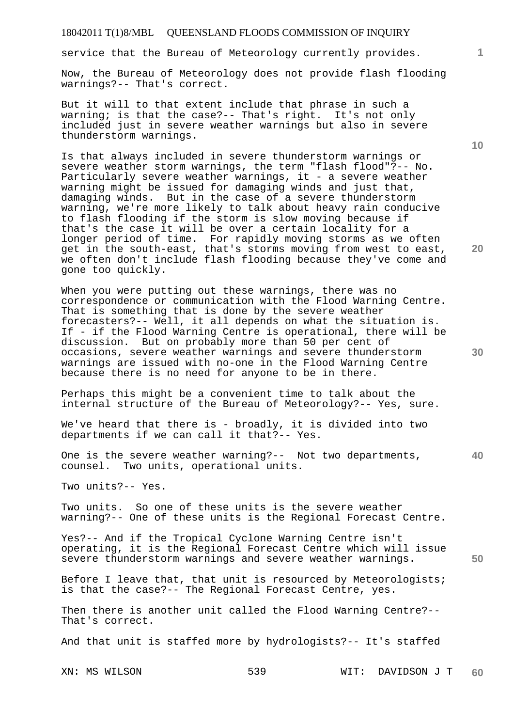service that the Bureau of Meteorology currently provides.

Now, the Bureau of Meteorology does not provide flash flooding warnings?-- That's correct.

But it will to that extent include that phrase in such a warning; is that the case?-- That's right. It's not only included just in severe weather warnings but also in severe thunderstorm warnings.

Is that always included in severe thunderstorm warnings or severe weather storm warnings, the term "flash flood"?-- No. Particularly severe weather warnings, it - a severe weather warning might be issued for damaging winds and just that, damaging winds. But in the case of a severe thunderstorm warning, we're more likely to talk about heavy rain conducive to flash flooding if the storm is slow moving because if that's the case it will be over a certain locality for a longer period of time. For rapidly moving storms as we often get in the south-east, that's storms moving from west to east, we often don't include flash flooding because they've come and gone too quickly.

When you were putting out these warnings, there was no correspondence or communication with the Flood Warning Centre. That is something that is done by the severe weather forecasters?-- Well, it all depends on what the situation is. If - if the Flood Warning Centre is operational, there will be discussion. But on probably more than 50 per cent of occasions, severe weather warnings and severe thunderstorm warnings are issued with no-one in the Flood Warning Centre because there is no need for anyone to be in there.

Perhaps this might be a convenient time to talk about the internal structure of the Bureau of Meteorology?-- Yes, sure.

We've heard that there is - broadly, it is divided into two departments if we can call it that?-- Yes.

One is the severe weather warning?-- Not two departments, counsel. Two units, operational units.

Two units?-- Yes.

Two units. So one of these units is the severe weather warning?-- One of these units is the Regional Forecast Centre.

Yes?-- And if the Tropical Cyclone Warning Centre isn't operating, it is the Regional Forecast Centre which will issue severe thunderstorm warnings and severe weather warnings.

Before I leave that, that unit is resourced by Meteorologists; is that the case?-- The Regional Forecast Centre, yes.

Then there is another unit called the Flood Warning Centre?-- That's correct.

And that unit is staffed more by hydrologists?-- It's staffed

XN: MS WILSON 539 WIT: DAVIDSON J T **60** 

**20** 

**40** 

**50** 

**10**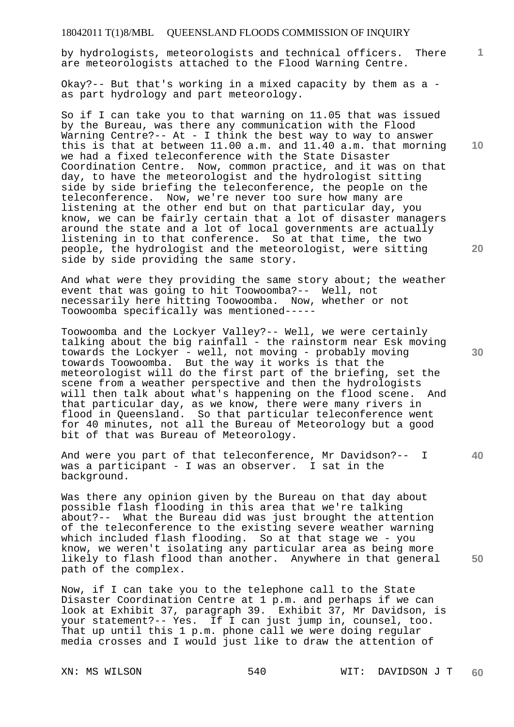by hydrologists, meteorologists and technical officers. There are meteorologists attached to the Flood Warning Centre.

Okay?-- But that's working in a mixed capacity by them as a as part hydrology and part meteorology.

So if I can take you to that warning on 11.05 that was issued by the Bureau, was there any communication with the Flood Warning Centre?-- At - I think the best way to way to answer this is that at between 11.00 a.m. and 11.40 a.m. that morning we had a fixed teleconference with the State Disaster Coordination Centre. Now, common practice, and it was on that day, to have the meteorologist and the hydrologist sitting side by side briefing the teleconference, the people on the teleconference. Now, we're never too sure how many are listening at the other end but on that particular day, you know, we can be fairly certain that a lot of disaster managers around the state and a lot of local governments are actually listening in to that conference. So at that time, the two people, the hydrologist and the meteorologist, were sitting side by side providing the same story.

And what were they providing the same story about; the weather event that was going to hit Toowoomba?-- Well, not necessarily here hitting Toowoomba. Now, whether or not Toowoomba specifically was mentioned-----

Toowoomba and the Lockyer Valley?-- Well, we were certainly talking about the big rainfall - the rainstorm near Esk moving towards the Lockyer - well, not moving - probably moving towards Toowoomba. But the way it works is that the meteorologist will do the first part of the briefing, set the scene from a weather perspective and then the hydrologists will then talk about what's happening on the flood scene. And that particular day, as we know, there were many rivers in flood in Queensland. So that particular teleconference went for 40 minutes, not all the Bureau of Meteorology but a good bit of that was Bureau of Meteorology.

And were you part of that teleconference, Mr Davidson?-- I was a participant - I was an observer. I sat in the background.

Was there any opinion given by the Bureau on that day about possible flash flooding in this area that we're talking about?-- What the Bureau did was just brought the attention of the teleconference to the existing severe weather warning which included flash flooding. So at that stage we - you know, we weren't isolating any particular area as being more likely to flash flood than another. Anywhere in that general path of the complex.

Now, if I can take you to the telephone call to the State Disaster Coordination Centre at 1 p.m. and perhaps if we can look at Exhibit 37, paragraph 39. Exhibit 37, Mr Davidson, is your statement?-- Yes. If I can just jump in, counsel, too. That up until this 1 p.m. phone call we were doing regular media crosses and I would just like to draw the attention of

**10** 

**1**

**20** 

**30** 

**40**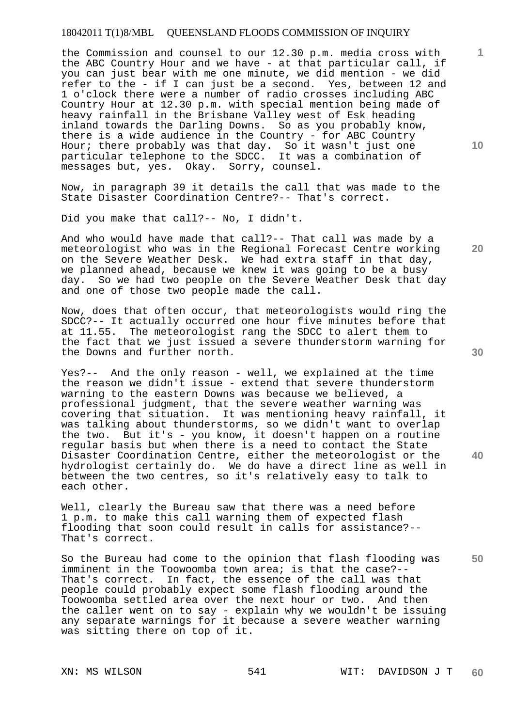the Commission and counsel to our 12.30 p.m. media cross with the ABC Country Hour and we have - at that particular call, if you can just bear with me one minute, we did mention - we did refer to the - if I can just be a second. Yes, between 12 and 1 o'clock there were a number of radio crosses including ABC Country Hour at 12.30 p.m. with special mention being made of heavy rainfall in the Brisbane Valley west of Esk heading inland towards the Darling Downs. So as you probably know, there is a wide audience in the Country - for ABC Country Hour; there probably was that day. So it wasn't just one particular telephone to the SDCC. It was a combination of messages but, yes. Okay. Sorry, counsel.

Now, in paragraph 39 it details the call that was made to the State Disaster Coordination Centre?-- That's correct.

Did you make that call?-- No, I didn't.

And who would have made that call?-- That call was made by a meteorologist who was in the Regional Forecast Centre working on the Severe Weather Desk. We had extra staff in that day, we planned ahead, because we knew it was going to be a busy day. So we had two people on the Severe Weather Desk that day and one of those two people made the call.

Now, does that often occur, that meteorologists would ring the SDCC?-- It actually occurred one hour five minutes before that at 11.55. The meteorologist rang the SDCC to alert them to the fact that we just issued a severe thunderstorm warning for the Downs and further north.

Yes?-- And the only reason - well, we explained at the time the reason we didn't issue - extend that severe thunderstorm warning to the eastern Downs was because we believed, a professional judgment, that the severe weather warning was covering that situation. It was mentioning heavy rainfall, it was talking about thunderstorms, so we didn't want to overlap the two. But it's - you know, it doesn't happen on a routine regular basis but when there is a need to contact the State Disaster Coordination Centre, either the meteorologist or the hydrologist certainly do. We do have a direct line as well in between the two centres, so it's relatively easy to talk to each other.

Well, clearly the Bureau saw that there was a need before 1 p.m. to make this call warning them of expected flash flooding that soon could result in calls for assistance?-- That's correct.

**50**  So the Bureau had come to the opinion that flash flooding was imminent in the Toowoomba town area; is that the case?-- That's correct. In fact, the essence of the call was that people could probably expect some flash flooding around the Toowoomba settled area over the next hour or two. And then the caller went on to say - explain why we wouldn't be issuing any separate warnings for it because a severe weather warning was sitting there on top of it.

**10** 

**20** 

**1**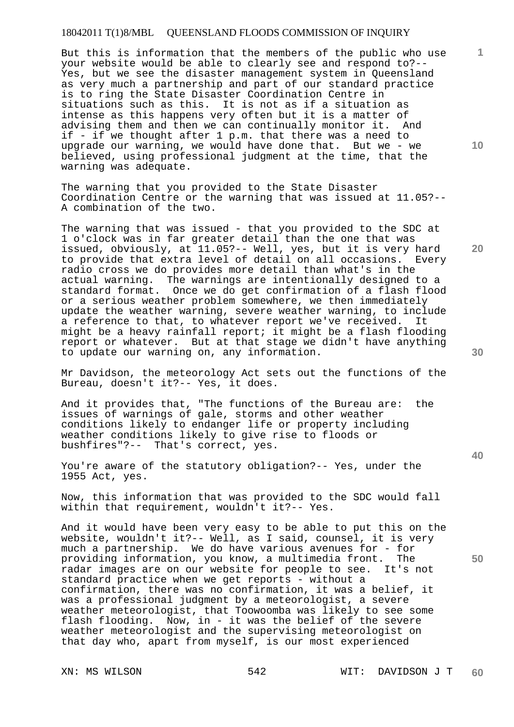But this is information that the members of the public who use your website would be able to clearly see and respond to?-- Yes, but we see the disaster management system in Queensland as very much a partnership and part of our standard practice is to ring the State Disaster Coordination Centre in situations such as this. It is not as if a situation as intense as this happens very often but it is a matter of advising them and then we can continually monitor it. And if - if we thought after 1 p.m. that there was a need to upgrade our warning, we would have done that. But we - we believed, using professional judgment at the time, that the warning was adequate.

The warning that you provided to the State Disaster Coordination Centre or the warning that was issued at 11.05?-- A combination of the two.

The warning that was issued - that you provided to the SDC at 1 o'clock was in far greater detail than the one that was issued, obviously, at 11.05?-- Well, yes, but it is very hard to provide that extra level of detail on all occasions. Every radio cross we do provides more detail than what's in the actual warning. The warnings are intentionally designed to a standard format. Once we do get confirmation of a flash flood or a serious weather problem somewhere, we then immediately update the weather warning, severe weather warning, to include a reference to that, to whatever report we've received. It might be a heavy rainfall report; it might be a flash flooding report or whatever. But at that stage we didn't have anything to update our warning on, any information.

Mr Davidson, the meteorology Act sets out the functions of the Bureau, doesn't it?-- Yes, it does.

And it provides that, "The functions of the Bureau are: the issues of warnings of gale, storms and other weather conditions likely to endanger life or property including weather conditions likely to give rise to floods or bushfires"?-- That's correct, yes.

You're aware of the statutory obligation?-- Yes, under the 1955 Act, yes.

Now, this information that was provided to the SDC would fall within that requirement, wouldn't it?-- Yes.

And it would have been very easy to be able to put this on the website, wouldn't it?-- Well, as I said, counsel, it is very much a partnership. We do have various avenues for - for providing information, you know, a multimedia front. The radar images are on our website for people to see. It's not standard practice when we get reports - without a confirmation, there was no confirmation, it was a belief, it was a professional judgment by a meteorologist, a severe weather meteorologist, that Toowoomba was likely to see some flash flooding. Now, in - it was the belief of the severe weather meteorologist and the supervising meteorologist on that day who, apart from myself, is our most experienced

**30** 

**20** 

**1**

**10** 

**40**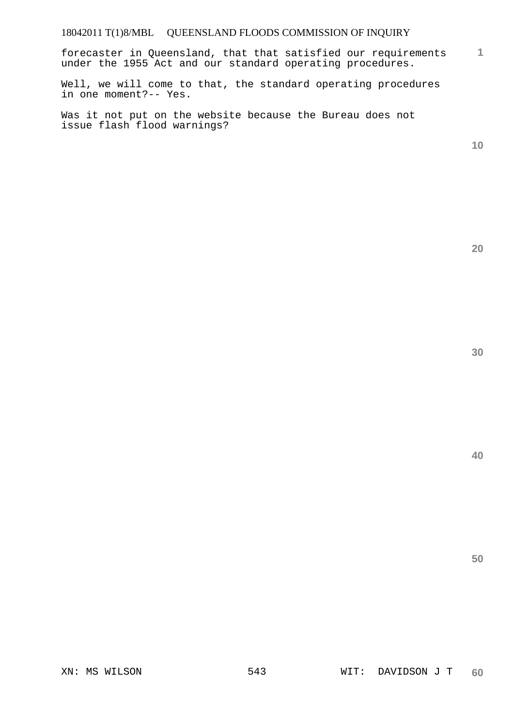**1** forecaster in Queensland, that that satisfied our requirements under the 1955 Act and our standard operating procedures.

Well, we will come to that, the standard operating procedures in one moment?-- Yes.

Was it not put on the website because the Bureau does not issue flash flood warnings?

**10** 

**20** 

**40**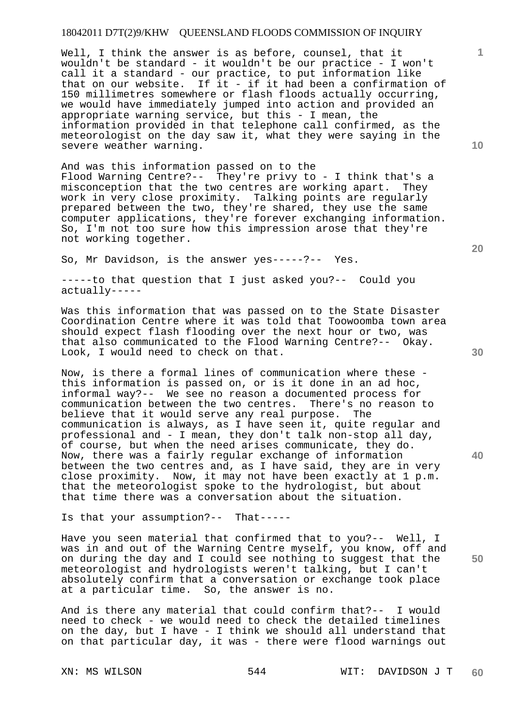Well, I think the answer is as before, counsel, that it wouldn't be standard - it wouldn't be our practice - I won't call it a standard - our practice, to put information like that on our website. If it - if it had been a confirmation of 150 millimetres somewhere or flash floods actually occurring, we would have immediately jumped into action and provided an appropriate warning service, but this - I mean, the information provided in that telephone call confirmed, as the meteorologist on the day saw it, what they were saying in the severe weather warning.

And was this information passed on to the Flood Warning Centre?-- They're privy to - I think that's a misconception that the two centres are working apart. They work in very close proximity. Talking points are regularly prepared between the two, they're shared, they use the same computer applications, they're forever exchanging information. So, I'm not too sure how this impression arose that they're not working together.

So, Mr Davidson, is the answer yes-----?-- Yes.

-----to that question that I just asked you?-- Could you actually-----

Was this information that was passed on to the State Disaster Coordination Centre where it was told that Toowoomba town area should expect flash flooding over the next hour or two, was that also communicated to the Flood Warning Centre?-- Okay. Look, I would need to check on that.

Now, is there a formal lines of communication where these this information is passed on, or is it done in an ad hoc, informal way?-- We see no reason a documented process for communication between the two centres. There's no reason to believe that it would serve any real purpose. The communication is always, as I have seen it, quite regular and professional and - I mean, they don't talk non-stop all day, of course, but when the need arises communicate, they do. Now, there was a fairly regular exchange of information between the two centres and, as I have said, they are in very close proximity. Now, it may not have been exactly at 1 p.m. that the meteorologist spoke to the hydrologist, but about that time there was a conversation about the situation.

Is that your assumption?-- That-----

Have you seen material that confirmed that to you?-- Well, I was in and out of the Warning Centre myself, you know, off and on during the day and I could see nothing to suggest that the meteorologist and hydrologists weren't talking, but I can't absolutely confirm that a conversation or exchange took place at a particular time. So, the answer is no.

And is there any material that could confirm that?-- I would need to check - we would need to check the detailed timelines on the day, but I have - I think we should all understand that on that particular day, it was - there were flood warnings out

**10** 

**1**

**40**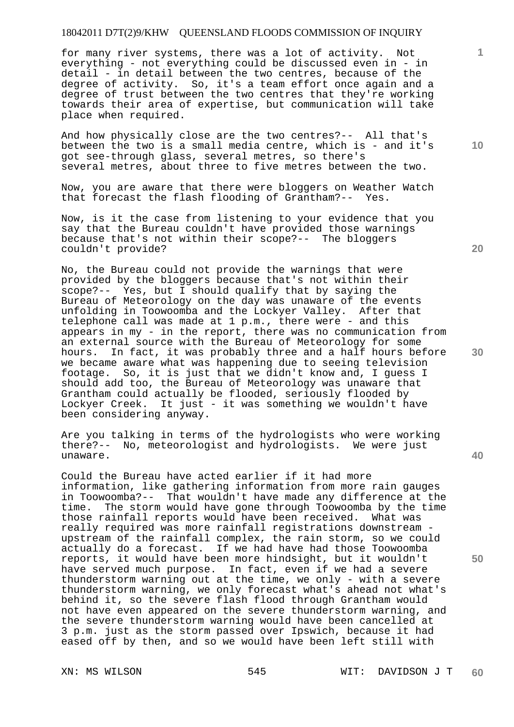for many river systems, there was a lot of activity. Not everything - not everything could be discussed even in - in detail - in detail between the two centres, because of the degree of activity. So, it's a team effort once again and a degree of trust between the two centres that they're working towards their area of expertise, but communication will take place when required.

And how physically close are the two centres?-- All that's between the two is a small media centre, which is - and it's got see-through glass, several metres, so there's several metres, about three to five metres between the two.

Now, you are aware that there were bloggers on Weather Watch that forecast the flash flooding of Grantham?-- Yes.

Now, is it the case from listening to your evidence that you say that the Bureau couldn't have provided those warnings because that's not within their scope?-- The bloggers couldn't provide?

No, the Bureau could not provide the warnings that were provided by the bloggers because that's not within their scope?-- Yes, but I should qualify that by saying the Bureau of Meteorology on the day was unaware of the events unfolding in Toowoomba and the Lockyer Valley. After that telephone call was made at 1 p.m., there were - and this appears in my - in the report, there was no communication from an external source with the Bureau of Meteorology for some hours. In fact, it was probably three and a half hours before we became aware what was happening due to seeing television footage. So, it is just that we didn't know and, I guess I should add too, the Bureau of Meteorology was unaware that Grantham could actually be flooded, seriously flooded by Lockyer Creek. It just - it was something we wouldn't have been considering anyway.

Are you talking in terms of the hydrologists who were working there?-- No, meteorologist and hydrologists. We were just unaware.

Could the Bureau have acted earlier if it had more information, like gathering information from more rain gauges in Toowoomba?-- That wouldn't have made any difference at the time. The storm would have gone through Toowoomba by the time those rainfall reports would have been received. What was really required was more rainfall registrations downstream upstream of the rainfall complex, the rain storm, so we could actually do a forecast. If we had have had those Toowoomba reports, it would have been more hindsight, but it wouldn't have served much purpose. In fact, even if we had a severe thunderstorm warning out at the time, we only - with a severe thunderstorm warning, we only forecast what's ahead not what's behind it, so the severe flash flood through Grantham would not have even appeared on the severe thunderstorm warning, and the severe thunderstorm warning would have been cancelled at 3 p.m. just as the storm passed over Ipswich, because it had eased off by then, and so we would have been left still with

**20** 

**10** 

**1**

**30** 

**50**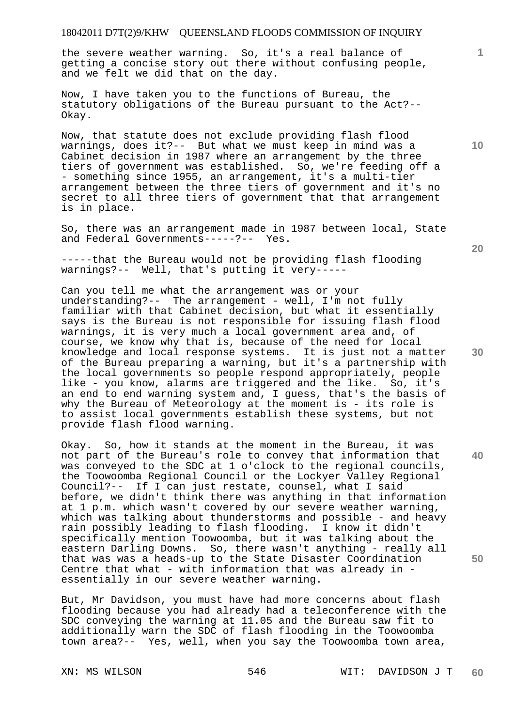the severe weather warning. So, it's a real balance of getting a concise story out there without confusing people, and we felt we did that on the day.

Now, I have taken you to the functions of Bureau, the statutory obligations of the Bureau pursuant to the Act?-- Okay.

Now, that statute does not exclude providing flash flood warnings, does it?-- But what we must keep in mind was a Cabinet decision in 1987 where an arrangement by the three tiers of government was established. So, we're feeding off a - something since 1955, an arrangement, it's a multi-tier arrangement between the three tiers of government and it's no secret to all three tiers of government that that arrangement is in place.

So, there was an arrangement made in 1987 between local, State and Federal Governments-----?-- Yes.

-----that the Bureau would not be providing flash flooding warnings?-- Well, that's putting it very-----

Can you tell me what the arrangement was or your understanding?-- The arrangement - well, I'm not fully familiar with that Cabinet decision, but what it essentially says is the Bureau is not responsible for issuing flash flood warnings, it is very much a local government area and, of course, we know why that is, because of the need for local knowledge and local response systems. It is just not a matter of the Bureau preparing a warning, but it's a partnership with the local governments so people respond appropriately, people like - you know, alarms are triggered and the like. So, it's an end to end warning system and, I guess, that's the basis of why the Bureau of Meteorology at the moment is - its role is to assist local governments establish these systems, but not provide flash flood warning.

Okay. So, how it stands at the moment in the Bureau, it was not part of the Bureau's role to convey that information that was conveyed to the SDC at 1 o'clock to the regional councils, the Toowoomba Regional Council or the Lockyer Valley Regional Council?-- If I can just restate, counsel, what I said before, we didn't think there was anything in that information at 1 p.m. which wasn't covered by our severe weather warning, which was talking about thunderstorms and possible - and heavy rain possibly leading to flash flooding. I know it didn't specifically mention Toowoomba, but it was talking about the eastern Darling Downs. So, there wasn't anything - really all that was was a heads-up to the State Disaster Coordination Centre that what - with information that was already in essentially in our severe weather warning.

But, Mr Davidson, you must have had more concerns about flash flooding because you had already had a teleconference with the SDC conveying the warning at 11.05 and the Bureau saw fit to additionally warn the SDC of flash flooding in the Toowoomba town area?-- Yes, well, when you say the Toowoomba town area,

**20** 

**10** 

**1**

**50**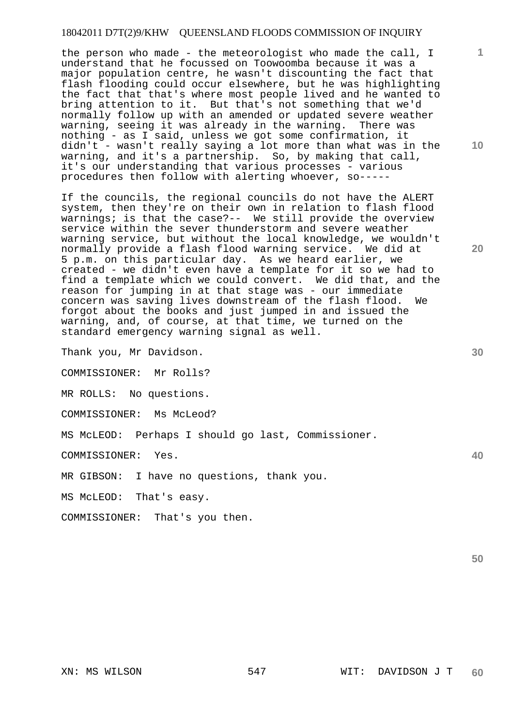the person who made - the meteorologist who made the call, I understand that he focussed on Toowoomba because it was a major population centre, he wasn't discounting the fact that flash flooding could occur elsewhere, but he was highlighting the fact that that's where most people lived and he wanted to bring attention to it. But that's not something that we'd normally follow up with an amended or updated severe weather warning, seeing it was already in the warning. There was nothing - as I said, unless we got some confirmation, it didn't - wasn't really saying a lot more than what was in the warning, and it's a partnership. So, by making that call, it's our understanding that various processes - various procedures then follow with alerting whoever, so-----

If the councils, the regional councils do not have the ALERT system, then they're on their own in relation to flash flood warnings; is that the case?-- We still provide the overview service within the sever thunderstorm and severe weather warning service, but without the local knowledge, we wouldn't normally provide a flash flood warning service. We did at 5 p.m. on this particular day. As we heard earlier, we created - we didn't even have a template for it so we had to find a template which we could convert. We did that, and the reason for jumping in at that stage was - our immediate concern was saving lives downstream of the flash flood. We forgot about the books and just jumped in and issued the warning, and, of course, at that time, we turned on the standard emergency warning signal as well.

Thank you, Mr Davidson.

COMMISSIONER: Mr Rolls?

MR ROLLS: No questions.

COMMISSIONER: Ms McLeod?

MS McLEOD: Perhaps I should go last, Commissioner.

COMMISSIONER: Yes.

MR GIBSON: I have no questions, thank you.

MS McLEOD: That's easy.

COMMISSIONER: That's you then.

**10** 

**1**

**20** 

**30** 

**40**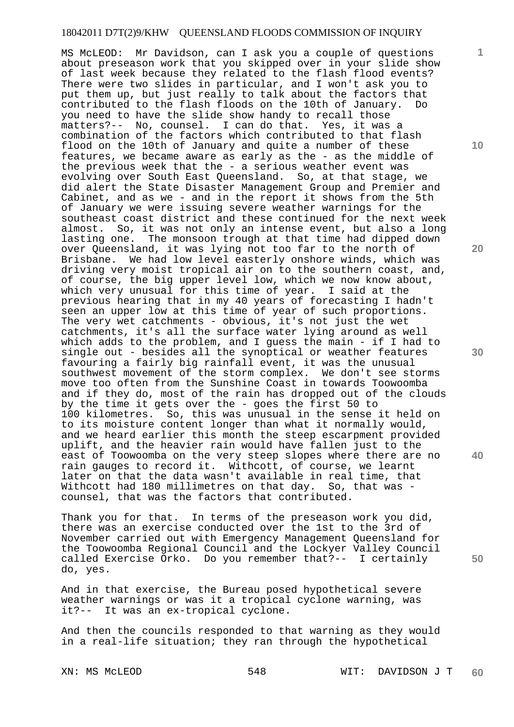MS McLEOD: Mr Davidson, can I ask you a couple of questions about preseason work that you skipped over in your slide show of last week because they related to the flash flood events? There were two slides in particular, and I won't ask you to put them up, but just really to talk about the factors that contributed to the flash floods on the 10th of January. Do you need to have the slide show handy to recall those matters?-- No, counsel. I can do that. Yes, it was a combination of the factors which contributed to that flash flood on the 10th of January and quite a number of these features, we became aware as early as the - as the middle of the previous week that the - a serious weather event was evolving over South East Queensland. So, at that stage, we did alert the State Disaster Management Group and Premier and Cabinet, and as we - and in the report it shows from the 5th of January we were issuing severe weather warnings for the southeast coast district and these continued for the next week almost. So, it was not only an intense event, but also a long lasting one. The monsoon trough at that time had dipped down over Queensland, it was lying not too far to the north of Brisbane. We had low level easterly onshore winds, which was driving very moist tropical air on to the southern coast, and, of course, the big upper level low, which we now know about, which very unusual for this time of year. I said at the previous hearing that in my 40 years of forecasting I hadn't seen an upper low at this time of year of such proportions. The very wet catchments - obvious, it's not just the wet catchments, it's all the surface water lying around as well which adds to the problem, and I guess the main - if I had to single out - besides all the synoptical or weather features favouring a fairly big rainfall event, it was the unusual southwest movement of the storm complex. We don't see storms move too often from the Sunshine Coast in towards Toowoomba and if they do, most of the rain has dropped out of the clouds by the time it gets over the - goes the first 50 to 100 kilometres. So, this was unusual in the sense it held on to its moisture content longer than what it normally would, and we heard earlier this month the steep escarpment provided uplift, and the heavier rain would have fallen just to the east of Toowoomba on the very steep slopes where there are no rain gauges to record it. Withcott, of course, we learnt later on that the data wasn't available in real time, that Withcott had 180 millimetres on that day. So, that was counsel, that was the factors that contributed.

Thank you for that. In terms of the preseason work you did, there was an exercise conducted over the 1st to the 3rd of November carried out with Emergency Management Queensland for the Toowoomba Regional Council and the Lockyer Valley Council called Exercise Orko. Do you remember that?-- I certainly do, yes.

And in that exercise, the Bureau posed hypothetical severe weather warnings or was it a tropical cyclone warning, was it?-- It was an ex-tropical cyclone.

And then the councils responded to that warning as they would in a real-life situation; they ran through the hypothetical

XN: MS McLEOD 6548 WIT: DAVIDSON J T **60** 

**10** 

**1**

**20** 

**30** 

**40**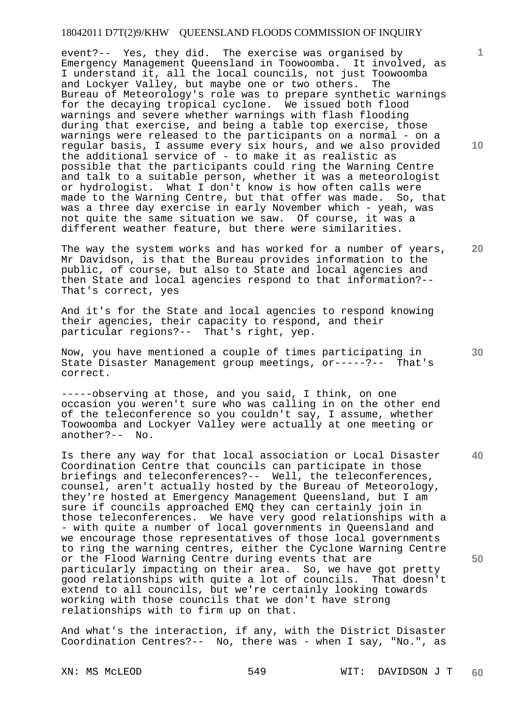event?-- Yes, they did. The exercise was organised by Emergency Management Queensland in Toowoomba. It involved, as I understand it, all the local councils, not just Toowoomba and Lockyer Valley, but maybe one or two others. The Bureau of Meteorology's role was to prepare synthetic warnings for the decaying tropical cyclone. We issued both flood warnings and severe whether warnings with flash flooding during that exercise, and being a table top exercise, those warnings were released to the participants on a normal - on a regular basis, I assume every six hours, and we also provided the additional service of - to make it as realistic as possible that the participants could ring the Warning Centre and talk to a suitable person, whether it was a meteorologist or hydrologist. What I don't know is how often calls were made to the Warning Centre, but that offer was made. So, that was a three day exercise in early November which - yeah, was not quite the same situation we saw. Of course, it was a different weather feature, but there were similarities.

The way the system works and has worked for a number of years, Mr Davidson, is that the Bureau provides information to the public, of course, but also to State and local agencies and then State and local agencies respond to that information?-- That's correct, yes

And it's for the State and local agencies to respond knowing their agencies, their capacity to respond, and their particular regions?-- That's right, yep.

Now, you have mentioned a couple of times participating in State Disaster Management group meetings, or-----?-- That's correct.

-----observing at those, and you said, I think, on one occasion you weren't sure who was calling in on the other end of the teleconference so you couldn't say, I assume, whether Toowoomba and Lockyer Valley were actually at one meeting or another?-- No.

Is there any way for that local association or Local Disaster Coordination Centre that councils can participate in those briefings and teleconferences?-- Well, the teleconferences, counsel, aren't actually hosted by the Bureau of Meteorology, they're hosted at Emergency Management Queensland, but I am sure if councils approached EMQ they can certainly join in those teleconferences. We have very good relationships with a - with quite a number of local governments in Queensland and we encourage those representatives of those local governments to ring the warning centres, either the Cyclone Warning Centre or the Flood Warning Centre during events that are particularly impacting on their area. So, we have got pretty good relationships with quite a lot of councils. That doesn't extend to all councils, but we're certainly looking towards working with those councils that we don't have strong relationships with to firm up on that.

And what's the interaction, if any, with the District Disaster Coordination Centres?-- No, there was - when I say, "No.", as

**1**

**10** 

**30** 

**40** 

**50**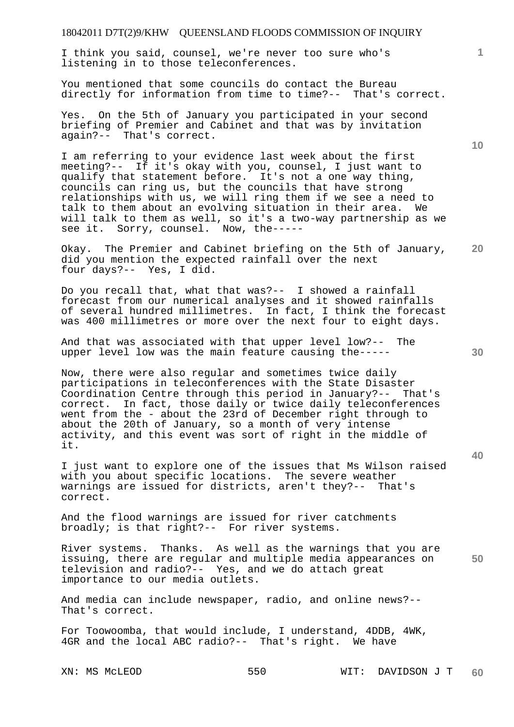I think you said, counsel, we're never too sure who's listening in to those teleconferences.

You mentioned that some councils do contact the Bureau directly for information from time to time?-- That's correct.

Yes. On the 5th of January you participated in your second briefing of Premier and Cabinet and that was by invitation again?-- That's correct.

I am referring to your evidence last week about the first meeting?-- If it's okay with you, counsel, I just want to qualify that statement before. It's not a one way thing, councils can ring us, but the councils that have strong relationships with us, we will ring them if we see a need to talk to them about an evolving situation in their area. We will talk to them as well, so it's a two-way partnership as we see it. Sorry, counsel. Now, the-----

**20**  Okay. The Premier and Cabinet briefing on the 5th of January, did you mention the expected rainfall over the next four days?-- Yes, I did.

Do you recall that, what that was?-- I showed a rainfall forecast from our numerical analyses and it showed rainfalls of several hundred millimetres. In fact, I think the forecast was 400 millimetres or more over the next four to eight days.

And that was associated with that upper level low?-- The upper level low was the main feature causing the-----

Now, there were also regular and sometimes twice daily participations in teleconferences with the State Disaster Coordination Centre through this period in January?-- That's correct. In fact, those daily or twice daily teleconferences went from the - about the 23rd of December right through to about the 20th of January, so a month of very intense activity, and this event was sort of right in the middle of it.

I just want to explore one of the issues that Ms Wilson raised with you about specific locations. The severe weather warnings are issued for districts, aren't they?-- That's correct.

And the flood warnings are issued for river catchments broadly; is that right?-- For river systems.

**50**  River systems. Thanks. As well as the warnings that you are issuing, there are regular and multiple media appearances on television and radio?-- Yes, and we do attach great importance to our media outlets.

And media can include newspaper, radio, and online news?-- That's correct.

For Toowoomba, that would include, I understand, 4DDB, 4WK, 4GR and the local ABC radio?-- That's right. We have

**10** 

**1**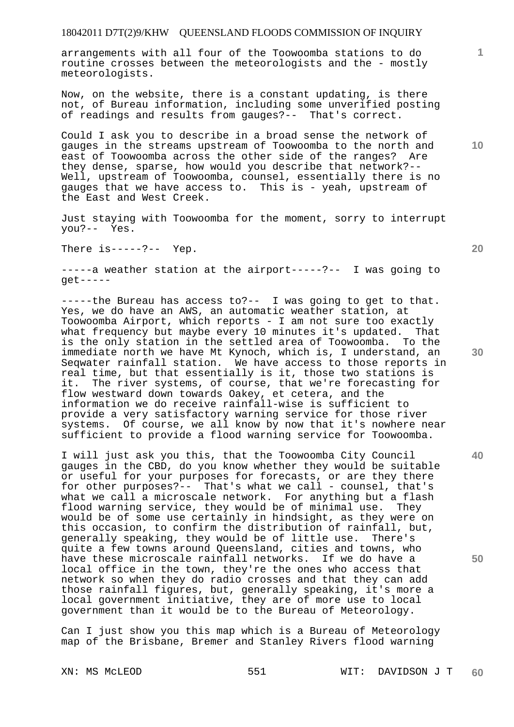arrangements with all four of the Toowoomba stations to do routine crosses between the meteorologists and the - mostly meteorologists.

Now, on the website, there is a constant updating, is there not, of Bureau information, including some unverified posting of readings and results from gauges?-- That's correct.

Could I ask you to describe in a broad sense the network of gauges in the streams upstream of Toowoomba to the north and east of Toowoomba across the other side of the ranges? Are they dense, sparse, how would you describe that network?-- Well, upstream of Toowoomba, counsel, essentially there is no gauges that we have access to. This is - yeah, upstream of the East and West Creek.

Just staying with Toowoomba for the moment, sorry to interrupt you?-- Yes.

There  $is---?---$  Yep.

-----a weather station at the airport-----?-- I was going to get-----

-----the Bureau has access to?-- I was going to get to that. Yes, we do have an AWS, an automatic weather station, at Toowoomba Airport, which reports - I am not sure too exactly what frequency but maybe every 10 minutes it's updated. That is the only station in the settled area of Toowoomba. To the immediate north we have Mt Kynoch, which is, I understand, an Seqwater rainfall station. We have access to those reports in real time, but that essentially is it, those two stations is it. The river systems, of course, that we're forecasting for flow westward down towards Oakey, et cetera, and the information we do receive rainfall-wise is sufficient to provide a very satisfactory warning service for those river systems. Of course, we all know by now that it's nowhere near sufficient to provide a flood warning service for Toowoomba.

I will just ask you this, that the Toowoomba City Council gauges in the CBD, do you know whether they would be suitable or useful for your purposes for forecasts, or are they there for other purposes?-- That's what we call - counsel, that's what we call a microscale network. For anything but a flash flood warning service, they would be of minimal use. They would be of some use certainly in hindsight, as they were on this occasion, to confirm the distribution of rainfall, but, generally speaking, they would be of little use. There's quite a few towns around Queensland, cities and towns, who have these microscale rainfall networks. If we do have a local office in the town, they're the ones who access that network so when they do radio crosses and that they can add those rainfall figures, but, generally speaking, it's more a local government initiative, they are of more use to local government than it would be to the Bureau of Meteorology.

Can I just show you this map which is a Bureau of Meteorology map of the Brisbane, Bremer and Stanley Rivers flood warning

**20** 

**40** 

**50** 

**10**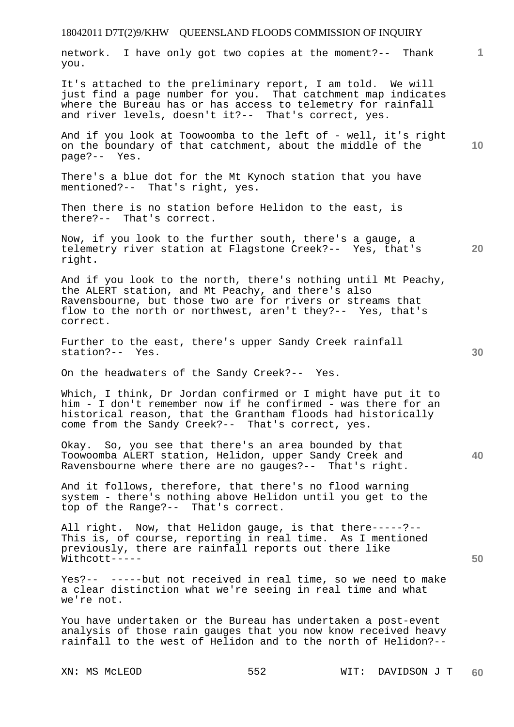| network. I have only got two copies at the moment?-- Thank<br>you.                                                                                                                                                                                           | 1               |
|--------------------------------------------------------------------------------------------------------------------------------------------------------------------------------------------------------------------------------------------------------------|-----------------|
| It's attached to the preliminary report, I am told. We will<br>just find a page number for you. That catchment map indicates<br>where the Bureau has or has access to telemetry for rainfall<br>and river levels, doesn't it ?-- That's correct, yes.        |                 |
| And if you look at Toowoomba to the left of - well, it's right<br>on the boundary of that catchment, about the middle of the<br>page?-- Yes.                                                                                                                 | 10 <sub>1</sub> |
| There's a blue dot for the Mt Kynoch station that you have<br>mentioned?-- That's right, yes.                                                                                                                                                                |                 |
| Then there is no station before Helidon to the east, is<br>there?-- That's correct.                                                                                                                                                                          |                 |
| Now, if you look to the further south, there's a gauge, a<br>telemetry river station at Flagstone Creek?-- Yes, that's<br>right.                                                                                                                             | 20              |
| And if you look to the north, there's nothing until Mt Peachy,<br>the ALERT station, and Mt Peachy, and there's also<br>Ravensbourne, but those two are for rivers or streams that<br>flow to the north or northwest, aren't they?-- Yes, that's<br>correct. |                 |
| Further to the east, there's upper Sandy Creek rainfall<br>station?-- Yes.                                                                                                                                                                                   | 30              |
| On the headwaters of the Sandy Creek?-- Yes.                                                                                                                                                                                                                 |                 |
| Which, I think, Dr Jordan confirmed or I might have put it to<br>him - I don't remember now if he confirmed - was there for an<br>historical reason, that the Grantham floods had historically<br>come from the Sandy Creek?-- That's correct, yes.          |                 |
| Okay. So, you see that there's an area bounded by that<br>Toowoomba ALERT station, Helidon, upper Sandy Creek and<br>Ravensbourne where there are no gauges?-- That's right.                                                                                 | 40              |
| And it follows, therefore, that there's no flood warning<br>system - there's nothing above Helidon until you get to the<br>top of the Range?-- That's correct.                                                                                               |                 |
| All right. Now, that Helidon gauge, is that there-----?--<br>This is, of course, reporting in real time. As I mentioned<br>previously, there are rainfall reports out there like<br>Withcott-----                                                            | 50              |
| Yes?-- -----but not received in real time, so we need to make<br>a clear distinction what we're seeing in real time and what<br>we're not.                                                                                                                   |                 |
| You have undertaken or the Bureau has undertaken a post-event<br>analysis of those rain gauges that you now know received heavy                                                                                                                              |                 |

rainfall to the west of Helidon and to the north of Helidon?--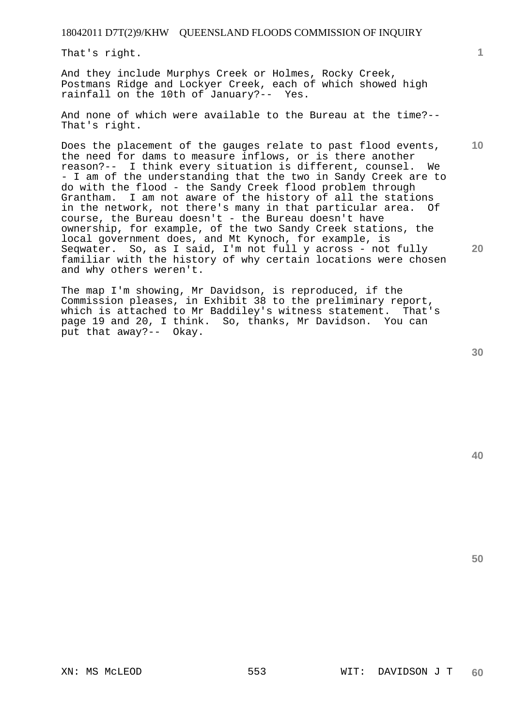That's right.

And they include Murphys Creek or Holmes, Rocky Creek, Postmans Ridge and Lockyer Creek, each of which showed high rainfall on the 10th of January?-- Yes.

And none of which were available to the Bureau at the time?-- That's right.

Does the placement of the gauges relate to past flood events, the need for dams to measure inflows, or is there another reason?-- I think every situation is different, counsel. We - I am of the understanding that the two in Sandy Creek are to do with the flood - the Sandy Creek flood problem through Grantham. I am not aware of the history of all the stations in the network, not there's many in that particular area. Of course, the Bureau doesn't - the Bureau doesn't have ownership, for example, of the two Sandy Creek stations, the local government does, and Mt Kynoch, for example, is Seqwater. So, as I said, I'm not full y across - not fully familiar with the history of why certain locations were chosen and why others weren't.

The map I'm showing, Mr Davidson, is reproduced, if the Commission pleases, in Exhibit 38 to the preliminary report, which is attached to Mr Baddiley's witness statement. That's page 19 and 20, I think. So, thanks, Mr Davidson. You can put that away?-- Okay.

**30** 

**50** 

**1**

**10**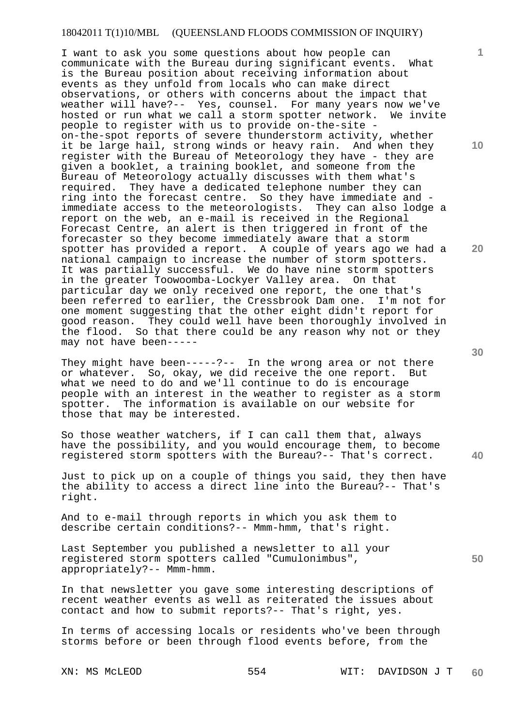I want to ask you some questions about how people can communicate with the Bureau during significant events. What is the Bureau position about receiving information about events as they unfold from locals who can make direct observations, or others with concerns about the impact that weather will have?-- Yes, counsel. For many years now we've hosted or run what we call a storm spotter network. We invite people to register with us to provide on-the-site on-the-spot reports of severe thunderstorm activity, whether it be large hail, strong winds or heavy rain. And when they register with the Bureau of Meteorology they have - they are given a booklet, a training booklet, and someone from the Bureau of Meteorology actually discusses with them what's required. They have a dedicated telephone number they can They have a dedicated telephone number they can ring into the forecast centre. So they have immediate and immediate access to the meteorologists. They can also lodge a report on the web, an e-mail is received in the Regional Forecast Centre, an alert is then triggered in front of the forecaster so they become immediately aware that a storm spotter has provided a report. A couple of years ago we had a national campaign to increase the number of storm spotters. It was partially successful. We do have nine storm spotters in the greater Toowoomba-Lockyer Valley area. On that particular day we only received one report, the one that's been referred to earlier, the Cressbrook Dam one. I'm not for one moment suggesting that the other eight didn't report for good reason. They could well have been thoroughly involved in the flood. So that there could be any reason why not or they may not have been-----

They might have been-----?-- In the wrong area or not there or whatever. So, okay, we did receive the one report. But what we need to do and we'll continue to do is encourage people with an interest in the weather to register as a storm spotter. The information is available on our website for those that may be interested.

So those weather watchers, if I can call them that, always have the possibility, and you would encourage them, to become registered storm spotters with the Bureau?-- That's correct.

Just to pick up on a couple of things you said, they then have the ability to access a direct line into the Bureau?-- That's right.

And to e-mail through reports in which you ask them to describe certain conditions?-- Mmm-hmm, that's right.

Last September you published a newsletter to all your registered storm spotters called "Cumulonimbus", appropriately?-- Mmm-hmm.

In that newsletter you gave some interesting descriptions of recent weather events as well as reiterated the issues about contact and how to submit reports?-- That's right, yes.

In terms of accessing locals or residents who've been through storms before or been through flood events before, from the

**30** 

**20** 

**40** 

**50** 

**10**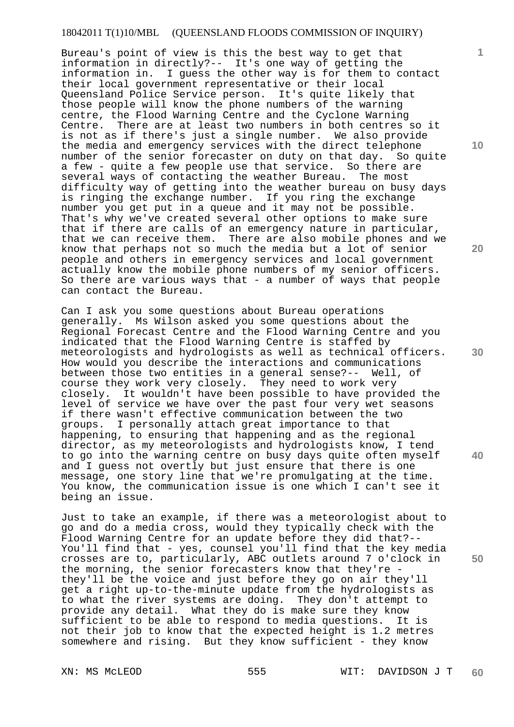Bureau's point of view is this the best way to get that information in directly?-- It's one way of getting the information in. I guess the other way is for them to contact their local government representative or their local Queensland Police Service person. It's quite likely that those people will know the phone numbers of the warning centre, the Flood Warning Centre and the Cyclone Warning Centre. There are at least two numbers in both centres so it is not as if there's just a single number. We also provide the media and emergency services with the direct telephone number of the senior forecaster on duty on that day. So quite a few - quite a few people use that service. So there are several ways of contacting the weather Bureau. The most difficulty way of getting into the weather bureau on busy days is ringing the exchange number. If you ring the exchange number you get put in a queue and it may not be possible. That's why we've created several other options to make sure that if there are calls of an emergency nature in particular, that we can receive them. There are also mobile phones and we know that perhaps not so much the media but a lot of senior people and others in emergency services and local government actually know the mobile phone numbers of my senior officers. So there are various ways that - a number of ways that people can contact the Bureau.

Can I ask you some questions about Bureau operations generally. Ms Wilson asked you some questions about the Regional Forecast Centre and the Flood Warning Centre and you indicated that the Flood Warning Centre is staffed by meteorologists and hydrologists as well as technical officers. How would you describe the interactions and communications between those two entities in a general sense?-- Well, of course they work very closely. They need to work very closely. It wouldn't have been possible to have provided the level of service we have over the past four very wet seasons if there wasn't effective communication between the two groups. I personally attach great importance to that happening, to ensuring that happening and as the regional director, as my meteorologists and hydrologists know, I tend to go into the warning centre on busy days quite often myself and I guess not overtly but just ensure that there is one message, one story line that we're promulgating at the time. You know, the communication issue is one which I can't see it being an issue.

Just to take an example, if there was a meteorologist about to go and do a media cross, would they typically check with the Flood Warning Centre for an update before they did that?-- You'll find that - yes, counsel you'll find that the key media crosses are to, particularly, ABC outlets around 7 o'clock in the morning, the senior forecasters know that they're they'll be the voice and just before they go on air they'll get a right up-to-the-minute update from the hydrologists as to what the river systems are doing. They don't attempt to provide any detail. What they do is make sure they know sufficient to be able to respond to media questions. It is not their job to know that the expected height is 1.2 metres somewhere and rising. But they know sufficient - they know

XN: MS McLEOD 555 WIT: DAVIDSON J T **60** 

**10** 

**1**

**20** 

**30** 

**40**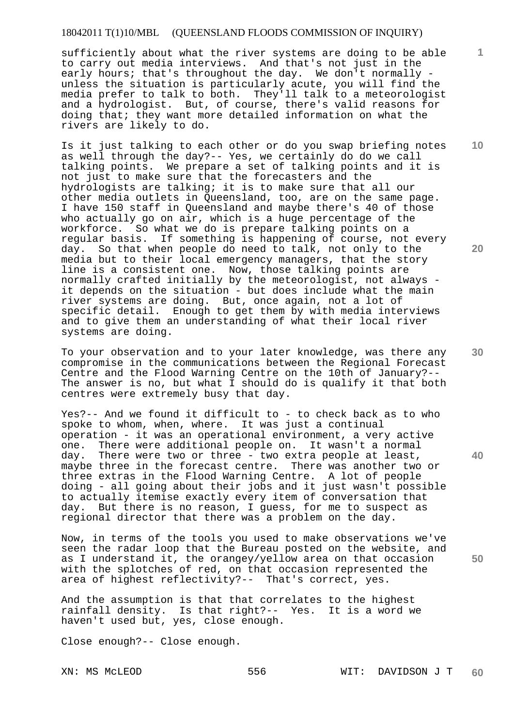sufficiently about what the river systems are doing to be able to carry out media interviews. And that's not just in the early hours; that's throughout the day. We don't normally unless the situation is particularly acute, you will find the media prefer to talk to both. They'll talk to a meteorologist and a hydrologist. But, of course, there's valid reasons for doing that; they want more detailed information on what the rivers are likely to do.

Is it just talking to each other or do you swap briefing notes as well through the day?-- Yes, we certainly do do we call talking points. We prepare a set of talking points and it is not just to make sure that the forecasters and the hydrologists are talking; it is to make sure that all our other media outlets in Queensland, too, are on the same page. I have 150 staff in Queensland and maybe there's 40 of those who actually go on air, which is a huge percentage of the workforce. So what we do is prepare talking points on a regular basis. If something is happening of course, not every day. So that when people do need to talk, not only to the media but to their local emergency managers, that the story line is a consistent one. Now, those talking points are normally crafted initially by the meteorologist, not always it depends on the situation - but does include what the main river systems are doing. But, once again, not a lot of specific detail. Enough to get them by with media interviews and to give them an understanding of what their local river systems are doing.

To your observation and to your later knowledge, was there any compromise in the communications between the Regional Forecast Centre and the Flood Warning Centre on the 10th of January?-- The answer is no, but what I should do is qualify it that both centres were extremely busy that day.

Yes?-- And we found it difficult to - to check back as to who spoke to whom, when, where. It was just a continual operation - it was an operational environment, a very active one. There were additional people on. It wasn't a normal day. There were two or three - two extra people at least, maybe three in the forecast centre. There was another two or three extras in the Flood Warning Centre. A lot of people doing - all going about their jobs and it just wasn't possible to actually itemise exactly every item of conversation that day. But there is no reason, I guess, for me to suspect as regional director that there was a problem on the day.

Now, in terms of the tools you used to make observations we've seen the radar loop that the Bureau posted on the website, and as I understand it, the orangey/yellow area on that occasion with the splotches of red, on that occasion represented the area of highest reflectivity?-- That's correct, yes.

And the assumption is that that correlates to the highest rainfall density. Is that right?-- Yes. It is a word we haven't used but, yes, close enough.

Close enough?-- Close enough.

**20** 

**1**

**10** 

**30** 

**40**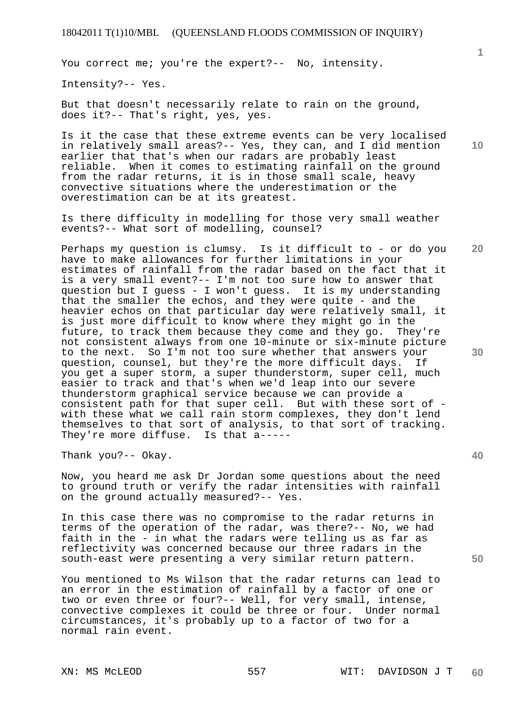You correct me; you're the expert?-- No, intensity.

Intensity?-- Yes.

But that doesn't necessarily relate to rain on the ground, does it?-- That's right, yes, yes.

Is it the case that these extreme events can be very localised in relatively small areas?-- Yes, they can, and I did mention earlier that that's when our radars are probably least reliable. When it comes to estimating rainfall on the ground from the radar returns, it is in those small scale, heavy convective situations where the underestimation or the overestimation can be at its greatest.

Is there difficulty in modelling for those very small weather events?-- What sort of modelling, counsel?

Perhaps my question is clumsy. Is it difficult to - or do you have to make allowances for further limitations in your estimates of rainfall from the radar based on the fact that it is a very small event?-- I'm not too sure how to answer that question but I guess - I won't guess. It is my understanding that the smaller the echos, and they were quite - and the heavier echos on that particular day were relatively small, it is just more difficult to know where they might go in the future, to track them because they come and they go. They're not consistent always from one 10-minute or six-minute picture to the next. So I'm not too sure whether that answers your question, counsel, but they're the more difficult days. If you get a super storm, a super thunderstorm, super cell, much easier to track and that's when we'd leap into our severe thunderstorm graphical service because we can provide a consistent path for that super cell. But with these sort of with these what we call rain storm complexes, they don't lend themselves to that sort of analysis, to that sort of tracking. They're more diffuse. Is that a-----

Thank you?-- Okay.

Now, you heard me ask Dr Jordan some questions about the need to ground truth or verify the radar intensities with rainfall on the ground actually measured?-- Yes.

In this case there was no compromise to the radar returns in terms of the operation of the radar, was there?-- No, we had faith in the - in what the radars were telling us as far as reflectivity was concerned because our three radars in the south-east were presenting a very similar return pattern.

You mentioned to Ms Wilson that the radar returns can lead to an error in the estimation of rainfall by a factor of one or two or even three or four?-- Well, for very small, intense, convective complexes it could be three or four. Under normal circumstances, it's probably up to a factor of two for a normal rain event.

**20** 

**1**

**40** 

**50**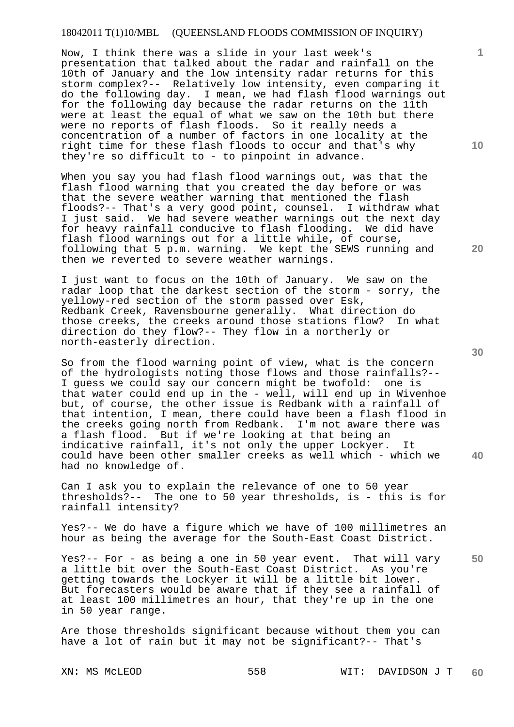Now, I think there was a slide in your last week's presentation that talked about the radar and rainfall on the 10th of January and the low intensity radar returns for this storm complex?-- Relatively low intensity, even comparing it do the following day. I mean, we had flash flood warnings out for the following day because the radar returns on the 11th were at least the equal of what we saw on the 10th but there were no reports of flash floods. So it really needs a concentration of a number of factors in one locality at the right time for these flash floods to occur and that's why they're so difficult to - to pinpoint in advance.

When you say you had flash flood warnings out, was that the flash flood warning that you created the day before or was that the severe weather warning that mentioned the flash floods?-- That's a very good point, counsel. I withdraw what I just said. We had severe weather warnings out the next day for heavy rainfall conducive to flash flooding. We did have flash flood warnings out for a little while, of course, following that 5 p.m. warning. We kept the SEWS running and then we reverted to severe weather warnings.

I just want to focus on the 10th of January. We saw on the radar loop that the darkest section of the storm - sorry, the yellowy-red section of the storm passed over Esk, Redbank Creek, Ravensbourne generally. What direction do those creeks, the creeks around those stations flow? In what direction do they flow?-- They flow in a northerly or north-easterly direction.

So from the flood warning point of view, what is the concern of the hydrologists noting those flows and those rainfalls?--<br>I quess we could say our concern might be twofold: one is I guess we could say our concern might be twofold: that water could end up in the - well, will end up in Wivenhoe but, of course, the other issue is Redbank with a rainfall of that intention, I mean, there could have been a flash flood in the creeks going north from Redbank. I'm not aware there was a flash flood. But if we're looking at that being an indicative rainfall, it's not only the upper Lockyer. could have been other smaller creeks as well which - which we had no knowledge of.

Can I ask you to explain the relevance of one to 50 year thresholds?-- The one to 50 year thresholds, is - this is for rainfall intensity?

Yes?-- We do have a figure which we have of 100 millimetres an hour as being the average for the South-East Coast District.

**50**  Yes?-- For - as being a one in 50 year event. That will vary a little bit over the South-East Coast District. As you're getting towards the Lockyer it will be a little bit lower. But forecasters would be aware that if they see a rainfall of at least 100 millimetres an hour, that they're up in the one in 50 year range.

Are those thresholds significant because without them you can have a lot of rain but it may not be significant?-- That's

XN: MS McLEOD 558 WIT: DAVIDSON J T **60** 

**30** 

**40** 

**20**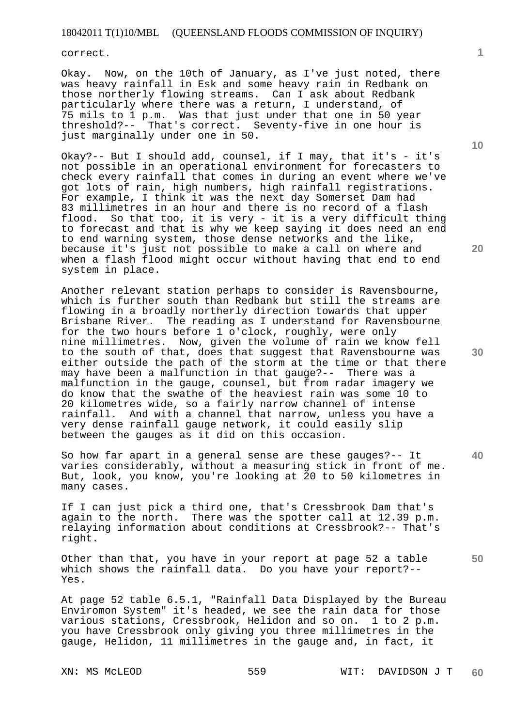correct.

Okay. Now, on the 10th of January, as I've just noted, there was heavy rainfall in Esk and some heavy rain in Redbank on those northerly flowing streams. Can I ask about Redbank particularly where there was a return, I understand, of 75 mils to 1 p.m. Was that just under that one in 50 year threshold?-- That's correct. Seventy-five in one hour is just marginally under one in 50.

Okay?-- But I should add, counsel, if I may, that it's - it's not possible in an operational environment for forecasters to check every rainfall that comes in during an event where we've got lots of rain, high numbers, high rainfall registrations. For example, I think it was the next day Somerset Dam had 83 millimetres in an hour and there is no record of a flash flood. So that too, it is very - it is a very difficult thing to forecast and that is why we keep saying it does need an end to end warning system, those dense networks and the like, because it's just not possible to make a call on where and when a flash flood might occur without having that end to end system in place.

Another relevant station perhaps to consider is Ravensbourne, which is further south than Redbank but still the streams are flowing in a broadly northerly direction towards that upper Brisbane River. The reading as I understand for Ravensbourne for the two hours before 1 o'clock, roughly, were only nine millimetres. Now, given the volume of rain we know fell to the south of that, does that suggest that Ravensbourne was either outside the path of the storm at the time or that there may have been a malfunction in that gauge?-- There was a malfunction in the gauge, counsel, but from radar imagery we do know that the swathe of the heaviest rain was some 10 to 20 kilometres wide, so a fairly narrow channel of intense rainfall. And with a channel that narrow, unless you have a very dense rainfall gauge network, it could easily slip between the gauges as it did on this occasion.

So how far apart in a general sense are these gauges?-- It varies considerably, without a measuring stick in front of me. But, look, you know, you're looking at 20 to 50 kilometres in many cases.

If I can just pick a third one, that's Cressbrook Dam that's again to the north. There was the spotter call at 12.39 p.m. relaying information about conditions at Cressbrook?-- That's right.

Other than that, you have in your report at page 52 a table which shows the rainfall data. Do you have your report?-- Yes.

At page 52 table 6.5.1, "Rainfall Data Displayed by the Bureau Enviromon System" it's headed, we see the rain data for those various stations, Cressbrook, Helidon and so on. 1 to 2 p.m. you have Cressbrook only giving you three millimetres in the gauge, Helidon, 11 millimetres in the gauge and, in fact, it

XN: MS McLEOD 559 WIT: DAVIDSON J T **60** 

**1**

**20** 

**30** 

**50**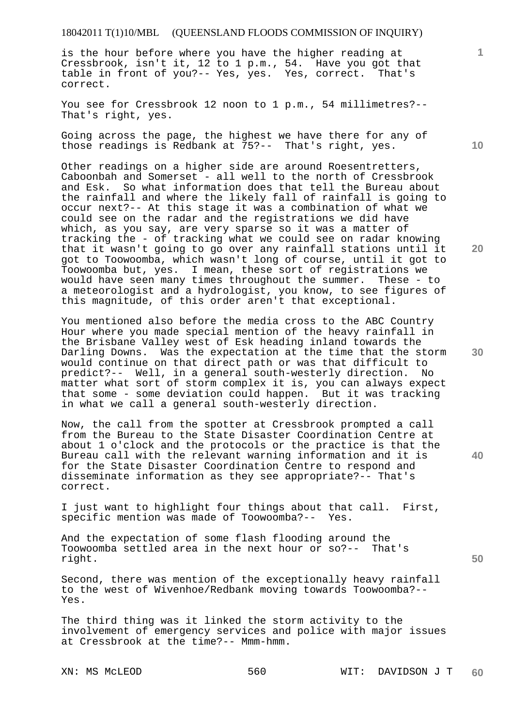is the hour before where you have the higher reading at Cressbrook, isn't it, 12 to 1 p.m., 54. Have you got that table in front of you?-- Yes, yes. Yes, correct. That's correct.

You see for Cressbrook 12 noon to 1 p.m., 54 millimetres?-- That's right, yes.

Going across the page, the highest we have there for any of those readings is Redbank at 75?-- That's right, yes.

Other readings on a higher side are around Roesentretters, Caboonbah and Somerset - all well to the north of Cressbrook and Esk. So what information does that tell the Bureau about the rainfall and where the likely fall of rainfall is going to occur next?-- At this stage it was a combination of what we could see on the radar and the registrations we did have which, as you say, are very sparse so it was a matter of tracking the - of tracking what we could see on radar knowing that it wasn't going to go over any rainfall stations until it got to Toowoomba, which wasn't long of course, until it got to Toowoomba but, yes. I mean, these sort of registrations we would have seen many times throughout the summer. These - to a meteorologist and a hydrologist, you know, to see figures of this magnitude, of this order aren't that exceptional.

You mentioned also before the media cross to the ABC Country Hour where you made special mention of the heavy rainfall in the Brisbane Valley west of Esk heading inland towards the Darling Downs. Was the expectation at the time that the storm would continue on that direct path or was that difficult to predict?-- Well, in a general south-westerly direction. No matter what sort of storm complex it is, you can always expect that some - some deviation could happen. But it was tracking in what we call a general south-westerly direction.

Now, the call from the spotter at Cressbrook prompted a call from the Bureau to the State Disaster Coordination Centre at about 1 o'clock and the protocols or the practice is that the Bureau call with the relevant warning information and it is for the State Disaster Coordination Centre to respond and disseminate information as they see appropriate?-- That's correct.

I just want to highlight four things about that call. First, specific mention was made of Toowoomba?-- Yes.

And the expectation of some flash flooding around the Toowoomba settled area in the next hour or so?-- That's right.

Second, there was mention of the exceptionally heavy rainfall to the west of Wivenhoe/Redbank moving towards Toowoomba?-- Yes.

The third thing was it linked the storm activity to the involvement of emergency services and police with major issues at Cressbrook at the time?-- Mmm-hmm.

**10** 

**1**

**20** 

**40**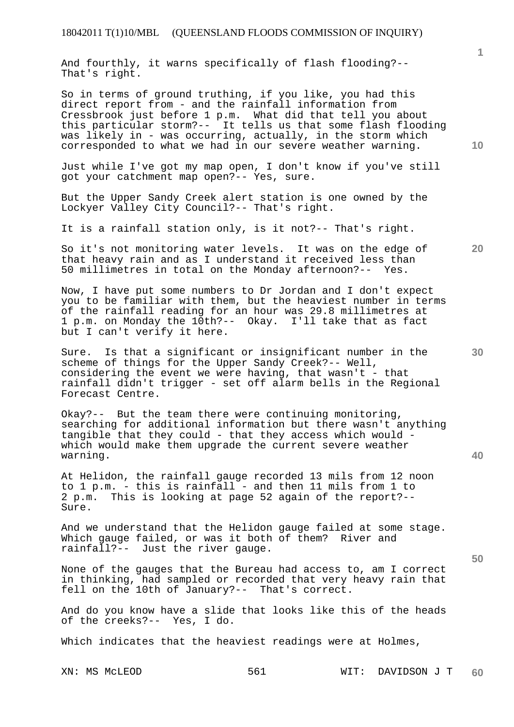And fourthly, it warns specifically of flash flooding?-- That's right.

So in terms of ground truthing, if you like, you had this direct report from - and the rainfall information from Cressbrook just before 1 p.m. What did that tell you about this particular storm?-- It tells us that some flash flooding was likely in - was occurring, actually, in the storm which corresponded to what we had in our severe weather warning.

Just while I've got my map open, I don't know if you've still got your catchment map open?-- Yes, sure.

But the Upper Sandy Creek alert station is one owned by the Lockyer Valley City Council?-- That's right.

It is a rainfall station only, is it not?-- That's right.

So it's not monitoring water levels. It was on the edge of that heavy rain and as I understand it received less than 50 millimetres in total on the Monday afternoon?-- Yes.

Now, I have put some numbers to Dr Jordan and I don't expect you to be familiar with them, but the heaviest number in terms of the rainfall reading for an hour was 29.8 millimetres at 1 p.m. on Monday the 10th?-- Okay. I'll take that as fact but I can't verify it here.

Sure. Is that a significant or insignificant number in the scheme of things for the Upper Sandy Creek?-- Well, considering the event we were having, that wasn't - that rainfall didn't trigger - set off alarm bells in the Regional Forecast Centre.

Okay?-- But the team there were continuing monitoring, searching for additional information but there wasn't anything tangible that they could - that they access which would which would make them upgrade the current severe weather warning.

At Helidon, the rainfall gauge recorded 13 mils from 12 noon to 1 p.m. - this is rainfall - and then 11 mils from 1 to 2 p.m. This is looking at page 52 again of the report?-- Sure.

And we understand that the Helidon gauge failed at some stage. Which gauge failed, or was it both of them? River and rainfall?-- Just the river gauge.

None of the gauges that the Bureau had access to, am I correct in thinking, had sampled or recorded that very heavy rain that fell on the 10th of January?-- That's correct.

And do you know have a slide that looks like this of the heads of the creeks?-- Yes, I do.

Which indicates that the heaviest readings were at Holmes,

XN: MS McLEOD 6561 WIT: DAVIDSON J T **60** 

**30** 

**20** 

**50** 

**10**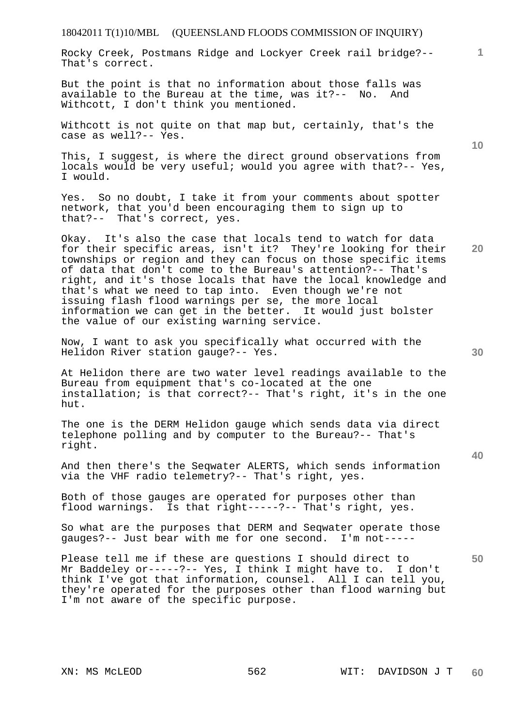Rocky Creek, Postmans Ridge and Lockyer Creek rail bridge?-- That's correct.

But the point is that no information about those falls was available to the Bureau at the time, was it?-- No. And Withcott, I don't think you mentioned.

Withcott is not quite on that map but, certainly, that's the case as well?-- Yes.

This, I suggest, is where the direct ground observations from locals would be very useful; would you agree with that?-- Yes, I would.

Yes. So no doubt, I take it from your comments about spotter network, that you'd been encouraging them to sign up to that?-- That's correct, yes.

Okay. It's also the case that locals tend to watch for data for their specific areas, isn't it? They're looking for their townships or region and they can focus on those specific items of data that don't come to the Bureau's attention?-- That's right, and it's those locals that have the local knowledge and that's what we need to tap into. Even though we're not issuing flash flood warnings per se, the more local information we can get in the better. It would just bolster the value of our existing warning service.

Now, I want to ask you specifically what occurred with the Helidon River station gauge?-- Yes.

At Helidon there are two water level readings available to the Bureau from equipment that's co-located at the one installation; is that correct?-- That's right, it's in the one hut.

The one is the DERM Helidon gauge which sends data via direct telephone polling and by computer to the Bureau?-- That's right.

And then there's the Seqwater ALERTS, which sends information via the VHF radio telemetry?-- That's right, yes.

Both of those gauges are operated for purposes other than flood warnings. Is that right-----?-- That's right, yes.

So what are the purposes that DERM and Seqwater operate those gauges?-- Just bear with me for one second. I'm not-----

Please tell me if these are questions I should direct to Mr Baddeley or-----?-- Yes, I think I might have to. I don't think I've got that information, counsel. All I can tell you, they're operated for the purposes other than flood warning but I'm not aware of the specific purpose.

**10** 

**20** 

**1**

**30**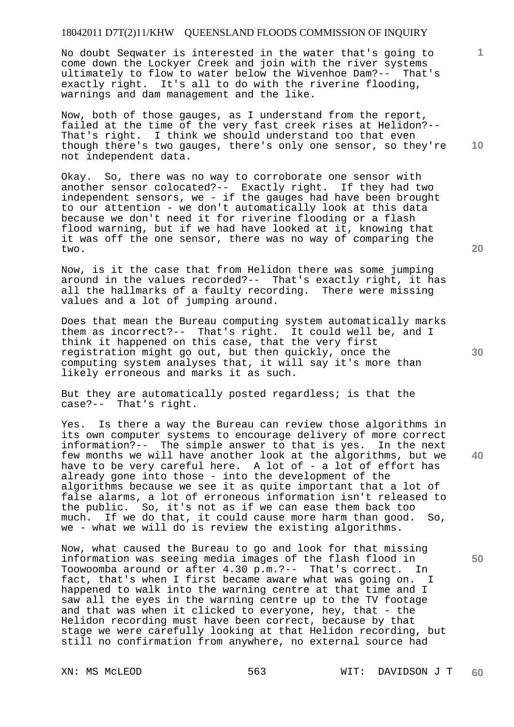No doubt Seqwater is interested in the water that's going to come down the Lockyer Creek and join with the river systems<br>ultimately to flow to water below the Wivenhoe Dam?-- That's ultimately to flow to water below the Wivenhoe Dam?-exactly right. It's all to do with the riverine flooding, warnings and dam management and the like.

Now, both of those gauges, as I understand from the report, failed at the time of the very fast creek rises at Helidon?-- That's right. I think we should understand too that even though there's two gauges, there's only one sensor, so they're not independent data.

Okay. So, there was no way to corroborate one sensor with another sensor colocated?-- Exactly right. If they had two independent sensors, we - if the gauges had have been brought to our attention - we don't automatically look at this data because we don't need it for riverine flooding or a flash flood warning, but if we had have looked at it, knowing that it was off the one sensor, there was no way of comparing the two.

Now, is it the case that from Helidon there was some jumping around in the values recorded?-- That's exactly right, it has all the hallmarks of a faulty recording. There were missing values and a lot of jumping around.

Does that mean the Bureau computing system automatically marks them as incorrect?-- That's right. It could well be, and I think it happened on this case, that the very first registration might go out, but then quickly, once the computing system analyses that, it will say it's more than likely erroneous and marks it as such.

But they are automatically posted regardless; is that the case?-- That's right.

Yes. Is there a way the Bureau can review those algorithms in its own computer systems to encourage delivery of more correct information?-- The simple answer to that is yes. In the next few months we will have another look at the algorithms, but we have to be very careful here. A lot of - a lot of effort has already gone into those - into the development of the algorithms because we see it as quite important that a lot of false alarms, a lot of erroneous information isn't released to the public. So, it's not as if we can ease them back too much. If we do that, it could cause more harm than good. So, we - what we will do is review the existing algorithms.

Now, what caused the Bureau to go and look for that missing information was seeing media images of the flash flood in Toowoomba around or after 4.30 p.m.?-- That's correct. In fact, that's when I first became aware what was going on. I happened to walk into the warning centre at that time and I saw all the eyes in the warning centre up to the TV footage and that was when it clicked to everyone, hey, that - the Helidon recording must have been correct, because by that stage we were carefully looking at that Helidon recording, but still no confirmation from anywhere, no external source had

**20** 

**10** 

**40** 

**50**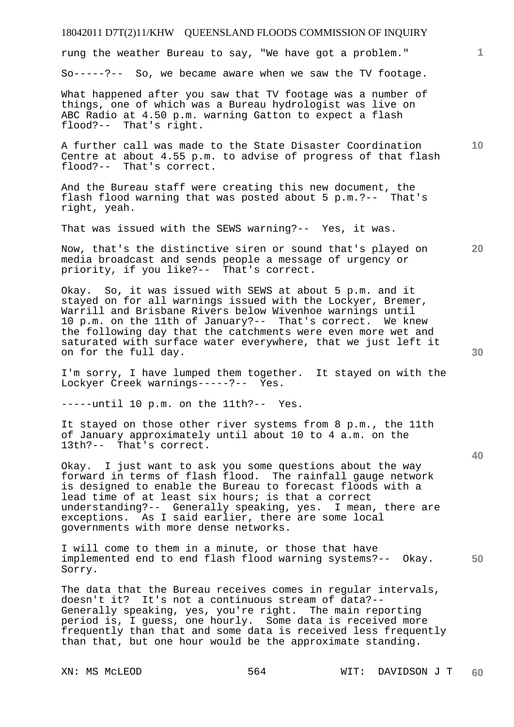rung the weather Bureau to say, "We have got a problem."

So-----?-- So, we became aware when we saw the TV footage.

What happened after you saw that TV footage was a number of things, one of which was a Bureau hydrologist was live on ABC Radio at 4.50 p.m. warning Gatton to expect a flash flood?-- That's right.

A further call was made to the State Disaster Coordination Centre at about 4.55 p.m. to advise of progress of that flash flood?-- That's correct.

And the Bureau staff were creating this new document, the flash flood warning that was posted about 5 p.m.?-- That's right, yeah.

That was issued with the SEWS warning?-- Yes, it was.

Now, that's the distinctive siren or sound that's played on media broadcast and sends people a message of urgency or priority, if you like?-- That's correct.

Okay. So, it was issued with SEWS at about 5 p.m. and it stayed on for all warnings issued with the Lockyer, Bremer, Warrill and Brisbane Rivers below Wivenhoe warnings until 10 p.m. on the 11th of January?-- That's correct. We knew the following day that the catchments were even more wet and saturated with surface water everywhere, that we just left it on for the full day.

I'm sorry, I have lumped them together. It stayed on with the Lockyer Creek warnings-----?-- Yes.

-----until 10 p.m. on the 11th?-- Yes.

It stayed on those other river systems from 8 p.m., the 11th of January approximately until about 10 to 4 a.m. on the 13th?-- That's correct.

Okay. I just want to ask you some questions about the way forward in terms of flash flood. The rainfall gauge network is designed to enable the Bureau to forecast floods with a lead time of at least six hours; is that a correct understanding?-- Generally speaking, yes. I mean, there are exceptions. As I said earlier, there are some local governments with more dense networks.

**50**  I will come to them in a minute, or those that have implemented end to end flash flood warning systems?-- Okay. Sorry.

The data that the Bureau receives comes in regular intervals, doesn't it? It's not a continuous stream of data?-- Generally speaking, yes, you're right. The main reporting period is, I guess, one hourly. Some data is received more frequently than that and some data is received less frequently than that, but one hour would be the approximate standing.

**30** 

**20** 

**10**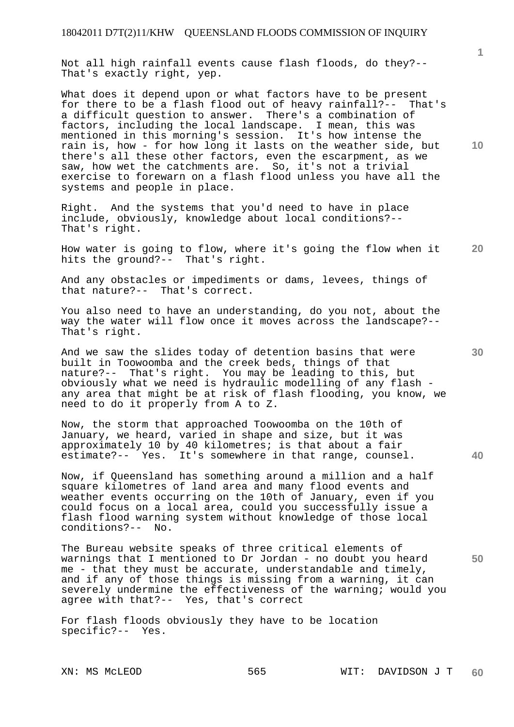Not all high rainfall events cause flash floods, do they?-- That's exactly right, yep.

What does it depend upon or what factors have to be present for there to be a flash flood out of heavy rainfall?-- That's a difficult question to answer. There's a combination of factors, including the local landscape. I mean, this was mentioned in this morning's session. It's how intense the rain is, how - for how long it lasts on the weather side, but there's all these other factors, even the escarpment, as we saw, how wet the catchments are. So, it's not a trivial exercise to forewarn on a flash flood unless you have all the systems and people in place.

Right. And the systems that you'd need to have in place include, obviously, knowledge about local conditions?-- That's right.

**20**  How water is going to flow, where it's going the flow when it hits the ground?-- That's right.

And any obstacles or impediments or dams, levees, things of that nature?-- That's correct.

You also need to have an understanding, do you not, about the way the water will flow once it moves across the landscape?-- That's right.

And we saw the slides today of detention basins that were built in Toowoomba and the creek beds, things of that nature?-- That's right. You may be leading to this, but obviously what we need is hydraulic modelling of any flash any area that might be at risk of flash flooding, you know, we need to do it properly from A to Z.

Now, the storm that approached Toowoomba on the 10th of January, we heard, varied in shape and size, but it was approximately 10 by 40 kilometres; is that about a fair estimate?-- Yes. It's somewhere in that range, counsel.

Now, if Queensland has something around a million and a half square kilometres of land area and many flood events and weather events occurring on the 10th of January, even if you could focus on a local area, could you successfully issue a flash flood warning system without knowledge of those local conditions?-- No.

The Bureau website speaks of three critical elements of warnings that I mentioned to Dr Jordan - no doubt you heard me - that they must be accurate, understandable and timely, and if any of those things is missing from a warning, it can severely undermine the effectiveness of the warning; would you agree with that?-- Yes, that's correct

For flash floods obviously they have to be location specific?-- Yes.

**10** 

**1**

**30** 

**40**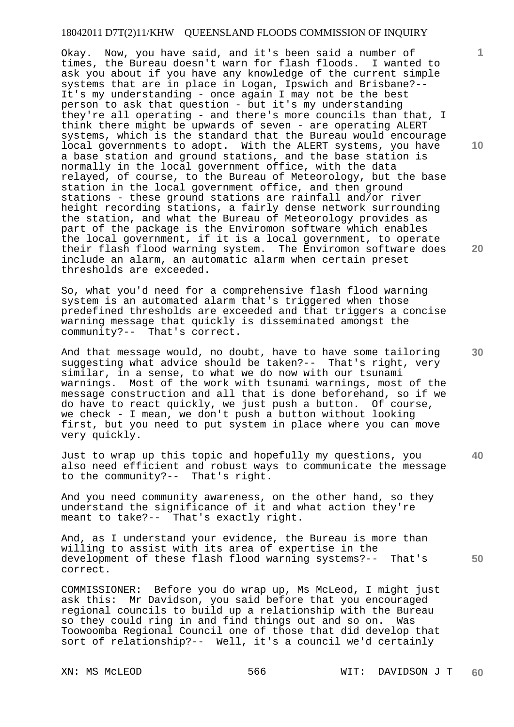Okay. Now, you have said, and it's been said a number of times, the Bureau doesn't warn for flash floods. I wanted to ask you about if you have any knowledge of the current simple systems that are in place in Logan, Ipswich and Brisbane?-- It's my understanding - once again I may not be the best person to ask that question - but it's my understanding they're all operating - and there's more councils than that, I think there might be upwards of seven - are operating ALERT systems, which is the standard that the Bureau would encourage local governments to adopt. With the ALERT systems, you have a base station and ground stations, and the base station is normally in the local government office, with the data relayed, of course, to the Bureau of Meteorology, but the base station in the local government office, and then ground stations - these ground stations are rainfall and/or river height recording stations, a fairly dense network surrounding the station, and what the Bureau of Meteorology provides as part of the package is the Enviromon software which enables the local government, if it is a local government, to operate their flash flood warning system. The Enviromon software does include an alarm, an automatic alarm when certain preset thresholds are exceeded.

So, what you'd need for a comprehensive flash flood warning system is an automated alarm that's triggered when those predefined thresholds are exceeded and that triggers a concise warning message that quickly is disseminated amongst the community?-- That's correct.

And that message would, no doubt, have to have some tailoring suggesting what advice should be taken?-- That's right, very similar, in a sense, to what we do now with our tsunami warnings. Most of the work with tsunami warnings, most of the message construction and all that is done beforehand, so if we do have to react quickly, we just push a button. Of course, we check - I mean, we don't push a button without looking first, but you need to put system in place where you can move very quickly.

Just to wrap up this topic and hopefully my questions, you also need efficient and robust ways to communicate the message to the community?-- That's right.

And you need community awareness, on the other hand, so they understand the significance of it and what action they're meant to take?-- That's exactly right.

And, as I understand your evidence, the Bureau is more than willing to assist with its area of expertise in the development of these flash flood warning systems?-- That's correct.

COMMISSIONER: Before you do wrap up, Ms McLeod, I might just ask this: Mr Davidson, you said before that you encouraged regional councils to build up a relationship with the Bureau so they could ring in and find things out and so on. Was Toowoomba Regional Council one of those that did develop that sort of relationship?-- Well, it's a council we'd certainly

**10** 

**1**

**20** 

**30** 

**40**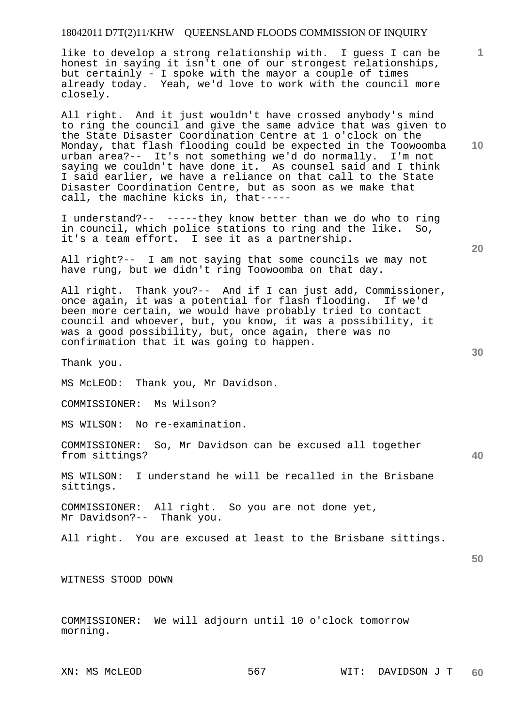like to develop a strong relationship with. I guess I can be honest in saying it isn't one of our strongest relationships, but certainly - I spoke with the mayor a couple of times already today. Yeah, we'd love to work with the council more closely.

All right. And it just wouldn't have crossed anybody's mind to ring the council and give the same advice that was given to the State Disaster Coordination Centre at 1 o'clock on the Monday, that flash flooding could be expected in the Toowoomba urban area?-- It's not something we'd do normally. I'm not saying we couldn't have done it. As counsel said and I think I said earlier, we have a reliance on that call to the State Disaster Coordination Centre, but as soon as we make that call, the machine kicks in, that-----

I understand?-- -----they know better than we do who to ring in council, which police stations to ring and the like. So, it's a team effort. I see it as a partnership.

All right?-- I am not saying that some councils we may not have rung, but we didn't ring Toowoomba on that day.

All right. Thank you?-- And if I can just add, Commissioner, once again, it was a potential for flash flooding. If we'd been more certain, we would have probably tried to contact council and whoever, but, you know, it was a possibility, it was a good possibility, but, once again, there was no confirmation that it was going to happen.

Thank you.

MS McLEOD: Thank you, Mr Davidson.

COMMISSIONER: Ms Wilson?

MS WILSON: No re-examination.

COMMISSIONER: So, Mr Davidson can be excused all together from sittings?

MS WILSON: I understand he will be recalled in the Brisbane sittings.

COMMISSIONER: All right. So you are not done yet, Mr Davidson?-- Thank you.

All right. You are excused at least to the Brisbane sittings.

**50** 

**40** 

WITNESS STOOD DOWN

COMMISSIONER: We will adjourn until 10 o'clock tomorrow morning.

**20** 

**10** 

**1**